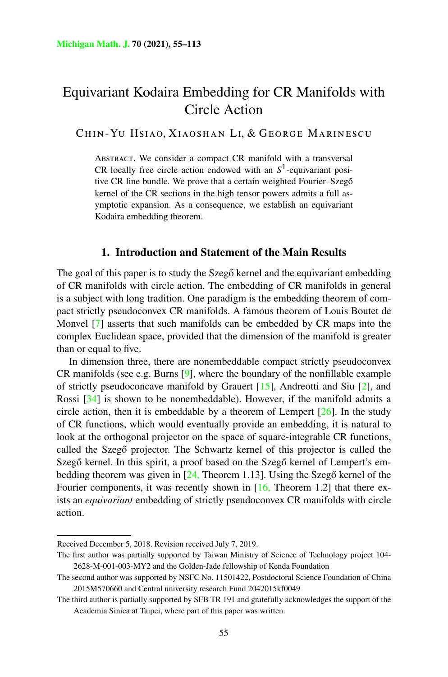# Equivariant Kodaira Embedding for CR Manifolds with Circle Action

CHIN-YU HSIAO, XIAOSHAN LI, & GEORGE MARINESCU

ABSTRACT. We consider a compact CR manifold with a transversal CR locally free circle action endowed with an  $S<sup>1</sup>$ -equivariant positive CR line bundle. We prove that a certain weighted Fourier–Szegő kernel of the CR sections in the high tensor powers admits a full asymptotic expansion. As a consequence, we establish an equivariant Kodaira embedding theorem.

## **1. Introduction and Statement of the Main Results**

The goal of this paper is to study the Szegő kernel and the equivariant embedding of CR manifolds with circle action. The embedding of CR manifolds in general is a subject with long tradition. One paradigm is the embedding theorem of compact strictly pseudoconvex CR manifolds. A famous theorem of Louis Boutet de Monvel [[7\]](#page-55-0) asserts that such manifolds can be embedded by CR maps into the complex Euclidean space, provided that the dimension of the manifold is greater than or equal to five.

In dimension three, there are nonembeddable compact strictly pseudoconvex CR manifolds (see e.g. Burns  $[9]$  $[9]$ , where the boundary of the nonfillable example of strictly pseudoconcave manifold by Grauert  $[15]$  $[15]$ , Andreotti and Siu  $[2]$  $[2]$ , and Rossi [[34\]](#page-57-0) is shown to be nonembeddable). However, if the manifold admits a circle action, then it is embeddable by a theorem of Lempert  $[26]$  $[26]$ . In the study of CR functions, which would eventually provide an embedding, it is natural to look at the orthogonal projector on the space of square-integrable CR functions, called the Szegő projector. The Schwartz kernel of this projector is called the Szegő kernel. In this spirit, a proof based on the Szegő kernel of Lempert's embedding theorem was given in  $[24,$  $[24,$  Theorem 1.13]. Using the Szegő kernel of the Fourier components, it was recently shown in [\[16](#page-56-0), Theorem 1.2] that there exists an *equivariant* embedding of strictly pseudoconvex CR manifolds with circle action.

Received December 5, 2018. Revision received July 7, 2019.

The first author was partially supported by Taiwan Ministry of Science of Technology project 104- 2628-M-001-003-MY2 and the Golden-Jade fellowship of Kenda Foundation

The second author was supported by NSFC No. 11501422, Postdoctoral Science Foundation of China 2015M570660 and Central university research Fund 2042015kf0049

The third author is partially supported by SFB TR 191 and gratefully acknowledges the support of the Academia Sinica at Taipei, where part of this paper was written.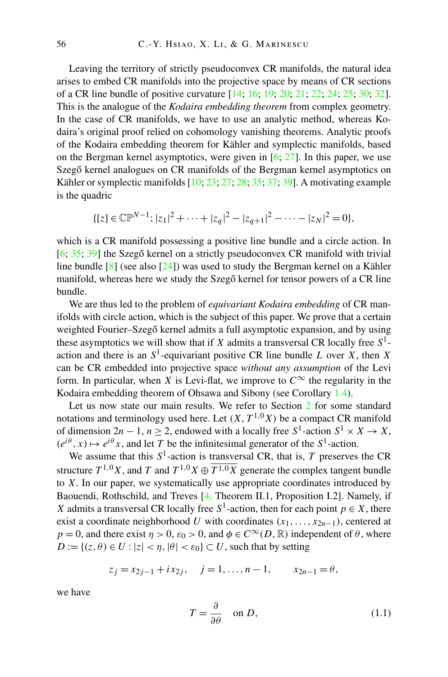Leaving the territory of strictly pseudoconvex CR manifolds, the natural idea arises to embed CR manifolds into the projective space by means of CR sections of a CR line bundle of positive curvature [[14](#page-56-0); [16;](#page-56-0) [19](#page-56-0); [20;](#page-56-0) [21;](#page-56-0) [22](#page-56-0); [24;](#page-56-0) [25;](#page-56-0) [30](#page-57-0); [32\]](#page-57-0). This is the analogue of the *Kodaira embedding theorem* from complex geometry. In the case of CR manifolds, we have to use an analytic method, whereas Kodaira's original proof relied on cohomology vanishing theorems. Analytic proofs of the Kodaira embedding theorem for Kähler and symplectic manifolds, based on the Bergman kernel asymptotics, were given in  $[6; 27]$  $[6; 27]$  $[6; 27]$ . In this paper, we use Szegő kernel analogues on CR manifolds of the Bergman kernel asymptotics on Kähler or symplectic manifolds [\[10](#page-56-0); [23;](#page-56-0) [27;](#page-56-0) [28](#page-56-0); [35;](#page-57-0) [37;](#page-57-0) [39](#page-57-0)]. A motivating example is the quadric

$$
\{ [z] \in \mathbb{CP}^{N-1}; |z_1|^2 + \cdots + |z_q|^2 - |z_{q+1}|^2 - \cdots - |z_N|^2 = 0 \},\
$$

which is a CR manifold possessing a positive line bundle and a circle action. In  $[6; 35; 39]$  $[6; 35; 39]$  $[6; 35; 39]$  $[6; 35; 39]$  $[6; 35; 39]$  $[6; 35; 39]$  the Szegő kernel on a strictly pseudoconvex CR manifold with trivial line bundle  $\lceil 8 \rceil$  (see also  $\lceil 24 \rceil$ ) was used to study the Bergman kernel on a Kähler manifold, whereas here we study the Szegő kernel for tensor powers of a CR line bundle.

We are thus led to the problem of *equivariant Kodaira embedding* of CR manifolds with circle action, which is the subject of this paper. We prove that a certain weighted Fourier–Szegő kernel admits a full asymptotic expansion, and by using these asymptotics we will show that if *X* admits a transversal CR locally free *S*1 action and there is an  $S^1$ -equivariant positive CR line bundle *L* over *X*, then *X* can be CR embedded into projective space *without any assumption* of the Levi form. In particular, when *X* is Levi-flat, we improve to  $C^{\infty}$  the regularity in the Kodaira embedding theorem of Ohsawa and Sibony (see Corollary [1.4\)](#page-7-0).

Let us now state our main results. We refer to Section [2](#page-8-0) for some standard notations and terminology used here. Let  $(X, T^{1,0}X)$  be a compact CR manifold of dimension  $2n - 1$ ,  $n \ge 2$ , endowed with a locally free  $S^1$ -action  $S^1 \times X \to X$ ,  $(e^{i\theta}, x) \mapsto e^{i\theta}x$ , and let *T* be the infinitesimal generator of the *S*<sup>1</sup>-action.

We assume that this  $S^1$ -action is transversal CR, that is,  $T$  preserves the CR structure  $T^{1,0}X$ , and *T* and  $T^{1,0}X \oplus \overline{T^{1,0}X}$  generate the complex tangent bundle to *X*. In our paper, we systematically use appropriate coordinates introduced by Baouendi, Rothschild, and Treves [\[4](#page-55-0), Theorem II.1, Proposition I.2]. Namely, if *X* admits a transversal CR locally free  $S^1$ -action, then for each point  $p \in X$ , there exist a coordinate neighborhood *U* with coordinates  $(x_1, \ldots, x_{2n-1})$ , centered at  $p = 0$ , and there exist  $\eta > 0$ ,  $\varepsilon_0 > 0$ , and  $\phi \in C^\infty(D, \mathbb{R})$  independent of  $\theta$ , where  $D := \{(z, \theta) \in U : |z| < \eta, |\theta| < \varepsilon_0\} \subset U$ , such that by setting

$$
z_j = x_{2j-1} + ix_{2j}, \quad j = 1, ..., n-1, \qquad x_{2n-1} = \theta,
$$

we have

$$
T = \frac{\partial}{\partial \theta} \quad \text{on } D,\tag{1.1}
$$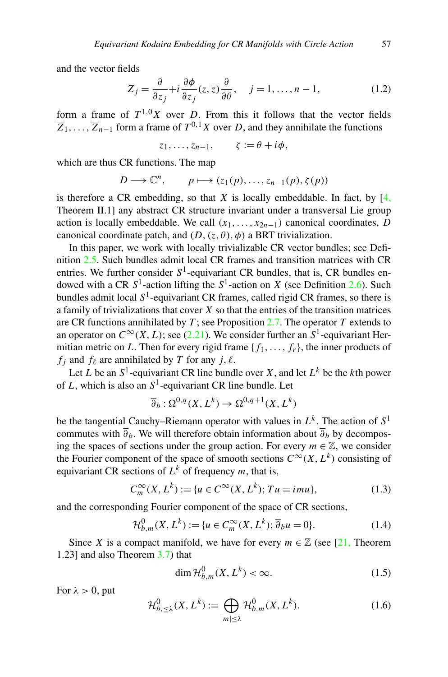<span id="page-2-0"></span>and the vector fields

$$
Z_j = \frac{\partial}{\partial z_j} + i \frac{\partial \phi}{\partial z_j} (z, \overline{z}) \frac{\partial}{\partial \theta}, \quad j = 1, \dots, n-1,
$$
 (1.2)

form a frame of  $T^{1,0}X$  over *D*. From this it follows that the vector fields  $\overline{Z}_1, \ldots, \overline{Z}_{n-1}$  form a frame of  $T^{0,1}X$  over *D*, and they annihilate the functions

$$
z_1,\ldots,z_{n-1},\qquad \zeta:=\theta+i\phi,
$$

which are thus CR functions. The map

$$
D \longrightarrow \mathbb{C}^n, \qquad p \longmapsto (z_1(p), \dots, z_{n-1}(p), \zeta(p))
$$

is therefore a CR embedding, so that  $X$  is locally embeddable. In fact, by  $[4, 1]$  $[4, 1]$  $[4, 1]$ Theorem II.1] any abstract CR structure invariant under a transversal Lie group action is locally embeddable. We call  $(x_1, \ldots, x_{2n-1})$  canonical coordinates, *D* canonical coordinate patch, and  $(D, (z, \theta), \phi)$  a BRT trivialization.

In this paper, we work with locally trivializable CR vector bundles; see Definition [2.5](#page-13-0). Such bundles admit local CR frames and transition matrices with CR entries. We further consider  $S^1$ -equivariant CR bundles, that is, CR bundles endowed with a CR  $S^1$ -action lifting the  $S^1$ -action on *X* (see Definition [2.6\)](#page-14-0). Such bundles admit local  $S<sup>1</sup>$ -equivariant CR frames, called rigid CR frames, so there is a family of trivializations that cover *X* so that the entries of the transition matrices are CR functions annihilated by *T* ; see Proposition [2.7.](#page-14-0) The operator *T* extends to an operator on  $C^{\infty}(X, L)$ ; see [\(2.21\)](#page-15-0). We consider further an  $S^1$ -equivariant Hermitian metric on *L*. Then for every rigid frame  $\{f_1, \ldots, f_r\}$ , the inner products of  $f_i$  and  $f_\ell$  are annihilated by *T* for any *j*,  $\ell$ .

Let *L* be an  $S^1$ -equivariant CR line bundle over *X*, and let  $L^k$  be the *k*th power of *L*, which is also an *S*1-equivariant CR line bundle. Let

$$
\overline{\partial}_b : \Omega^{0,q}(X, L^k) \to \Omega^{0,q+1}(X, L^k)
$$

be the tangential Cauchy–Riemann operator with values in  $L^k$ . The action of  $S^1$ commutes with  $\overline{\partial}_b$ . We will therefore obtain information about  $\overline{\partial}_b$  by decomposing the spaces of sections under the group action. For every  $m \in \mathbb{Z}$ , we consider the Fourier component of the space of smooth sections  $C^{\infty}(X, L^k)$  consisting of equivariant CR sections of  $L^k$  of frequency *m*, that is,

$$
C_m^{\infty}(X, L^k) := \{ u \in C^{\infty}(X, L^k); Tu = imu \},
$$
\n(1.3)

and the corresponding Fourier component of the space of CR sections,

$$
\mathcal{H}_{b,m}^0(X, L^k) := \{ u \in C_m^\infty(X, L^k); \overline{\partial}_b u = 0 \}.
$$
 (1.4)

Since *X* is a compact manifold, we have for every  $m \in \mathbb{Z}$  (see [[21,](#page-56-0) Theorem 1.23] and also Theorem [3.7](#page-24-0)) that

$$
\dim \mathcal{H}_{b,m}^0(X, L^k) < \infty. \tag{1.5}
$$

For  $\lambda > 0$ , put

$$
\mathcal{H}_{b,\leq\lambda}^{0}(X,L^{k}) := \bigoplus_{|m|\leq\lambda} \mathcal{H}_{b,m}^{0}(X,L^{k}).
$$
\n(1.6)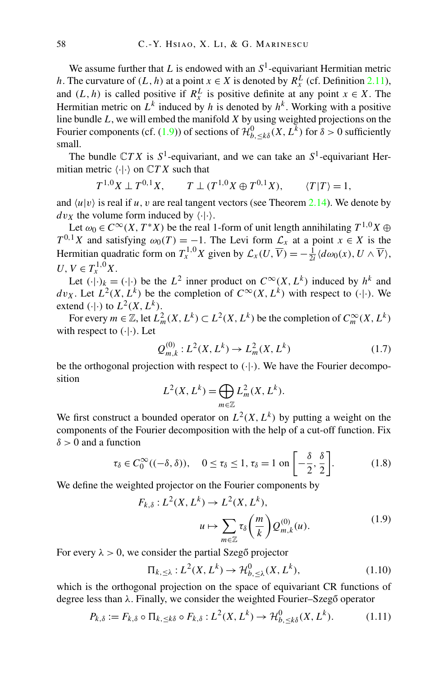<span id="page-3-0"></span>We assume further that *L* is endowed with an  $S<sup>1</sup>$ -equivariant Hermitian metric *h*. The curvature of  $(L, h)$  at a point  $x \in X$  is denoted by  $R_x^L$  (cf. Definition [2.11\)](#page-18-0), and  $(L, h)$  is called positive if  $R_x^L$  is positive definite at any point  $x \in X$ . The Hermitian metric on  $L^k$  induced by h is denoted by  $h^k$ . Working with a positive line bundle *L*, we will embed the manifold *X* by using weighted projections on the Fourier components (cf. (1.9)) of sections of  $\mathcal{H}_{b,\leq k\delta}^0(X,L^k)$  for  $\delta > 0$  sufficiently small.

The bundle  $\mathbb{C}TX$  is  $S^1$ -equivariant, and we can take an  $S^1$ -equivariant Hermitian metric  $\langle \cdot | \cdot \rangle$  on  $\mathbb{C}TX$  such that

$$
T^{1,0}X \perp T^{0,1}X
$$
,  $T \perp (T^{1,0}X \oplus T^{0,1}X)$ ,  $\langle T|T \rangle = 1$ ,

and  $\langle u | v \rangle$  is real if *u*, *v* are real tangent vectors (see Theorem [2.14](#page-18-0)). We denote by  $dv_X$  the volume form induced by  $\langle \cdot | \cdot \rangle$ .

Let  $\omega_0 \in C^\infty(X, T^*X)$  be the real 1-form of unit length annihilating  $T^{1,0}X \oplus$ *T*<sup>0,1</sup>*X* and satisfying  $\omega_0(T) = -1$ . The Levi form  $\mathcal{L}_x$  at a point  $x \in X$  is the Hermitian quadratic form on  $T_x^{1,0}X$  given by  $\mathcal{L}_x(U, \overline{V}) = -\frac{1}{2i} \langle d\omega_0(x), U \wedge \overline{V} \rangle$ ,  $U, V \in T^{1,0}_x X$ .

Let  $(\cdot|\cdot)_{k} = (\cdot|\cdot)$  be the  $L^2$  inner product on  $C^{\infty}(X, L^k)$  induced by  $h^k$  and  $dv_X$ . Let  $L^2(X, L^k)$  be the completion of  $C^\infty(X, L^k)$  with respect to  $(·)$ . We extend  $(\cdot | \cdot)$  to  $L^2(X, L^k)$ .

For every  $m \in \mathbb{Z}$ , let  $L^2_m(X, L^k) \subset L^2(X, L^k)$  be the completion of  $C_m^{\infty}(X, L^k)$ with respect to *(*·|·*)*. Let

$$
Q_{m,k}^{(0)}: L^2(X, L^k) \to L_m^2(X, L^k)
$$
\n(1.7)

be the orthogonal projection with respect to *(*·|·*)*. We have the Fourier decomposition

$$
L^{2}(X, L^{k}) = \bigoplus_{m \in \mathbb{Z}} L^{2}_{m}(X, L^{k}).
$$

We first construct a bounded operator on  $L^2(X, L^k)$  by putting a weight on the components of the Fourier decomposition with the help of a cut-off function. Fix *δ >* 0 and a function

$$
\tau_{\delta} \in C_0^{\infty}((-\delta,\delta)), \quad 0 \le \tau_{\delta} \le 1, \tau_{\delta} = 1 \text{ on } \left[ -\frac{\delta}{2}, \frac{\delta}{2} \right]. \tag{1.8}
$$

We define the weighted projector on the Fourier components by

$$
F_{k,\delta}: L^2(X, L^k) \to L^2(X, L^k),
$$
  

$$
u \mapsto \sum_{m \in \mathbb{Z}} \tau_{\delta}\left(\frac{m}{k}\right) Q_{m,k}^{(0)}(u).
$$
 (1.9)

For every  $\lambda > 0$ , we consider the partial Szegő projector

$$
\Pi_{k,\leq \lambda}: L^2(X, L^k) \to \mathcal{H}_{b,\leq \lambda}^0(X, L^k),\tag{1.10}
$$

which is the orthogonal projection on the space of equivariant CR functions of degree less than *λ*. Finally, we consider the weighted Fourier–Szegő operator

$$
P_{k,\delta} := F_{k,\delta} \circ \Pi_{k,\leq k\delta} \circ F_{k,\delta} : L^2(X, L^k) \to \mathcal{H}_{b,\leq k\delta}^0(X, L^k). \tag{1.11}
$$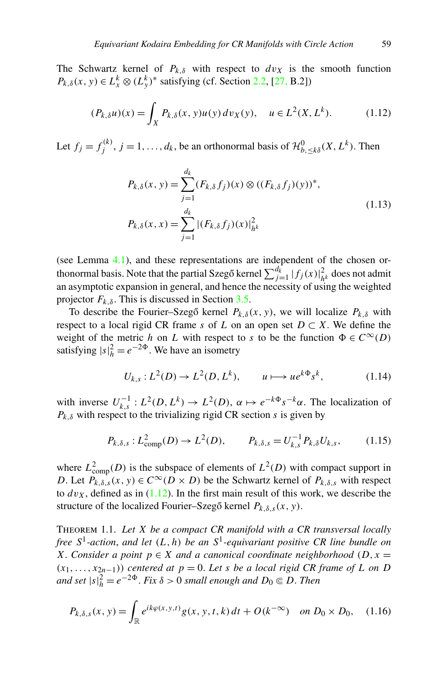<span id="page-4-0"></span>The Schwartz kernel of  $P_{k,\delta}$  with respect to  $dv_X$  is the smooth function *P<sub>k,δ</sub>*(*x*, *y*)  $\in L_x^k \otimes (L_y^k)^*$  satisfying (cf. Section [2.2,](#page-9-0) [[27,](#page-56-0) B.2])

$$
(P_{k,\delta}u)(x) = \int_X P_{k,\delta}(x, y)u(y) \, dv_X(y), \quad u \in L^2(X, L^k). \tag{1.12}
$$

Let  $f_j = f_j^{(k)}$ ,  $j = 1, ..., d_k$ , be an orthonormal basis of  $\mathcal{H}_{b, \leq k\delta}^0(X, L^k)$ . Then

$$
P_{k,\delta}(x, y) = \sum_{j=1}^{d_k} (F_{k,\delta} f_j)(x) \otimes ((F_{k,\delta} f_j)(y))^*,
$$
  
\n
$$
P_{k,\delta}(x, x) = \sum_{j=1}^{d_k} |(F_{k,\delta} f_j)(x)|_{h^k}^2
$$
\n(1.13)

(see Lemma [4.1](#page-37-0)), and these representations are independent of the chosen orthonormal basis. Note that the partial Szegő kernel  $\sum_{j=1}^{d_k} |f_j(x)|^2_{h^k}$  does not admit an asymptotic expansion in general, and hence the necessity of using the weighted projector  $F_k$ <sub>δ</sub>. This is discussed in Section [3.5](#page-34-0).

To describe the Fourier–Szegő kernel  $P_{k,\delta}(x, y)$ , we will localize  $P_{k,\delta}$  with respect to a local rigid CR frame *s* of *L* on an open set  $D \subset X$ . We define the weight of the metric *h* on *L* with respect to *s* to be the function  $\Phi \in C^{\infty}(D)$ satisfying  $|s|_h^2 = e^{-2\Phi}$ . We have an isometry

$$
U_{k,s}: L^{2}(D) \to L^{2}(D, L^{k}), \qquad u \longmapsto ue^{k\Phi}s^{k}, \tag{1.14}
$$

with inverse  $U_{k,s}^{-1}: L^2(D, L^k) \to L^2(D), \ \alpha \mapsto e^{-k\Phi} s^{-k}\alpha$ . The localization of  $P_{k,\delta}$  with respect to the trivializing rigid CR section *s* is given by

$$
P_{k,\delta,s}: L^2_{\text{comp}}(D) \to L^2(D), \qquad P_{k,\delta,s} = U_{k,s}^{-1} P_{k,\delta} U_{k,s}, \qquad (1.15)
$$

where  $L^2_{\text{comp}}(D)$  is the subspace of elements of  $L^2(D)$  with compact support in *D*. Let  $P_{k,\delta,s}(x, y) \in C^{\infty}(D \times D)$  be the Schwartz kernel of  $P_{k,\delta,s}$  with respect to  $dv_X$ , defined as in  $(1.12)$ . In the first main result of this work, we describe the structure of the localized Fourier–Szegő kernel  $P_{k,\delta,s}(x, y)$ .

Theorem 1.1. *Let X be a compact CR manifold with a CR transversal locally free S*1*-action*, *and let (L,h) be an S*1*-equivariant positive CR line bundle on X*. *Consider a point*  $p \in X$  *and a canonical coordinate neighborhood*  $(D, x =$  $(x_1, \ldots, x_{2n-1})$  *centered at*  $p = 0$ *. Let s be a local rigid CR frame of L on D and set*  $|s|^2_h = e^{-2\Phi}$ . *Fix*  $\delta > 0$  *small enough and*  $D_0 \subseteq D$ . *Then* 

$$
P_{k,\delta,s}(x,y) = \int_{\mathbb{R}} e^{ik\varphi(x,y,t)} g(x,y,t,k) dt + O(k^{-\infty}) \quad on \ D_0 \times D_0, \quad (1.16)
$$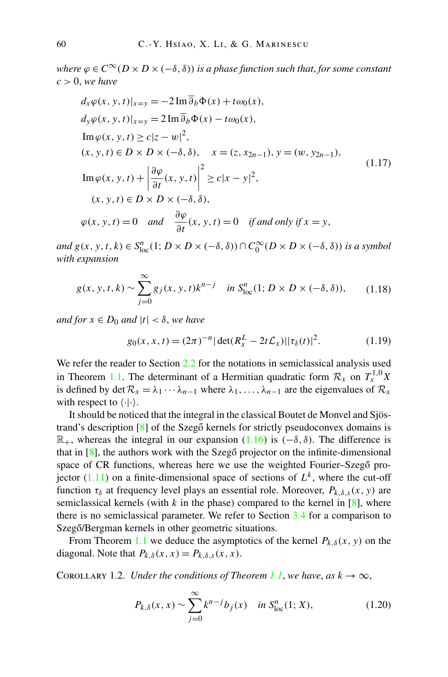<span id="page-5-0"></span>*where*  $\varphi \in C^{\infty}(D \times D \times (-\delta, \delta))$  *is a phase function such that, for some constant c >* 0, *we have*

$$
d_x \varphi(x, y, t)|_{x=y} = -2 \operatorname{Im} \overline{\partial}_b \Phi(x) + t \omega_0(x),
$$
  
\n
$$
d_y \varphi(x, y, t)|_{x=y} = 2 \operatorname{Im} \overline{\partial}_b \Phi(x) - t \omega_0(x),
$$
  
\n
$$
\operatorname{Im} \varphi(x, y, t) \ge c|z - w|^2,
$$
  
\n
$$
(x, y, t) \in D \times D \times (-\delta, \delta), \quad x = (z, x_{2n-1}), y = (w, y_{2n-1}),
$$
  
\n
$$
\operatorname{Im} \varphi(x, y, t) + \left| \frac{\partial \varphi}{\partial t}(x, y, t) \right|^2 \ge c|x - y|^2,
$$
  
\n
$$
(x, y, t) \in D \times D \times (-\delta, \delta),
$$
  
\n
$$
\varphi(x, y, t) = 0 \quad \text{and} \quad \frac{\partial \varphi}{\partial t}(x, y, t) = 0 \quad \text{if and only if } x = y,
$$
\n(1.17)

*and*  $g(x, y, t, k) \in S_{loc}^{n}(1; D \times D \times (-\delta, \delta)) \cap C_{0}^{\infty}(D \times D \times (-\delta, \delta))$  *is a symbol with expansion*

$$
g(x, y, t, k) \sim \sum_{j=0}^{\infty} g_j(x, y, t) k^{n-j} \quad \text{in } S^n_{\text{loc}}(1; D \times D \times (-\delta, \delta)), \tag{1.18}
$$

*and for*  $x \in D_0$  *and*  $|t| < \delta$ , *we have* 

$$
g_0(x, x, t) = (2\pi)^{-n} |\det(R_x^L - 2t\mathcal{L}_x)| |\tau_\delta(t)|^2.
$$
 (1.19)

We refer the reader to Section [2.2](#page-9-0) for the notations in semiclassical analysis used in Theorem [1.1.](#page-4-0) The determinant of a Hermitian quadratic form  $\mathcal{R}_x$  on  $T_x^{1,0}X$ is defined by det  $\mathcal{R}_x = \lambda_1 \cdots \lambda_{n-1}$  where  $\lambda_1, \ldots, \lambda_{n-1}$  are the eigenvalues of  $\mathcal{R}_x$ with respect to  $\langle \cdot | \cdot \rangle$ .

It should be noticed that the integral in the classical Boutet de Monvel and Sjöstrand's description  $\lceil 8 \rceil$  of the Szegő kernels for strictly pseudoconvex domains is R+, whereas the integral in our expansion ([1.16](#page-4-0)) is *(*−*δ,δ)*. The difference is that in  $[8]$  $[8]$ , the authors work with the Szegő projector on the infinite-dimensional space of CR functions, whereas here we use the weighted Fourier–Szegő projector  $(1.11)$  $(1.11)$  on a finite-dimensional space of sections of  $L^k$ , where the cut-off function  $\tau_{\delta}$  at frequency level plays an essential role. Moreover,  $P_{k,\delta,s}(x, y)$  are semiclassical kernels (with  $k$  in the phase) compared to the kernel in  $[8]$  $[8]$ , where there is no semiclassical parameter. We refer to Section [3.4](#page-33-0) for a comparison to Szegő/Bergman kernels in other geometric situations.

From Theorem [1.1](#page-4-0) we deduce the asymptotics of the kernel  $P_{k,\delta}(x, y)$  on the diagonal. Note that  $P_{k,\delta}(x, x) = P_{k,\delta,s}(x, x)$ .

COROLLARY 1.2. *Under the conditions of Theorem [1.1](#page-4-0), we have, as*  $k \to \infty$ ,

$$
P_{k,\delta}(x,x) \sim \sum_{j=0}^{\infty} k^{n-j} b_j(x) \quad \text{in } S^n_{\text{loc}}(1;X), \tag{1.20}
$$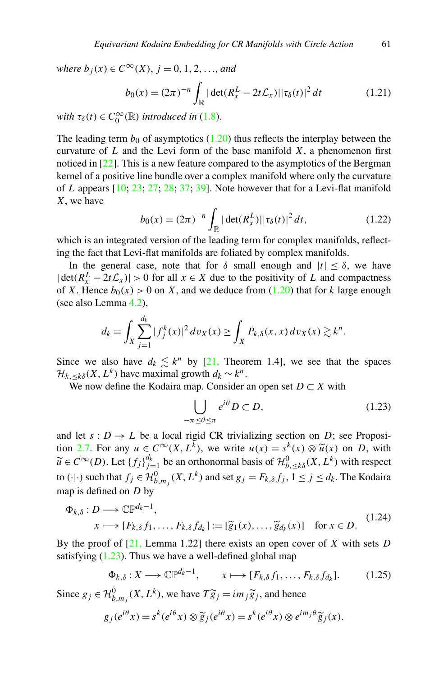<span id="page-6-0"></span>*where*  $b_j(x)$  ∈  $C^\infty(X)$ ,  $j = 0, 1, 2, \ldots$ , *and* 

$$
b_0(x) = (2\pi)^{-n} \int_{\mathbb{R}} |\det(R_x^L - 2t\mathcal{L}_x)| |\tau_\delta(t)|^2 dt
$$
 (1.21)

*with*  $\tau_{\delta}(t) \in C_0^{\infty}(\mathbb{R})$  *introduced in* ([1.8](#page-3-0)).

The leading term  $b_0$  of asymptotics  $(1.20)$  thus reflects the interplay between the curvature of  $L$  and the Levi form of the base manifold  $X$ , a phenomenon first noticed in  $[22]$  $[22]$ . This is a new feature compared to the asymptotics of the Bergman kernel of a positive line bundle over a complex manifold where only the curvature of *L* appears [[10;](#page-56-0) [23](#page-56-0); [27;](#page-56-0) [28;](#page-56-0) [37](#page-57-0); [39\]](#page-57-0). Note however that for a Levi-flat manifold *X*, we have

$$
b_0(x) = (2\pi)^{-n} \int_{\mathbb{R}} |\det(R_x^L)| |\tau_\delta(t)|^2 dt,
$$
 (1.22)

which is an integrated version of the leading term for complex manifolds, reflecting the fact that Levi-flat manifolds are foliated by complex manifolds.

In the general case, note that for  $\delta$  small enough and  $|t| \leq \delta$ , we have  $|\det(R_x^L - 2t\mathcal{L}_x)| > 0$  for all  $x \in X$  due to the positivity of *L* and compactness of *X*. Hence  $b_0(x) > 0$  on *X*, and we deduce from [\(1.20\)](#page-5-0) that for *k* large enough (see also Lemma [4.2](#page-37-0)),

$$
d_k = \int_X \sum_{j=1}^{d_k} |f_j^k(x)|^2 dv_X(x) \ge \int_X P_{k,\delta}(x,x) dv_X(x) \gtrsim k^n.
$$

Since we also have  $d_k \leq k^n$  by [\[21](#page-56-0), Theorem 1.4], we see that the spaces  $\mathcal{H}_{k, \leq k\delta}(X, L^k)$  have maximal growth  $d_k \sim k^n$ .

We now define the Kodaira map. Consider an open set  $D \subset X$  with

$$
\bigcup_{-\pi \le \theta \le \pi} e^{i\theta} D \subset D,\tag{1.23}
$$

and let  $s: D \to L$  be a local rigid CR trivializing section on *D*; see Proposi-tion [2.7.](#page-14-0) For any  $u \in C^{\infty}(X, L^{\overline{k}})$ , we write  $u(x) = s^k(x) \otimes \tilde{u}(x)$  on *D*, with  $\widetilde{u} \in C^{\infty}(D)$ . Let  $\{f_j\}_{j=1}^{d_k}$  be an orthonormal basis of  $\mathcal{H}_{b,\leq k\delta}^0(X,L^k)$  with respect to  $(\cdot | \cdot)$  such that  $f_j \in \mathcal{H}_{b,m_j}^0(X,L^k)$  and set  $g_j = F_{k,\delta} f_j, 1 \le j \le d_k$ . The Kodaira map is defined on *D* by

$$
\Phi_{k,\delta}: D \longrightarrow \mathbb{CP}^{d_k-1},
$$
  
\n $x \longmapsto [F_{k,\delta}f_1,\dots,F_{k,\delta}f_{d_k}] := [\widetilde{g}_1(x),\dots,\widetilde{g}_{d_k}(x)] \text{ for } x \in D.$  (1.24)

By the proof of [\[21](#page-56-0), Lemma 1.22] there exists an open cover of *X* with sets *D* satisfying  $(1.23)$ . Thus we have a well-defined global map

$$
\Phi_{k,\delta}: X \longrightarrow \mathbb{CP}^{d_k-1}, \qquad x \longmapsto [F_{k,\delta}f_1, \dots, F_{k,\delta}f_{d_k}]. \tag{1.25}
$$

Since  $g_j \in \mathcal{H}_{b,m_j}^0(X, L^k)$ , we have  $T \widetilde{g}_j = im_j \widetilde{g}_j$ , and hence

$$
g_j(e^{i\theta} x) = s^k(e^{i\theta} x) \otimes \widetilde{g}_j(e^{i\theta} x) = s^k(e^{i\theta} x) \otimes e^{im_j\theta} \widetilde{g}_j(x).
$$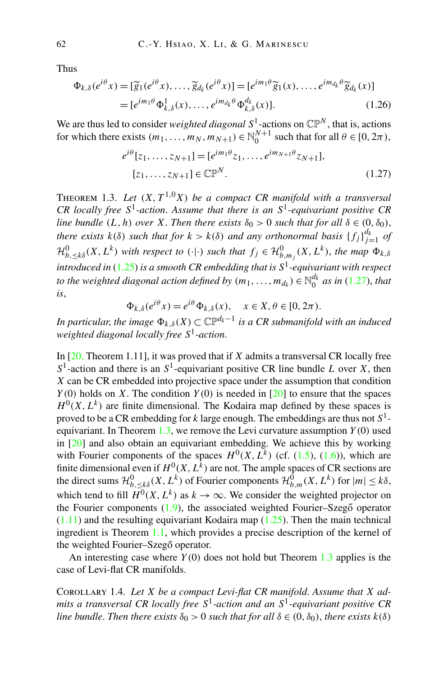<span id="page-7-0"></span>Thus

$$
\Phi_{k,\delta}(e^{i\theta}x) = [\widetilde{g}_1(e^{i\theta}x), \dots, \widetilde{g}_{d_k}(e^{i\theta}x)] = [e^{im_1\theta}\widetilde{g}_1(x), \dots, e^{im_{d_k}\theta}\widetilde{g}_{d_k}(x)]
$$
  
=  $[e^{im_1\theta}\Phi_{k,\delta}^1(x), \dots, e^{im_{d_k}\theta}\Phi_{k,\delta}^{d_k}(x)].$  (1.26)

We are thus led to consider *weighted diagonal*  $S^1$ -actions on  $\mathbb{CP}^N$ , that is, actions for which there exists  $(m_1, \ldots, m_N, m_{N+1}) \in \mathbb{N}_0^{N+1}$  such that for all  $\theta \in [0, 2\pi)$ ,

$$
e^{i\theta}[z_1, \dots, z_{N+1}] = [e^{im_1\theta} z_1, \dots, e^{im_{N+1}\theta} z_{N+1}],
$$
  
[z\_1, \dots, z\_{N+1}] \in \mathbb{CP}^N. (1.27)

THEOREM 1.3. Let  $(X, T^{1,0}X)$  be a compact CR manifold with a transversal *CR locally free S*1*-action*. *Assume that there is an S*1*-equivariant positive CR line bundle*  $(L, h)$  *over*  $X$ *. Then there exists*  $\delta_0 > 0$  *such that for all*  $\delta \in (0, \delta_0)$ , *there exists*  $k(\delta)$  *such that for*  $k > k(\delta)$  *and any orthonormal basis*  $\{f_j\}_{j=1}^{d_k}$  *of*  $\mathcal{H}_{b,\leq k\delta}^{0}(X,L^{k})$  with respect to  $(\cdot|\cdot)$  such that  $f_{j}\in \mathcal{H}_{b,m_{j}}^{0}(X,L^{k})$ , the map  $\Phi_{k,\delta}$ *introduced in* [\(1.25\)](#page-6-0) *is a smooth CR embedding that is S*1*-equivariant with respect to the weighted diagonal action defined by*  $(m_1, \ldots, m_{d_k}) \in \mathbb{N}_0^{d_k}$  *as in* (1.27), *that is*,

$$
\Phi_{k,\delta}(e^{i\theta}x) = e^{i\theta}\Phi_{k,\delta}(x), \quad x \in X, \theta \in [0, 2\pi).
$$

*In particular, the image*  $\Phi_{k,\delta}(X) \subset \mathbb{CP}^{d_k-1}$  *is a CR submanifold with an induced weighted diagonal locally free S*1*-action*.

In [\[20](#page-56-0), Theorem 1.11], it was proved that if *X* admits a transversal CR locally free  $S<sup>1</sup>$ -action and there is an  $S<sup>1</sup>$ -equivariant positive CR line bundle *L* over *X*, then *X* can be CR embedded into projective space under the assumption that condition  $Y(0)$  holds on *X*. The condition  $Y(0)$  is needed in [\[20](#page-56-0)] to ensure that the spaces  $H^{0}(X, L^{k})$  are finite dimensional. The Kodaira map defined by these spaces is proved to be a CR embedding for *k* large enough. The embeddings are thus not *S*1 equivariant. In Theorem  $1.3$ , we remove the Levi curvature assumption  $Y(0)$  used in [\[20](#page-56-0)] and also obtain an equivariant embedding. We achieve this by working with Fourier components of the spaces  $H^0(X, L^k)$  (cf. ([1.5](#page-2-0)), ([1.6](#page-2-0))), which are finite dimensional even if  $H^0(X, L^{\hat{k}})$  are not. The ample spaces of CR sections are the direct sums  $\mathcal{H}_{b,\leq k\delta}^0(X,L^k)$  of Fourier components  $\mathcal{H}_{b,m}^0(X,L^k)$  for  $|m| \leq k\delta$ , which tend to fill  $\overline{H}^0(X, L^k)$  as  $k \to \infty$ . We consider the weighted projector on the Fourier components  $(1.9)$  $(1.9)$  $(1.9)$ , the associated weighted Fourier–Szegő operator  $(1.11)$  $(1.11)$  $(1.11)$  and the resulting equivariant Kodaira map  $(1.25)$ . Then the main technical ingredient is Theorem [1.1](#page-4-0), which provides a precise description of the kernel of the weighted Fourier–Szegő operator.

An interesting case where *Y(*0*)* does not hold but Theorem 1.3 applies is the case of Levi-flat CR manifolds.

Corollary 1.4. *Let X be a compact Levi-flat CR manifold*. *Assume that X admits a transversal CR locally free S*1*-action and an S*1*-equivariant positive CR line bundle. Then there exists*  $\delta_0 > 0$  *such that for all*  $\delta \in (0, \delta_0)$ *, there exists*  $k(\delta)$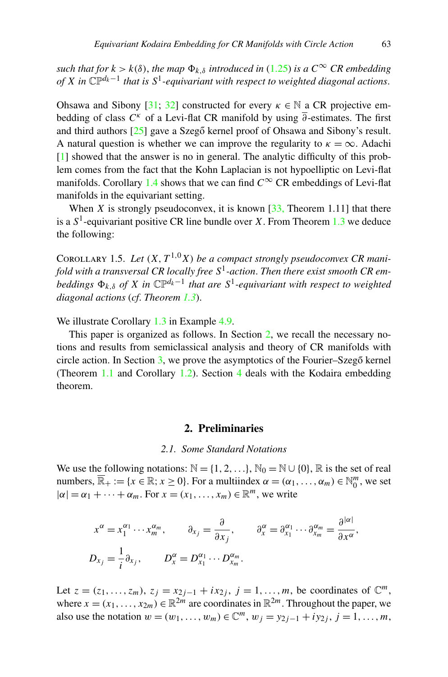<span id="page-8-0"></span>*such that for*  $k > k(\delta)$ , *the map*  $\Phi_{k,\delta}$  *introduced in* [\(1.25\)](#page-6-0) *is a*  $C^{\infty}$  *CR embedding of X* in  $\mathbb{CP}^{d_k-1}$  *that is*  $S^1$ *-equivariant with respect to weighted diagonal actions.* 

Ohsawa and Sibony [[31;](#page-57-0) [32](#page-57-0)] constructed for every  $\kappa \in \mathbb{N}$  a CR projective embedding of class  $C^k$  of a Levi-flat CR manifold by using  $\overline{\partial}$ -estimates. The first and third authors  $[25]$  $[25]$  gave a Szegő kernel proof of Ohsawa and Sibony's result. A natural question is whether we can improve the regularity to  $\kappa = \infty$ . Adachi [[1\]](#page-55-0) showed that the answer is no in general. The analytic difficulty of this problem comes from the fact that the Kohn Laplacian is not hypoelliptic on Levi-flat manifolds. Corollary [1.4](#page-7-0) shows that we can find  $C^{\infty}$  CR embeddings of Levi-flat manifolds in the equivariant setting.

When *X* is strongly pseudoconvex, it is known  $[33,$  $[33,$  Theorem 1.11] that there is a  $S^1$ -equivariant positive CR line bundle over *X*. From Theorem [1.3](#page-7-0) we deduce the following:

COROLLARY 1.5. Let  $(X, T^{1,0}X)$  be a compact strongly pseudoconvex CR mani*fold with a transversal CR locally free S*1*-action*. *Then there exist smooth CR embeddings*  $\Phi_k \circ f X$  *in*  $\mathbb{CP}^{d_k-1}$  *that are*  $S^1$ -equivariant with respect to weighted *diagonal actions* (*cf*. *Theorem [1.3](#page-7-0)*).

We illustrate Corollary [1.3](#page-7-0) in Example [4.9.](#page-55-0)

This paper is organized as follows. In Section 2, we recall the necessary notions and results from semiclassical analysis and theory of CR manifolds with circle action. In Section  $3$ , we prove the asymptotics of the Fourier–Szegő kernel (Theorem [1.1](#page-4-0) and Corollary [1.2\)](#page-5-0). Section [4](#page-37-0) deals with the Kodaira embedding theorem.

## **2. Preliminaries**

#### *2.1. Some Standard Notations*

We use the following notations:  $\mathbb{N} = \{1, 2, \ldots\}$ ,  $\mathbb{N}_0 = \mathbb{N} \cup \{0\}$ ,  $\mathbb{R}$  is the set of real numbers,  $\overline{\mathbb{R}}_+ := \{x \in \mathbb{R}; x \ge 0\}$ . For a multiindex  $\alpha = (\alpha_1, \dots, \alpha_m) \in \mathbb{N}_0^m$ , we set  $|\alpha| = \alpha_1 + \cdots + \alpha_m$ . For  $x = (x_1, \ldots, x_m) \in \mathbb{R}^m$ , we write

$$
x^{\alpha} = x_1^{\alpha_1} \cdots x_m^{\alpha_m}, \qquad \partial_{x_j} = \frac{\partial}{\partial x_j}, \qquad \partial_x^{\alpha} = \partial_{x_1}^{\alpha_1} \cdots \partial_{x_m}^{\alpha_m} = \frac{\partial^{|\alpha|}}{\partial x^{\alpha}},
$$
  

$$
D_{x_j} = \frac{1}{i} \partial_{x_j}, \qquad D_x^{\alpha} = D_{x_1}^{\alpha_1} \cdots D_{x_m}^{\alpha_m}.
$$

Let *z* =  $(z_1, ..., z_m)$ , *z<sub>j</sub>* =  $x_{2j-1} + ix_{2j}$ , *j* = 1,...,*m*, be coordinates of  $\mathbb{C}^m$ , where  $x = (x_1, \ldots, x_{2m}) \in \mathbb{R}^{2m}$  are coordinates in  $\mathbb{R}^{2m}$ . Throughout the paper, we also use the notation  $w = (w_1, \ldots, w_m) \in \mathbb{C}^m$ ,  $w_j = y_{2j-1} + iy_{2j}$ ,  $j = 1, \ldots, m$ ,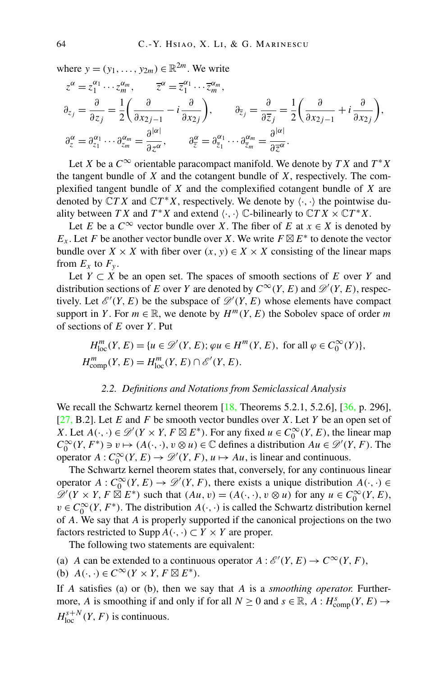<span id="page-9-0"></span>where  $y = (y_1, \ldots, y_{2m}) \in \mathbb{R}^{2m}$ . We write

$$
z^{\alpha} = z_1^{\alpha_1} \cdots z_m^{\alpha_m}, \qquad \overline{z}^{\alpha} = \overline{z}_1^{\alpha_1} \cdots \overline{z}_m^{\alpha_m},
$$
  
\n
$$
\partial_{z_j} = \frac{\partial}{\partial z_j} = \frac{1}{2} \left( \frac{\partial}{\partial x_{2j-1}} - i \frac{\partial}{\partial x_{2j}} \right), \qquad \partial_{\overline{z}_j} = \frac{\partial}{\partial \overline{z}_j} = \frac{1}{2} \left( \frac{\partial}{\partial x_{2j-1}} + i \frac{\partial}{\partial x_{2j}} \right),
$$
  
\n
$$
\partial_z^{\alpha} = \partial_{z_1}^{\alpha_1} \cdots \partial_{z_m}^{\alpha_m} = \frac{\partial^{|\alpha|}}{\partial z^{\alpha}}, \qquad \partial_{\overline{z}}^{\alpha} = \partial_{\overline{z}_1}^{\alpha_1} \cdots \partial_{\overline{z}_m}^{\alpha_m} = \frac{\partial^{|\alpha|}}{\partial \overline{z}^{\alpha}}.
$$

Let *X* be a  $C^{\infty}$  orientable paracompact manifold. We denote by *TX* and  $T^*X$ the tangent bundle of *X* and the cotangent bundle of *X*, respectively. The complexified tangent bundle of *X* and the complexified cotangent bundle of *X* are denoted by  $\mathbb{C}TX$  and  $\mathbb{C}T^*X$ , respectively. We denote by  $\langle \cdot, \cdot \rangle$  the pointwise duality between *TX* and  $T^*X$  and extend  $\langle \cdot, \cdot \rangle$   $\mathbb{C}$ -bilinearly to  $\mathbb{C}TX \times \mathbb{C}T^*X$ .

Let *E* be a  $C^{\infty}$  vector bundle over *X*. The fiber of *E* at  $x \in X$  is denoted by *E<sub>x</sub>*. Let *F* be another vector bundle over *X*. We write  $F \boxtimes E^*$  to denote the vector bundle over *X* × *X* with fiber over  $(x, y) \in X \times X$  consisting of the linear maps from  $E_x$  to  $F_y$ .

Let  $Y \subset X$  be an open set. The spaces of smooth sections of  $E$  over  $Y$  and distribution sections of *E* over *Y* are denoted by  $C^{\infty}(Y, E)$  and  $\mathscr{D}'(Y, E)$ , respectively. Let  $\mathcal{E}'(Y, E)$  be the subspace of  $\mathcal{D}'(Y, E)$  whose elements have compact support in *Y*. For  $m \in \mathbb{R}$ , we denote by  $H^m(Y, E)$  the Sobolev space of order *m* of sections of *E* over *Y* . Put

$$
H_{\text{loc}}^m(Y, E) = \{ u \in \mathcal{D}'(Y, E) ; \varphi u \in H^m(Y, E), \text{ for all } \varphi \in C_0^{\infty}(Y) \},
$$
  

$$
H_{\text{comp}}^m(Y, E) = H_{\text{loc}}^m(Y, E) \cap \mathcal{E}'(Y, E).
$$

#### *2.2. Definitions and Notations from Semiclassical Analysis*

We recall the Schwartz kernel theorem  $[18,$  $[18,$  Theorems 5.2.1, 5.2.6],  $[36, p. 296]$  $[36, p. 296]$ , [[27,](#page-56-0) B.2]. Let *E* and *F* be smooth vector bundles over *X*. Let *Y* be an open set of *X*. Let  $A(\cdot, \cdot) \in \mathcal{D}'(Y \times Y, F \boxtimes E^*)$ . For any fixed  $u \in C_0^\infty(Y, E)$ , the linear map  $C_0^{\infty}(Y, F^*) \ni v \mapsto (A(\cdot, \cdot), v \otimes u) \in \mathbb{C}$  defines a distribution  $Au \in \mathcal{D}'(Y, F)$ . The operator  $A: C_0^\infty(Y, E) \to \mathscr{D}'(Y, F), u \mapsto Au$ , is linear and continuous.

The Schwartz kernel theorem states that, conversely, for any continuous linear operator  $A: C_0^\infty(Y, E) \to \mathscr{D}'(Y, F)$ , there exists a unique distribution  $A(\cdot, \cdot) \in$  $\mathscr{D}'(Y \times Y, F \boxtimes E^*)$  such that  $(Au, v) = (A(\cdot, \cdot), v \otimes u)$  for any  $u \in C_0^{\infty}(Y, E)$ ,  $v \in C_0^{\infty}(Y, F^*)$ . The distribution  $A(\cdot, \cdot)$  is called the Schwartz distribution kernel of *A*. We say that *A* is properly supported if the canonical projections on the two factors restricted to Supp  $A(\cdot, \cdot) \subset Y \times Y$  are proper.

The following two statements are equivalent:

(a) *A* can be extended to a continuous operator  $A : \mathcal{E}'(Y, E) \to C^\infty(Y, F)$ , (b)  $A(\cdot, \cdot) \in C^{\infty}(Y \times Y, F \boxtimes E^*)$ .

If *A* satisfies (a) or (b), then we say that *A* is a *smoothing operator.* Furthermore, *A* is smoothing if and only if for all  $N \ge 0$  and  $s \in \mathbb{R}$ ,  $A : H^s_{\text{comp}}(Y, E) \to$  $H_{\text{loc}}^{s+N}(Y, F)$  is continuous.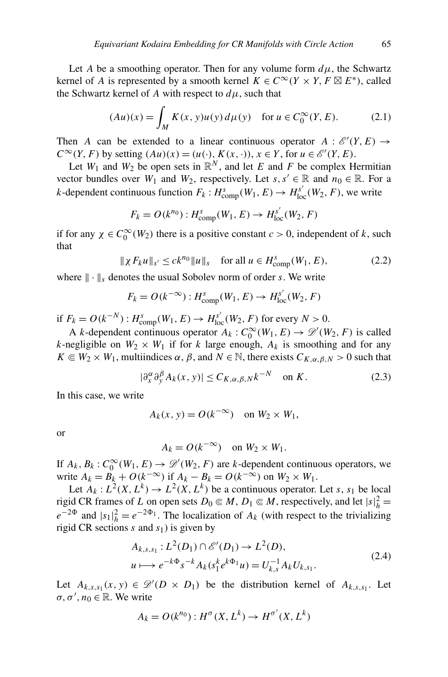<span id="page-10-0"></span>Let *A* be a smoothing operator. Then for any volume form  $d\mu$ , the Schwartz kernel of *A* is represented by a smooth kernel  $K \in C^{\infty}(Y \times Y, F \boxtimes E^*)$ , called the Schwartz kernel of *A* with respect to  $d\mu$ , such that

$$
(Au)(x) = \int_M K(x, y)u(y) d\mu(y) \text{ for } u \in C_0^{\infty}(Y, E). \tag{2.1}
$$

Then *A* can be extended to a linear continuous operator  $A : \mathcal{E}'(Y, E) \to$ *C*<sup>∞</sup>*(Y, F)* by setting  $(Au)(x) = (u(·), K(x, ·))$ ,  $x \in Y$ , for  $u \in \mathcal{E}'(Y, E)$ .

Let  $W_1$  and  $W_2$  be open sets in  $\mathbb{R}^N$ , and let *E* and *F* be complex Hermitian vector bundles over *W*<sub>1</sub> and *W*<sub>2</sub>, respectively. Let *s*, *s'*  $\in \mathbb{R}$  and  $n_0 \in \mathbb{R}$ . For a *k*-dependent continuous function  $F_k: H^s_{\text{comp}}(W_1, E) \to H^{s'}_{\text{loc}}(W_2, F)$ , we write

$$
F_k = O(k^{n_0}) : H^s_{\text{comp}}(W_1, E) \to H^{s'}_{\text{loc}}(W_2, F)
$$

if for any  $\chi \in C_0^{\infty}(W_2)$  there is a positive constant  $c > 0$ , independent of *k*, such that

$$
\|\chi F_k u\|_{s'} \le ck^{n_0} \|u\|_s \quad \text{for all } u \in H^s_{\text{comp}}(W_1, E), \tag{2.2}
$$

where  $\|\cdot\|_s$  denotes the usual Sobolev norm of order *s*. We write

$$
F_k = O(k^{-\infty}): H^s_{\text{comp}}(W_1, E) \to H^{s'}_{\text{loc}}(W_2, F)
$$

if  $F_k = O(k^{-N})$ :  $H_{\text{comp}}^s(W_1, E)$  →  $H_{\text{loc}}^{s'}(W_2, F)$  for every  $N > 0$ .

A *k*-dependent continuous operator  $A_k: C_0^{\infty}(W_1, E) \to \mathscr{D}'(W_2, F)$  is called *k*-negligible on  $W_2 \times W_1$  if for *k* large enough,  $A_k$  is smoothing and for any  $K \in W_2 \times W_1$ , multiindices  $\alpha$ ,  $\beta$ , and  $N \in \mathbb{N}$ , there exists  $C_{K,\alpha,\beta,N} > 0$  such that

$$
|\partial_x^{\alpha}\partial_y^{\beta} A_k(x, y)| \le C_{K,\alpha,\beta,N} k^{-N} \quad \text{on } K. \tag{2.3}
$$

In this case, we write

$$
A_k(x, y) = O(k^{-\infty}) \quad \text{on } W_2 \times W_1,
$$

or

$$
A_k = O(k^{-\infty}) \quad \text{on } W_2 \times W_1.
$$

If  $A_k$ ,  $B_k$ :  $C_0^{\infty}(W_1, E) \to \mathscr{D}'(W_2, F)$  are *k*-dependent continuous operators, we write  $A_k = B_k + O(k^{-\infty})$  if  $A_k - B_k = O(k^{-\infty})$  on  $W_2 \times W_1$ .

Let  $A_k: L^2(X, L^k) \to L^2(X, L^k)$  be a continuous operator. Let *s*, *s*<sub>1</sub> be local rigid CR frames of *L* on open sets  $D_0 \\\in M$ ,  $D_1 \\in M$ , respectively, and let  $|s|_h^2 =$  $e^{-2\Phi}$  and  $|s_1|^2_h = e^{-2\Phi_1}$ . The localization of  $A_k$  (with respect to the trivializing rigid CR sections  $s$  and  $s<sub>1</sub>$ ) is given by

$$
A_{k,s,s_1}: L^2(D_1) \cap \mathcal{E}'(D_1) \to L^2(D),
$$
  
\n
$$
u \longmapsto e^{-k\Phi} s^{-k} A_k(s_1^k e^{k\Phi_1} u) = U_{k,s}^{-1} A_k U_{k,s_1}.
$$
\n(2.4)

Let  $A_{k,s,s_1}(x, y) \in \mathcal{D}'(D \times D_1)$  be the distribution kernel of  $A_{k,s,s_1}$ . Let  $\sigma, \sigma', n_0 \in \mathbb{R}$ . We write

$$
A_k = O(k^{n_0}) : H^{\sigma}(X, L^k) \to H^{\sigma'}(X, L^k)
$$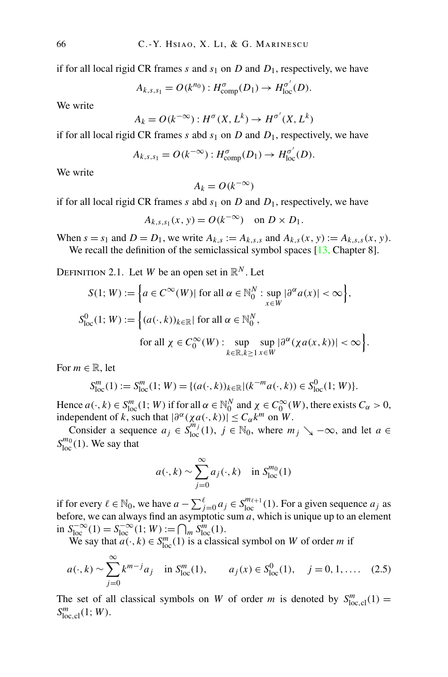if for all local rigid CR frames  $s$  and  $s_1$  on  $D$  and  $D_1$ , respectively, we have

$$
A_{k,s,s_1}=O(k^{n_0}):H^{\sigma}_{\text{comp}}(D_1)\to H^{\sigma'}_{\text{loc}}(D).
$$

We write

$$
A_k = O(k^{-\infty}): H^{\sigma}(X, L^k) \to H^{\sigma'}(X, L^k)
$$

if for all local rigid CR frames  $s$  abd  $s_1$  on  $D$  and  $D_1$ , respectively, we have

$$
A_{k,s,s_1} = O(k^{-\infty}): H_{\text{comp}}^{\sigma}(D_1) \to H_{\text{loc}}^{\sigma'}(D).
$$

We write

 $A_k = O(k^{-\infty})$ 

if for all local rigid CR frames  $s$  abd  $s_1$  on  $D$  and  $D_1$ , respectively, we have

$$
A_{k,s,s_1}(x, y) = O(k^{-\infty}) \quad \text{on } D \times D_1.
$$

When  $s = s_1$  and  $D = D_1$ , we write  $A_{k,s} := A_{k,s,s}$  and  $A_{k,s}(x, y) := A_{k,s,s}(x, y)$ . We recall the definition of the semiclassical symbol spaces  $[13,$  $[13,$  Chapter 8].

DEFINITION 2.1. Let *W* be an open set in  $\mathbb{R}^N$ . Let

$$
S(1; W) := \left\{ a \in C^{\infty}(W) | \text{ for all } \alpha \in \mathbb{N}_0^N : \sup_{x \in W} |\partial^{\alpha} a(x)| < \infty \right\},
$$
  

$$
S_{\text{loc}}^0(1; W) := \left\{ (a(\cdot, k))_{k \in \mathbb{R}} | \text{ for all } \alpha \in \mathbb{N}_0^N,
$$
  
for all  $\chi \in C_0^{\infty}(W) : \sup_{k \in \mathbb{R}, k \ge 1} \sup_{x \in W} |\partial^{\alpha} (\chi a(x, k))| < \infty \right\}.$ 

For  $m \in \mathbb{R}$ , let

$$
S_{\text{loc}}^m(1) := S_{\text{loc}}^m(1; W) = \{ (a(\cdot, k))_{k \in \mathbb{R}} | (k^{-m} a(\cdot, k)) \in S_{\text{loc}}^0(1; W) \}.
$$

Hence  $a(\cdot, k) \in S_{loc}^m(1; W)$  if for all  $\alpha \in \mathbb{N}_0^N$  and  $\chi \in C_0^\infty(W)$ , there exists  $C_\alpha > 0$ , independent of *k*, such that  $|\partial^{\alpha}(Xa(\cdot,k))| \leq C_{\alpha}k^{m}$  on *W*.

Consider a sequence  $a_j \in S_{\text{loc}}^{m_j}(1)$ ,  $j \in \mathbb{N}_0$ , where  $m_j \searrow -\infty$ , and let  $a \in$  $S^{m_0}_{loc}(1)$ . We say that

$$
a(\cdot, k) \sim \sum_{j=0}^{\infty} a_j(\cdot, k) \quad \text{in } S_{\text{loc}}^{m_0}(1)
$$

if for every  $\ell \in \mathbb{N}_0$ , we have  $a - \sum_{j=0}^{\ell} a_j \in S_{loc}^{m_{\ell+1}}(1)$ . For a given sequence  $a_j$  as before, we can always find an asymptotic sum  $a$ , which is unique up to an element  $\lim_{\text{loc}} S^{-\infty}_{\text{loc}}(1) = S^{-\infty}_{\text{loc}}(1; W) := \bigcap_{m} S^{m}_{\text{loc}}(1).$ 

We say that  $a(\cdot, k) \in S_{loc}^m(1)$  is a classical symbol on *W* of order *m* if

$$
a(\cdot, k) \sim \sum_{j=0}^{\infty} k^{m-j} a_j
$$
 in  $S_{loc}^m(1)$ ,  $a_j(x) \in S_{loc}^0(1)$ ,  $j = 0, 1, ....$  (2.5)

The set of all classical symbols on *W* of order *m* is denoted by  $S^m_{\text{loc,cl}}(1) =$  $S^m_{\text{loc,cl}}(1;W)$ .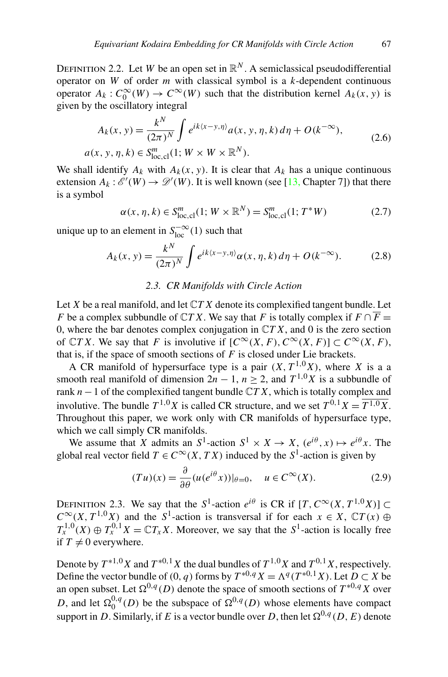DEFINITION 2.2. Let *W* be an open set in  $\mathbb{R}^N$ . A semiclassical pseudodifferential operator on *W* of order *m* with classical symbol is a *k*-dependent continuous operator  $A_k$ :  $C_0^{\infty}(W) \to C^{\infty}(W)$  such that the distribution kernel  $A_k(x, y)$  is given by the oscillatory integral

$$
A_k(x, y) = \frac{k^N}{(2\pi)^N} \int e^{ik\langle x - y, \eta \rangle} a(x, y, \eta, k) d\eta + O(k^{-\infty}),
$$
  
 
$$
a(x, y, \eta, k) \in S^m_{\text{loc,cl}}(1; W \times W \times \mathbb{R}^N).
$$
 (2.6)

We shall identify  $A_k$  with  $A_k(x, y)$ . It is clear that  $A_k$  has a unique continuous extension  $A_k: \mathscr{E}'(W) \to \mathscr{D}'(W)$ . It is well known (see [\[13](#page-56-0), Chapter 7]) that there is a symbol

$$
\alpha(x, \eta, k) \in S^{m}_{\text{loc,cl}}(1; W \times \mathbb{R}^{N}) = S^{m}_{\text{loc,cl}}(1; T^{*}W)
$$
 (2.7)

unique up to an element in  $S_{\text{loc}}^{-\infty}(1)$  such that

$$
A_k(x, y) = \frac{k^N}{(2\pi)^N} \int e^{ik(x-y, \eta)} \alpha(x, \eta, k) d\eta + O(k^{-\infty}).
$$
 (2.8)

## *2.3. CR Manifolds with Circle Action*

Let *X* be a real manifold, and let C*T X* denote its complexified tangent bundle. Let *F* be a complex subbundle of  $\mathbb{C}TX$ . We say that *F* is totally complex if  $F \cap \overline{F} =$ 0, where the bar denotes complex conjugation in C*T X*, and 0 is the zero section of  $\mathbb{C}TX$ . We say that *F* is involutive if  $[C^{\infty}(X, F), C^{\infty}(X, F)] \subset C^{\infty}(X, F)$ , that is, if the space of smooth sections of *F* is closed under Lie brackets.

A CR manifold of hypersurface type is a pair  $(X, T^{1,0}X)$ , where *X* is a a smooth real manifold of dimension  $2n - 1$ ,  $n \ge 2$ , and  $T^{1,0}X$  is a subbundle of rank *n*−1 of the complexified tangent bundle C*T X*, which is totally complex and involutive. The bundle  $T^{1,0}X$  is called CR structure, and we set  $T^{0,1}X = \overline{T^{1,0}X}$ . Throughout this paper, we work only with CR manifolds of hypersurface type, which we call simply CR manifolds.

We assume that *X* admits an  $S^1$ -action  $S^1 \times X \to X$ ,  $(e^{i\theta}, x) \mapsto e^{i\theta}x$ . The global real vector field  $T \in C^{\infty}(X, TX)$  induced by the  $S^1$ -action is given by

$$
(Tu)(x) = \frac{\partial}{\partial \theta} (u(e^{i\theta}x))|_{\theta=0}, \quad u \in C^{\infty}(X). \tag{2.9}
$$

DEFINITION 2.3. We say that the  $S^1$ -action  $e^{i\theta}$  is CR if  $[T, C^\infty(X, T^{1,0}X)] \subset$  $C^{\infty}(X, T^{1,0}X)$  and the *S*<sup>1</sup>-action is transversal if for each  $x \in X$ ,  $\mathbb{C}T(x) \oplus$  $T_{\rm r}^{1,0}(X) \oplus T_{\rm r}^{0,1}X = \mathbb{C}T_{\rm r}X$ . Moreover, we say that the *S*<sup>1</sup>-action is locally free if  $T \neq 0$  everywhere.

Denote by  $T^{*1,0}X$  and  $T^{*0,1}X$  the dual bundles of  $T^{1,0}X$  and  $T^{0,1}X$ , respectively. Define the vector bundle of  $(0, q)$  forms by  $T^{*0,q}X = \Lambda^q(T^{*0,1}X)$ . Let  $D \subset X$  be an open subset. Let  $\Omega^{0,q}(D)$  denote the space of smooth sections of  $T^{*0,q}X$  over *D*, and let  $\Omega_0^{0,q}(D)$  be the subspace of  $\Omega^{0,q}(D)$  whose elements have compact support in *D*. Similarly, if *E* is a vector bundle over *D*, then let  $\Omega^{0,q}(D, E)$  denote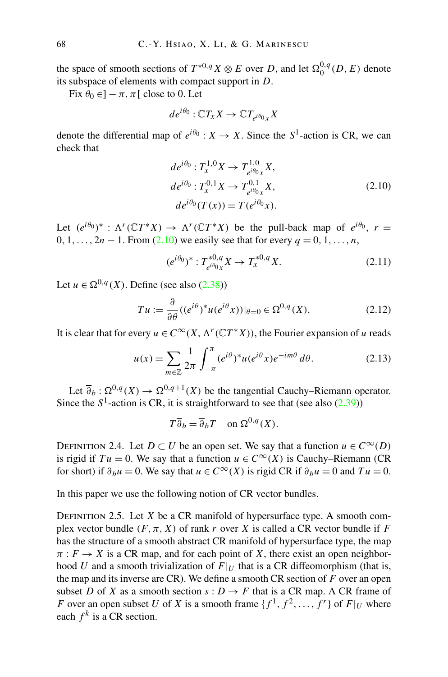<span id="page-13-0"></span>the space of smooth sections of  $T^{*0,q}X \otimes E$  over *D*, and let  $\Omega_0^{0,q}(D, E)$  denote its subspace of elements with compact support in *D*.

Fix  $\theta_0 \in ]-\pi, \pi[$  close to 0. Let

$$
de^{i\theta_0} : \mathbb{C} T_x X \to \mathbb{C} T_{e^{i\theta_0} x} X
$$

denote the differential map of  $e^{i\theta_0}$  :  $X \to X$ . Since the  $S^1$ -action is CR, we can check that

$$
de^{i\theta_0}: T_x^{1,0} X \to T_{e^{i\theta_0} x}^{1,0} X,
$$
  
\n
$$
de^{i\theta_0}: T_x^{0,1} X \to T_{e^{i\theta_0} x}^{0,1} X,
$$
  
\n
$$
de^{i\theta_0} (T(x)) = T(e^{i\theta_0} x).
$$
\n(2.10)

Let  $(e^{i\theta_0})^*$ :  $\Lambda^r(\mathbb{C}T^*X) \to \Lambda^r(\mathbb{C}T^*X)$  be the pull-back map of  $e^{i\theta_0}$ ,  $r =$ 0, 1, ...,  $2n - 1$ . From (2.10) we easily see that for every  $q = 0, 1, ..., n$ ,

$$
(e^{i\theta_0})^* : T_{e^{i\theta_0}x}^{*0,q} X \to T_x^{*0,q} X. \tag{2.11}
$$

Let  $u \in \Omega^{0,q}(X)$ . Define (see also [\(2.38\)](#page-19-0))

$$
Tu := \frac{\partial}{\partial \theta} \left( (e^{i\theta})^* u(e^{i\theta} x) \right)|_{\theta=0} \in \Omega^{0,q}(X). \tag{2.12}
$$

It is clear that for every  $u \in C^{\infty}(X, \Lambda^r(\mathbb{C}T^*X))$ , the Fourier expansion of *u* reads

$$
u(x) = \sum_{m \in \mathbb{Z}} \frac{1}{2\pi} \int_{-\pi}^{\pi} (e^{i\theta})^* u(e^{i\theta} x) e^{-im\theta} d\theta.
$$
 (2.13)

Let  $\overline{\partial}_b : \Omega^{0,q}(X) \to \Omega^{0,q+1}(X)$  be the tangential Cauchy–Riemann operator. Since the  $S^1$ -action is CR, it is straightforward to see that (see also  $(2.39)$ )

$$
T\overline{\partial}_b = \overline{\partial}_b T \quad \text{on } \Omega^{0,q}(X).
$$

DEFINITION 2.4. Let  $D \subset U$  be an open set. We say that a function  $u \in C^{\infty}(D)$ is rigid if  $Tu = 0$ . We say that a function  $u \in C^{\infty}(X)$  is Cauchy–Riemann (CR for short) if  $\overline{\partial}_b u = 0$ . We say that  $u \in C^\infty(X)$  is rigid CR if  $\overline{\partial}_b u = 0$  and  $Tu = 0$ .

In this paper we use the following notion of CR vector bundles.

DEFINITION 2.5. Let  $X$  be a CR manifold of hypersurface type. A smooth complex vector bundle  $(F, \pi, X)$  of rank *r* over *X* is called a CR vector bundle if *F* has the structure of a smooth abstract CR manifold of hypersurface type, the map  $\pi$ :  $F \to X$  is a CR map, and for each point of *X*, there exist an open neighborhood *U* and a smooth trivialization of  $F|_U$  that is a CR diffeomorphism (that is, the map and its inverse are CR). We define a smooth CR section of *F* over an open subset *D* of *X* as a smooth section  $s: D \to F$  that is a CR map. A CR frame of *F* over an open subset *U* of *X* is a smooth frame  $\{f^1, f^2, \ldots, f^r\}$  of  $F|_U$  where each  $f^k$  is a CR section.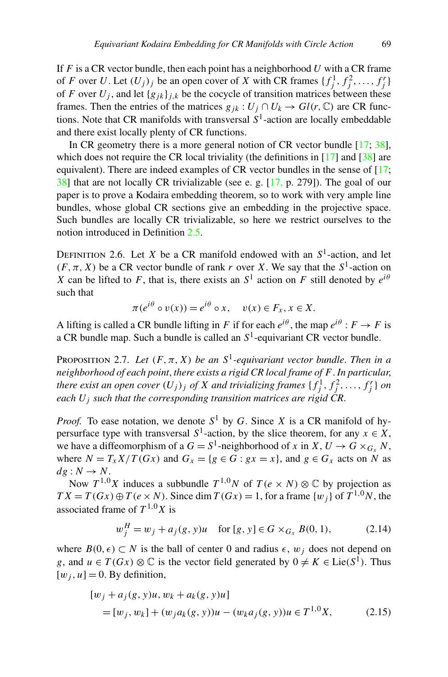<span id="page-14-0"></span>If *F* is a CR vector bundle, then each point has a neighborhood *U* with a CR frame of *F* over *U*. Let  $(U_j)_j$  be an open cover of *X* with CR frames  $\{f_j^1, f_j^2, \ldots, f_j^r\}$ of *F* over  $U_j$ , and let  $\{g_{jk}\}_{j,k}$  be the cocycle of transition matrices between these frames. Then the entries of the matrices  $g_{jk}: U_j \cap U_k \to Gl(r, \mathbb{C})$  are CR functions. Note that CR manifolds with transversal  $S<sup>1</sup>$ -action are locally embeddable and there exist locally plenty of CR functions.

In CR geometry there is a more general notion of CR vector bundle  $[17; 38]$  $[17; 38]$  $[17; 38]$  $[17; 38]$ , which does not require the CR local triviality (the definitions in  $[17]$  $[17]$  and  $[38]$  $[38]$  are equivalent). There are indeed examples of CR vector bundles in the sense of [[17;](#page-56-0) [38\]](#page-57-0) that are not locally CR trivializable (see e. g. [\[17](#page-56-0), p. 279]). The goal of our paper is to prove a Kodaira embedding theorem, so to work with very ample line bundles, whose global CR sections give an embedding in the projective space. Such bundles are locally CR trivializable, so here we restrict ourselves to the notion introduced in Definition [2.5](#page-13-0).

DEFINITION 2.6. Let *X* be a CR manifold endowed with an  $S^1$ -action, and let  $(F, \pi, X)$  be a CR vector bundle of rank *r* over *X*. We say that the  $S^1$ -action on *X* can be lifted to *F*, that is, there exists an  $S<sup>1</sup>$  action on *F* still denoted by  $e^{i\theta}$ such that

$$
\pi(e^{i\theta} \circ v(x)) = e^{i\theta} \circ x, \quad v(x) \in F_x, x \in X.
$$

A lifting is called a CR bundle lifting in *F* if for each  $e^{i\theta}$ , the map  $e^{i\theta}$  :  $F \to F$  is a CR bundle map. Such a bundle is called an  $S<sup>1</sup>$ -equivariant CR vector bundle.

PROPOSITION 2.7. Let  $(F, \pi, X)$  be an  $S^1$ -equivariant vector bundle. Then in a *neighborhood of each point*, *there exists a rigid CR local frame of F*. *In particular*, *there exist an open cover*  $(U_j)_j$  *of*  $X$  *and trivializing frames*  $\{f_j^1, f_j^2, \ldots, f_j^r\}$  *on each Uj such that the corresponding transition matrices are rigid CR*.

*Proof.* To ease notation, we denote  $S^1$  by *G*. Since *X* is a CR manifold of hypersurface type with transversal  $S^1$ -action, by the slice theorem, for any  $x \in X$ , we have a diffeomorphism of a  $G = S^1$ -neighborhood of *x* in  $X, U \to G \times_{G_X} N$ , where  $N = T_x X / T(Gx)$  and  $G_x = \{g \in G : gx = x\}$ , and  $g \in G_x$  acts on N as  $dg: N \rightarrow N$ .

Now  $T^{1,0}X$  induces a subbundle  $T^{1,0}N$  of  $T(e \times N) \otimes \mathbb{C}$  by projection as  $TX = T(Gx) \oplus T(e \times N)$ . Since dim  $T(Gx) = 1$ , for a frame  $\{w_i\}$  of  $T^{1,0}N$ , the associated frame of  $T^{1,0}X$  is

$$
w_j^H = w_j + a_j(g, y)u \quad \text{for } [g, y] \in G \times_{G_x} B(0, 1), \tag{2.14}
$$

where  $B(0, \epsilon) \subset N$  is the ball of center 0 and radius  $\epsilon$ ,  $w_i$  does not depend on *g*, and  $u \in T(Gx) \otimes \mathbb{C}$  is the vector field generated by  $0 \neq K \in \text{Lie}(S^1)$ . Thus  $[w_i, u] = 0$ . By definition,

$$
[w_j + a_j(g, y)u, w_k + a_k(g, y)u]
$$
  
= [w\_j, w\_k] + (w\_j a\_k(g, y))u - (w\_k a\_j(g, y))u \in T^{1,0}X, (2.15)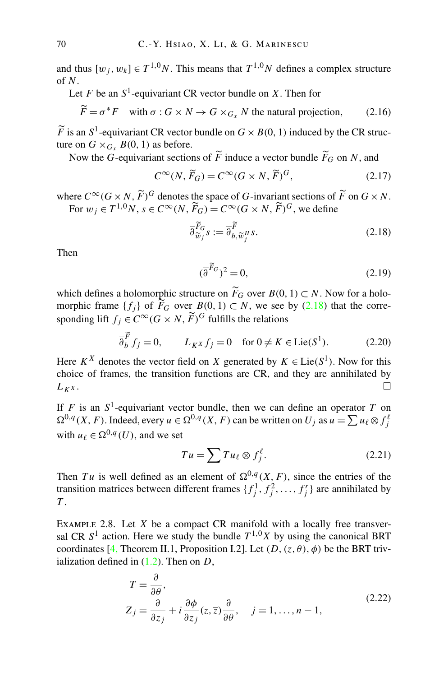<span id="page-15-0"></span>and thus  $[w_i, w_k] \in T^{1,0}N$ . This means that  $T^{1,0}N$  defines a complex structure of *N*.

Let  $F$  be an  $S^1$ -equivariant CR vector bundle on  $X$ . Then for

$$
\widetilde{F} = \sigma^* F \quad \text{with } \sigma : G \times N \to G \times_{G_x} N \text{ the natural projection,}
$$
 (2.16)

 $\widetilde{F}$  is an  $S^1$ -equivariant CR vector bundle on  $G \times B(0, 1)$  induced by the CR structure on  $G \times_{G_X} B(0, 1)$  as before.

Now the *G*-equivariant sections of  $F$  induce a vector bundle  $F_G$  on  $N$ , and

$$
C^{\infty}(N, \widetilde{F}_G) = C^{\infty}(G \times N, \widetilde{F})^G, \tag{2.17}
$$

where  $C^{\infty}(G \times N, \widetilde{F})^G$  denotes the space of *G*-invariant sections of  $\widetilde{F}$  on  $G \times N$ . For  $w_j \in T^{1,0}N$ ,  $s \in C^\infty(N, \widetilde{F}_G) = C^\infty(G \times N, \widetilde{F})^G$ , we define

$$
\overline{\partial}_{\widetilde{w}_j}^{\widetilde{F}_G} s := \overline{\partial}_{b,\widetilde{w}_j^H}^{\widetilde{F}} s. \tag{2.18}
$$

Then

$$
(\overline{\partial}^{\widetilde{F}_G})^2 = 0,\tag{2.19}
$$

which defines a holomorphic structure on  $F_G$  over  $B(0, 1) \subset N$ . Now for a holomorphic frame  $\{f_j\}$  of  $F_G$  over  $B(0, 1) \subset N$ , we see by (2.18) that the corresponding lift  $f_i \in C^\infty(G \times N, \widetilde{F})^G$  fulfills the relations

$$
\overline{\partial}_{b}^{\widetilde{F}} f_{j} = 0, \qquad L_{K^{X}} f_{j} = 0 \quad \text{for } 0 \neq K \in \text{Lie}(S^{1}). \tag{2.20}
$$

Here  $K^X$  denotes the vector field on *X* generated by  $K \in \text{Lie}(S^1)$ . Now for this choice of frames, the transition functions are CR, and they are annihilated by  $L_{K^X}$ .

If *F* is an  $S^1$ -equivariant vector bundle, then we can define an operator *T* on  $\Omega^{0,q}(X, F)$ . Indeed, every  $u \in \Omega^{0,q}(X, F)$  can be written on  $U_j$  as  $u = \sum u_\ell \otimes f_j^\ell$ with  $u_{\ell} \in \Omega^{0,q}(U)$ , and we set

$$
Tu = \sum Tu_{\ell} \otimes f_j^{\ell}.
$$
 (2.21)

Then *Tu* is well defined as an element of  $\Omega^{0,q}(X, F)$ , since the entries of the transition matrices between different frames  $\{f_j^1, f_j^2, \ldots, f_j^r\}$  are annihilated by *T* .

Example 2.8. Let *X* be a compact CR manifold with a locally free transversal CR  $S<sup>1</sup>$  action. Here we study the bundle  $T<sup>1,0</sup>X$  by using the canonical BRT coordinates [\[4](#page-55-0), Theorem II.1, Proposition I.2]. Let  $(D, (z, \theta), \phi)$  be the BRT trivialization defined in ([1.2](#page-2-0)). Then on *D*,

$$
T = \frac{\partial}{\partial \theta},
$$
  
\n
$$
Z_j = \frac{\partial}{\partial z_j} + i \frac{\partial \phi}{\partial z_j} (z, \overline{z}) \frac{\partial}{\partial \theta}, \quad j = 1, ..., n - 1,
$$
\n(2.22)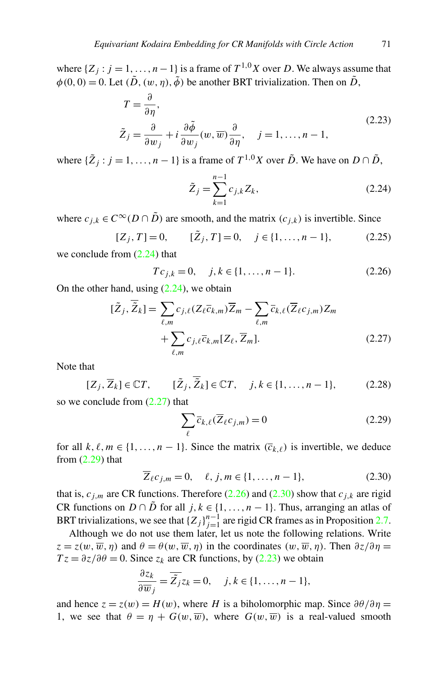<span id="page-16-0"></span>where  $\{Z_j : j = 1, \ldots, n-1\}$  is a frame of  $T^{1,0}X$  over *D*. We always assume that  $\phi(0,0) = 0$ . Let  $(\tilde{D}, (w,\eta), \tilde{\phi})$  be another BRT trivialization. Then on  $\tilde{D}$ ,

$$
T = \frac{\partial}{\partial \eta},
$$
  
\n
$$
\tilde{Z}_j = \frac{\partial}{\partial w_j} + i \frac{\partial \tilde{\phi}}{\partial w_j} (w, \overline{w}) \frac{\partial}{\partial \eta}, \quad j = 1, ..., n - 1,
$$
\n(2.23)

where  ${\{\tilde{Z}_j : j = 1, ..., n-1\}}$  is a frame of  $T^{1,0}X$  over  $\tilde{D}$ . We have on  $D \cap \tilde{D}$ ,

$$
\tilde{Z}_j = \sum_{k=1}^{n-1} c_{j,k} Z_k,
$$
\n(2.24)

where  $c_{i,k} \in C^{\infty}(D \cap \tilde{D})$  are smooth, and the matrix  $(c_{i,k})$  is invertible. Since

$$
[Z_j, T] = 0, \t[\tilde{Z}_j, T] = 0, \t j \in \{1, ..., n - 1\}, \t(2.25)
$$

we conclude from (2.24) that

$$
Tc_{j,k} = 0, \quad j, k \in \{1, \dots, n-1\}.
$$
 (2.26)

On the other hand, using  $(2.24)$ , we obtain

$$
[\tilde{Z}_j, \overline{\tilde{Z}}_k] = \sum_{\ell,m} c_{j,\ell} (Z_\ell \overline{c}_{k,m}) \overline{Z}_m - \sum_{\ell,m} \overline{c}_{k,\ell} (\overline{Z}_\ell c_{j,m}) Z_m + \sum_{\ell,m} c_{j,\ell} \overline{c}_{k,m} [Z_\ell, \overline{Z}_m].
$$
\n(2.27)

Note that

$$
[Z_j, \overline{Z}_k] \in \mathbb{C}T, \qquad [\tilde{Z}_j, \overline{\tilde{Z}}_k] \in \mathbb{C}T, \quad j, k \in \{1, \dots, n-1\},
$$
 (2.28)

so we conclude from  $(2.27)$  that

$$
\sum_{\ell} \overline{c}_{k,\ell}(\overline{Z}_{\ell}c_{j,m}) = 0
$$
\n(2.29)

for all  $k, \ell, m \in \{1, \ldots, n-1\}$ . Since the matrix  $(\overline{c}_{k,\ell})$  is invertible, we deduce from  $(2.29)$  that

$$
\overline{Z}_{\ell}c_{j,m}=0,\quad \ell,j,m\in\{1,\ldots,n-1\},\tag{2.30}
$$

that is,  $c_{j,m}$  are CR functions. Therefore (2.26) and (2.30) show that  $c_{j,k}$  are rigid CR functions on *D* ∩ *D* for all *j*,  $k \in \{1, ..., n-1\}$ . Thus, arranging an atlas of BRT trivializations, we see that  ${Z_j}_{j=1}^{n-1}$  are rigid CR frames as in Proposition [2.7.](#page-14-0)

Although we do not use them later, let us note the following relations. Write  $z = z(w, \overline{w}, \eta)$  and  $\theta = \theta(w, \overline{w}, \eta)$  in the coordinates  $(w, \overline{w}, \eta)$ . Then  $\partial z/\partial \eta =$  $Tz = \partial z / \partial \theta = 0$ . Since  $z_k$  are CR functions, by (2.23) we obtain

$$
\frac{\partial z_k}{\partial \overline{w}_j} = \overline{\tilde{Z}_j} z_k = 0, \quad j, k \in \{1, \dots, n-1\},\
$$

and hence  $z = z(w) = H(w)$ , where *H* is a biholomorphic map. Since  $\partial \theta / \partial \eta =$ 1, we see that  $\theta = \eta + G(w, \overline{w})$ , where  $G(w, \overline{w})$  is a real-valued smooth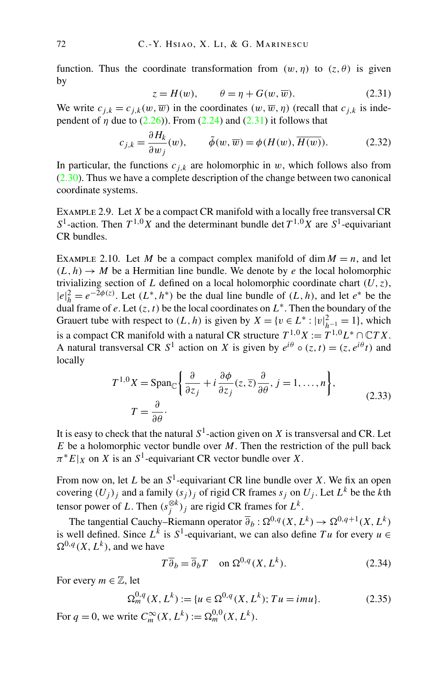<span id="page-17-0"></span>function. Thus the coordinate transformation from  $(w, \eta)$  to  $(z, \theta)$  is given by

$$
z = H(w), \qquad \theta = \eta + G(w, \overline{w}). \tag{2.31}
$$

We write  $c_{i,k} = c_{i,k}(w, \overline{w})$  in the coordinates  $(w, \overline{w}, \eta)$  (recall that  $c_{i,k}$  is independent of  $\eta$  due to ([2.26](#page-16-0))). From [\(2.24\)](#page-16-0) and (2.31) it follows that

$$
c_{j,k} = \frac{\partial H_k}{\partial w_j}(w), \qquad \tilde{\phi}(w, \overline{w}) = \phi(H(w), \overline{H(w)}).
$$
 (2.32)

In particular, the functions  $c_{j,k}$  are holomorphic in  $w$ , which follows also from ([2.30](#page-16-0)). Thus we have a complete description of the change between two canonical coordinate systems.

Example 2.9. Let *X* be a compact CR manifold with a locally free transversal CR *S*<sup>1</sup>-action. Then  $T^{1,0}X$  and the determinant bundle det  $T^{1,0}X$  are  $S^1$ -equivariant CR bundles.

EXAMPLE 2.10. Let *M* be a compact complex manifold of dim  $M = n$ , and let  $(L, h) \rightarrow M$  be a Hermitian line bundle. We denote by *e* the local holomorphic trivializing section of *L* defined on a local holomorphic coordinate chart *(U,z)*,  $|e|_h^2 = e^{-2\phi(z)}$ . Let  $(L^*, h^*)$  be the dual line bundle of  $(L, h)$ , and let  $e^*$  be the dual frame of *e*. Let  $(z, t)$  be the local coordinates on  $L^*$ . Then the boundary of the Grauert tube with respect to  $(L, h)$  is given by  $X = \{v \in L^* : |v|_{h^{-1}}^2 = 1\}$ , which is a compact CR manifold with a natural CR structure  $T^{1,0}X := T^{1,0}L^* \cap \mathbb{C}TX$ . A natural transversal CR  $S^1$  action on *X* is given by  $e^{i\theta} \circ (z, t) = (z, e^{i\theta}t)$  and locally

$$
T^{1,0}X = \text{Span}_{\mathbb{C}}\left\{\frac{\partial}{\partial z_j} + i\frac{\partial\phi}{\partial z_j}(z,\overline{z})\frac{\partial}{\partial\theta}, j = 1,\dots, n\right\},\tag{2.33}
$$

$$
T = \frac{\partial}{\partial\theta}.
$$

It is easy to check that the natural  $S^1$ -action given on *X* is transversal and CR. Let *E* be a holomorphic vector bundle over *M*. Then the restriction of the pull back  $\pi^*E|_X$  on *X* is an *S*<sup>1</sup>-equivariant CR vector bundle over *X*.

From now on, let *L* be an *S*1-equivariant CR line bundle over *X*. We fix an open covering  $(U_j)_j$  and a family  $(s_j)_j$  of rigid CR frames  $s_j$  on  $U_j$ . Let  $L^k$  be the *k*th tensor power of *L*. Then  $(s_j^{\otimes k})_j$  are rigid CR frames for  $L^k$ .

The tangential Cauchy–Riemann operator  $\overline{\partial}_b : \Omega^{0,q}(X,L^k) \to \Omega^{0,q+1}(X,L^k)$ is well defined. Since  $L^k$  is  $S^1$ -equivariant, we can also define *Tu* for every  $u \in$  $\Omega^{0,q}(X,L^k)$ , and we have

$$
T\overline{\partial}_b = \overline{\partial}_b T \quad \text{on } \Omega^{0,q}(X, L^k). \tag{2.34}
$$

For every  $m \in \mathbb{Z}$ , let

$$
\Omega_m^{0,q}(X, L^k) := \{ u \in \Omega^{0,q}(X, L^k); Tu = imu \}.
$$
 (2.35)

For  $q = 0$ , we write  $C_m^{\infty}(X, L^k) := \Omega_m^{0,0}(X, L^k)$ .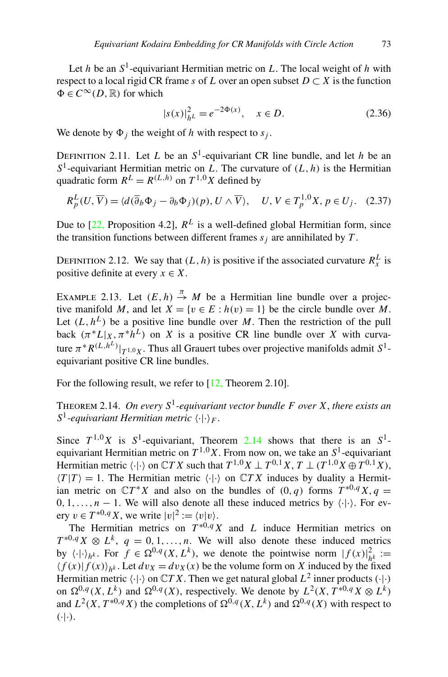<span id="page-18-0"></span>Let *h* be an  $S^1$ -equivariant Hermitian metric on *L*. The local weight of *h* with respect to a local rigid CR frame *s* of *L* over an open subset  $D \subset X$  is the function  $\Phi \in C^{\infty}(D,\mathbb{R})$  for which

$$
|s(x)|_{h^L}^2 = e^{-2\Phi(x)}, \quad x \in D.
$$
 (2.36)

We denote by  $\Phi_i$  the weight of *h* with respect to  $s_i$ .

DEFINITION 2.11. Let *L* be an  $S^1$ -equivariant CR line bundle, and let *h* be an  $S<sup>1</sup>$ -equivariant Hermitian metric on *L*. The curvature of  $(L, h)$  is the Hermitian quadratic form  $R^L = R^{(L,h)}$  on  $T^{1,0}X$  defined by

$$
R_p^L(U, \overline{V}) = \langle d(\overline{\partial}_b \Phi_j - \partial_b \Phi_j)(p), U \wedge \overline{V} \rangle, \quad U, V \in T_p^{1,0}X, p \in U_j. \quad (2.37)
$$

Due to  $[22,$  $[22,$  Proposition 4.2],  $R^L$  is a well-defined global Hermitian form, since the transition functions between different frames  $s_i$  are annihilated by  $T$ .

DEFINITION 2.12. We say that  $(L, h)$  is positive if the associated curvature  $R_x^L$  is positive definite at every  $x \in X$ .

EXAMPLE 2.13. Let  $(E, h) \stackrel{\pi}{\rightarrow} M$  be a Hermitian line bundle over a projective manifold *M*, and let  $X = \{v \in E : h(v) = 1\}$  be the circle bundle over *M*. Let  $(L, h^L)$  be a positive line bundle over M. Then the restriction of the pull back  $(\pi^*L|_X, \pi^*\hat{h}^L)$  on *X* is a positive CR line bundle over *X* with curvature  $\pi^* R^{(L,h^L)}|_{T^{1,0}X}$ . Thus all Grauert tubes over projective manifolds admit  $S^1$ equivariant positive CR line bundles.

For the following result, we refer to  $[12,$  $[12,$  Theorem 2.10].

THEOREM 2.14. On every  $S^1$ -equivariant vector bundle F over X, there exists an *S*<sup>1</sup>-equivariant Hermitian metric  $\langle \cdot | \cdot \rangle_F$ .

Since  $T^{1,0}X$  is  $S^1$ -equivariant, Theorem 2.14 shows that there is an  $S^1$ equivariant Hermitian metric on  $T^{1,0}X$ . From now on, we take an  $S^1$ -equivariant Hermitian metric  $\langle \cdot | \cdot \rangle$  on  $\mathbb{C}TX$  such that  $T^{1,0}X \perp T^{0,1}X$ ,  $T \perp (T^{1,0}X \oplus T^{0,1}X)$ ,  $\langle T|T\rangle = 1$ . The Hermitian metric  $\langle \cdot | \cdot \rangle$  on  $\mathbb{C}TX$  induces by duality a Hermitian metric on  $\mathbb{C}T^*X$  and also on the bundles of  $(0, q)$  forms  $T^{*0,q}X, q =$  $0, 1, \ldots, n-1$ . We will also denote all these induced metrics by  $\langle \cdot | \cdot \rangle$ . For every  $v \in T^{*0,q}X$ , we write  $|v|^2 := \langle v | v \rangle$ .

The Hermitian metrics on  $T^{*0,q}X$  and *L* induce Hermitian metrics on  $T^{*0,q}X \otimes L^k$ ,  $q = 0, 1, \ldots, n$ . We will also denote these induced metrics by  $\langle \cdot | \cdot \rangle_{h^k}$ . For  $f \in \Omega^{0,q}(X,L^k)$ , we denote the pointwise norm  $|f(x)|_{h^k}^2 :=$  $\langle f(x)|f(x)\rangle_{h^k}$ . Let  $dv_X = dv_X(x)$  be the volume form on *X* induced by the fixed Hermitian metric  $\langle \cdot | \cdot \rangle$  on  $\mathbb{C}TX$ . Then we get natural global  $L^2$  inner products  $(\cdot | \cdot)$ on  $\Omega^{0,q}(X,L^k)$  and  $\Omega^{0,q}(X)$ , respectively. We denote by  $L^2(X,T^{*0,q}X\otimes L^k)$ and  $L^2(X, T^{*0,q}X)$  the completions of  $\Omega^{0,q}(X,L^k)$  and  $\Omega^{0,q}(X)$  with respect to *(*·|·*)*.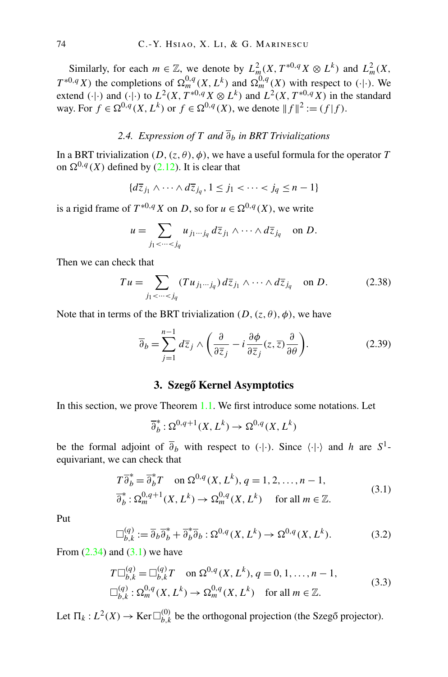<span id="page-19-0"></span>Similarly, for each  $m \in \mathbb{Z}$ , we denote by  $L_m^2(X, T^{*0,q}X \otimes L^k)$  and  $L_m^2(X, T^{*0,q}X \otimes L^k)$ *T*<sup>\*0*,qX*</sup>) the completions of  $\Omega_m^{0,q}(X,L^k)$  and  $\Omega_m^{0,q}(X)$  with respect to  $(\cdot | \cdot)$ . We extend  $(\cdot | \cdot)$  and  $(\cdot | \cdot)$  to  $L^2(X, T^{*0,q}X \otimes L^k)$  and  $L^2(X, T^{*0,q}X)$  in the standard way. For *f* ∈  $\Omega^{0,q}(X,L^k)$  or *f* ∈  $\Omega^{0,q}(X)$ , we denote  $||f||^2 := (f|f)$ .

## 2.4. Expression of *T* and  $\overline{\partial}_b$  *in BRT Trivializations*

In a BRT trivialization  $(D, (z, \theta), \phi)$ , we have a useful formula for the operator *T* on  $\Omega^{0,q}(X)$  defined by [\(2.12\)](#page-13-0). It is clear that

$$
\{d\overline{z}_{j_1} \wedge \cdots \wedge d\overline{z}_{j_q}, 1 \leq j_1 < \cdots < j_q \leq n-1\}
$$

is a rigid frame of  $T^{*0,q}X$  on *D*, so for  $u \in \Omega^{0,q}(X)$ , we write

$$
u=\sum_{j_1<\cdots
$$

Then we can check that

$$
Tu = \sum_{j_1 < \dots < j_q} (Tu_{j_1 \dots j_q}) \, d\overline{z}_{j_1} \wedge \dots \wedge d\overline{z}_{j_q} \quad \text{on } D. \tag{2.38}
$$

Note that in terms of the BRT trivialization  $(D, (z, \theta), \phi)$ , we have

$$
\overline{\partial}_b = \sum_{j=1}^{n-1} d\overline{z}_j \wedge \left( \frac{\partial}{\partial \overline{z}_j} - i \frac{\partial \phi}{\partial \overline{z}_j} (z, \overline{z}) \frac{\partial}{\partial \theta} \right).
$$
 (2.39)

## **3. Szego Kernel Asymptotics ˝**

In this section, we prove Theorem [1.1](#page-4-0). We first introduce some notations. Let

$$
\overline{\partial}_b^*:\Omega^{0,q+1}(X,L^k)\to\Omega^{0,q}(X,L^k)
$$

be the formal adjoint of  $\overline{\partial}_b$  with respect to  $(\cdot | \cdot)$ . Since  $\langle \cdot | \cdot \rangle$  and *h* are  $S^1$ equivariant, we can check that

$$
T\overline{\partial}_b^* = \overline{\partial}_b^* T \quad \text{on } \Omega^{0,q}(X, L^k), q = 1, 2, \dots, n - 1,
$$
  

$$
\overline{\partial}_b^* : \Omega_m^{0,q+1}(X, L^k) \to \Omega_m^{0,q}(X, L^k) \quad \text{for all } m \in \mathbb{Z}.
$$
 (3.1)

Put

$$
\Box_{b,k}^{(q)} := \overline{\partial}_b \overline{\partial}_b^* + \overline{\partial}_b^* \overline{\partial}_b : \Omega^{0,q}(X, L^k) \to \Omega^{0,q}(X, L^k). \tag{3.2}
$$

From  $(2.34)$  $(2.34)$  $(2.34)$  and  $(3.1)$  we have

$$
T\Box_{b,k}^{(q)} = \Box_{b,k}^{(q)} T \text{ on } \Omega^{0,q}(X, L^k), q = 0, 1, ..., n - 1,
$$
  

$$
\Box_{b,k}^{(q)} : \Omega_m^{0,q}(X, L^k) \to \Omega_m^{0,q}(X, L^k) \text{ for all } m \in \mathbb{Z}.
$$
 (3.3)

Let  $\Pi_k : L^2(X) \to \text{Ker} \square_{b,k}^{(0)}$  be the orthogonal projection (the Szegő projector).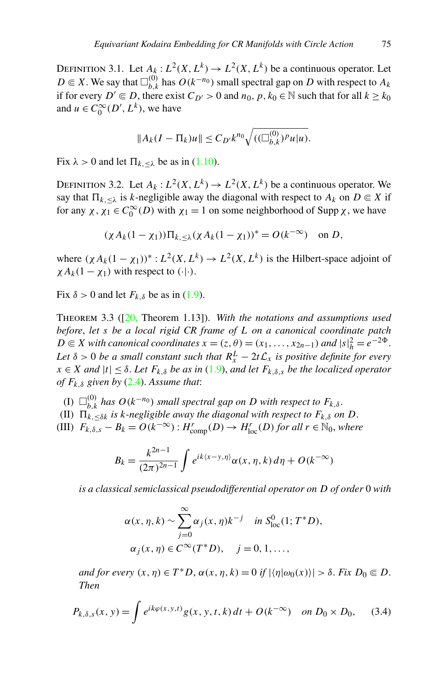<span id="page-20-0"></span>DEFINITION 3.1. Let  $A_k: L^2(X, L^k) \to L^2(X, L^k)$  be a continuous operator. Let *D* ∈ *X*. We say that  $\Box_{b,k}^{(0)}$  has  $O(k^{-n_0})$  small spectral gap on *D* with respect to  $A_k$ if for every  $D' \in D$ , there exist  $C_{D'} > 0$  and  $n_0, p, k_0 \in \mathbb{N}$  such that for all  $k \geq k_0$ and  $u \in C_0^{\infty}(D', L^k)$ , we have

$$
||A_k(I - \Pi_k)u|| \leq C_{D'}k^{n_0}\sqrt{((\Box_{b,k}^{(0)})^p u|u)}.
$$

Fix  $\lambda > 0$  and let  $\Pi_{k, \leq \lambda}$  be as in ([1.10](#page-3-0)).

DEFINITION 3.2. Let  $A_k: L^2(X, L^k) \to L^2(X, L^k)$  be a continuous operator. We say that  $\Pi_{k, \leq \lambda}$  is *k*-negligible away the diagonal with respect to  $A_k$  on  $D \in X$  if for any  $\chi$ ,  $\chi_1 \in C_0^{\infty}(D)$  with  $\chi_1 = 1$  on some neighborhood of Supp  $\chi$ , we have

$$
(\chi A_k(1-\chi_1))\Pi_{k,\leq\lambda}(\chi A_k(1-\chi_1))^* = O(k^{-\infty}) \text{ on } D,
$$

where  $(\chi A_k(1 - \chi_1))^* : L^2(X, L^k) \to L^2(X, L^k)$  is the Hilbert-space adjoint of  $\chi A_k(1 - \chi_1)$  with respect to  $(\cdot | \cdot)$ .

Fix  $\delta > 0$  and let  $F_{k,\delta}$  be as in ([1.9](#page-3-0)).

Theorem 3.3 ([\[20](#page-56-0), Theorem 1.13]). *With the notations and assumptions used before*, *let s be a local rigid CR frame of L on a canonical coordinate patch*  $D \in X$  *with canonical coordinates*  $x = (z, \theta) = (x_1, \ldots, x_{2n-1})$  *and*  $|s|_h^2 = e^{-2\Phi}$ . Let  $\delta > 0$  be a small constant such that  $R_x^L - 2t\mathcal{L}_x$  is positive definite for every  $x \in X$  *and*  $|t| \leq \delta$ . Let  $F_{k,\delta}$  *be as in* [\(1.9\)](#page-3-0), *and let*  $F_{k,\delta,s}$  *be the localized operator of Fk,δ given by* [\(2.4\)](#page-10-0). *Assume that*:

- $($ I)  $\Box_{b,k}^{(0)}$  *has*  $O(k^{-n_0})$  *small spectral gap on D with respect to*  $F_{k,\delta}$ .
- (II)  $\prod_{k, \leq \delta k}^{\infty}$  *is k*-negligible away the diagonal with respect to  $F_{k, \delta}$  on D.

(III)  $F_{k,\delta,s} - B_k = O(k^{-\infty}) : H^r_{\text{comp}}(D) \to H^r_{\text{loc}}(D)$  for all  $r \in \mathbb{N}_0$ , where

$$
B_k = \frac{k^{2n-1}}{(2\pi)^{2n-1}} \int e^{ik\langle x-y,\eta \rangle} \alpha(x,\eta,k) d\eta + O(k^{-\infty})
$$

*is a classical semiclassical pseudodifferential operator on D of order* 0 *with*

$$
\alpha(x, \eta, k) \sim \sum_{j=0}^{\infty} \alpha_j(x, \eta) k^{-j} \quad \text{in } S^0_{\text{loc}}(1; T^*D),
$$
  

$$
\alpha_j(x, \eta) \in C^{\infty}(T^*D), \quad j = 0, 1, ...,
$$

 $\alpha$ *and for every*  $(x, \eta) \in T^*D$ ,  $\alpha(x, \eta, k) = 0$  *if*  $|\langle \eta | \omega_0(x) \rangle| > \delta$ . Fix  $D_0 \subseteq D$ . *Then*

$$
P_{k,\delta,s}(x,y) = \int e^{ik\varphi(x,y,t)} g(x,y,t,k) dt + O(k^{-\infty}) \quad on \ D_0 \times D_0, \quad (3.4)
$$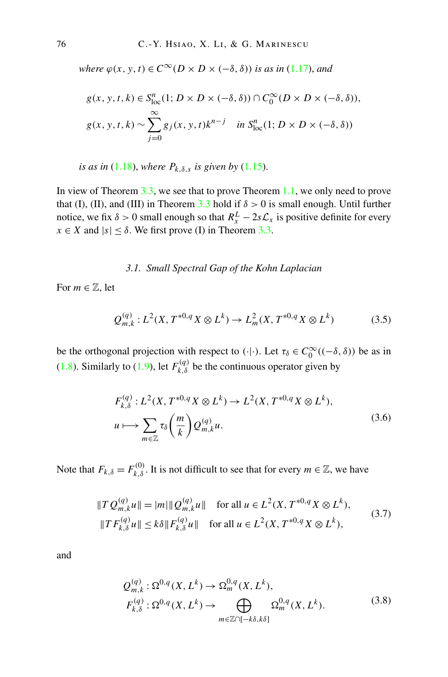*where*  $\varphi(x, y, t) \in C^{\infty}(D \times D \times (-\delta, \delta))$  *is as in* ([1.17](#page-5-0)), *and* 

$$
g(x, y, t, k) \in S_{loc}^{n}(1; D \times D \times (-\delta, \delta)) \cap C_{0}^{\infty}(D \times D \times (-\delta, \delta)),
$$
  

$$
g(x, y, t, k) \sim \sum_{j=0}^{\infty} g_{j}(x, y, t) k^{n-j} \quad \text{in } S_{loc}^{n}(1; D \times D \times (-\delta, \delta))
$$

*is as in* [\(1.18\)](#page-5-0), *where*  $P_{k,\delta,s}$  *is given by* ([1.15](#page-4-0)).

In view of Theorem [3.3](#page-20-0), we see that to prove Theorem [1.1,](#page-4-0) we only need to prove that (I), (II), and (III) in Theorem [3.3](#page-20-0) hold if  $\delta > 0$  is small enough. Until further notice, we fix  $\delta > 0$  small enough so that  $R_x^L - 2s\mathcal{L}_x$  is positive definite for every  $x \in X$  and  $|s| \leq \delta$ . We first prove (I) in Theorem [3.3.](#page-20-0)

*3.1. Small Spectral Gap of the Kohn Laplacian*

For  $m \in \mathbb{Z}$ , let

$$
Q_{m,k}^{(q)}: L^2(X, T^{*0,q}X \otimes L^k) \to L_m^2(X, T^{*0,q}X \otimes L^k)
$$
 (3.5)

be the orthogonal projection with respect to  $(\cdot | \cdot)$ . Let  $\tau_{\delta} \in C_0^{\infty}((-\delta, \delta))$  be as in ([1.8](#page-3-0)). Similarly to ([1.9](#page-3-0)), let  $F_{k,\delta}^{(q)}$  be the continuous operator given by

$$
F_{k,\delta}^{(q)}: L^2(X, T^{*0,q}X \otimes L^k) \to L^2(X, T^{*0,q}X \otimes L^k),
$$
  

$$
u \mapsto \sum_{m \in \mathbb{Z}} \tau_{\delta}\left(\frac{m}{k}\right) Q_{m,k}^{(q)} u.
$$
 (3.6)

Note that  $F_{k,\delta} = F_{k,\delta}^{(0)}$ . It is not difficult to see that for every  $m \in \mathbb{Z}$ , we have

$$
||T Q_{m,k}^{(q)} u|| = |m| ||Q_{m,k}^{(q)} u|| \quad \text{for all } u \in L^{2}(X, T^{*0,q} X \otimes L^{k}),
$$
  

$$
||T F_{k,\delta}^{(q)} u|| \le k\delta ||F_{k,\delta}^{(q)} u|| \quad \text{for all } u \in L^{2}(X, T^{*0,q} X \otimes L^{k}),
$$
 (3.7)

and

$$
Q_{m,k}^{(q)}: \Omega^{0,q}(X, L^k) \to \Omega_m^{0,q}(X, L^k),
$$
  
\n
$$
F_{k,\delta}^{(q)}: \Omega^{0,q}(X, L^k) \to \bigoplus_{m \in \mathbb{Z} \cap [-k\delta, k\delta]} \Omega_m^{0,q}(X, L^k).
$$
\n(3.8)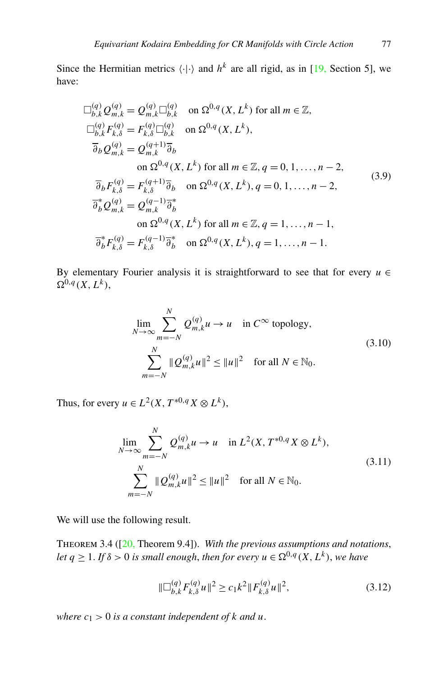<span id="page-22-0"></span>Since the Hermitian metrics  $\langle \cdot | \cdot \rangle$  and  $h^k$  are all rigid, as in [\[19](#page-56-0), Section 5], we have:

$$
\Box_{b,k}^{(q)} Q_{m,k}^{(q)} = Q_{m,k}^{(q)} \Box_{b,k}^{(q)}
$$
 on  $\Omega^{0,q}(X, L^k)$  for all  $m \in \mathbb{Z}$ ,  
\n
$$
\Box_{b,k}^{(q)} F_{k,\delta}^{(q)} = F_{k,\delta}^{(q)} \Box_{b,k}^{(q)}
$$
 on  $\Omega^{0,q}(X, L^k)$ ,  
\n
$$
\overline{\partial}_b Q_{m,k}^{(q)} = Q_{m,k}^{(q+1)} \overline{\partial}_b
$$
  
\non  $\Omega^{0,q}(X, L^k)$  for all  $m \in \mathbb{Z}, q = 0, 1, ..., n-2$ ,  
\n
$$
\overline{\partial}_b F_{k,\delta}^{(q)} = F_{k,\delta}^{(q+1)} \overline{\partial}_b
$$
 on  $\Omega^{0,q}(X, L^k)$ ,  $q = 0, 1, ..., n-2$ ,  
\n
$$
\overline{\partial}_b^* Q_{m,k}^{(q)} = Q_{m,k}^{(q-1)} \overline{\partial}_b^*
$$
  
\non  $\Omega^{0,q}(X, L^k)$  for all  $m \in \mathbb{Z}, q = 1, ..., n-1$ ,  
\n
$$
\overline{\partial}_b^* F_{k,\delta}^{(q)} = F_{k,\delta}^{(q-1)} \overline{\partial}_b^*
$$
 on  $\Omega^{0,q}(X, L^k)$ ,  $q = 1, ..., n-1$ .

By elementary Fourier analysis it is straightforward to see that for every  $u \in$  $\Omega^{0,q}(X,L^k)$ ,

$$
\lim_{N \to \infty} \sum_{m=-N}^{N} Q_{m,k}^{(q)} u \to u \quad \text{in } C^{\infty} \text{ topology},
$$
\n
$$
\sum_{m=-N}^{N} \|Q_{m,k}^{(q)} u\|^2 \le \|u\|^2 \quad \text{for all } N \in \mathbb{N}_0.
$$
\n(3.10)

Thus, for every  $u \in L^2(X, T^{*0,q}X \otimes L^k)$ ,

$$
\lim_{N \to \infty} \sum_{m=-N}^{N} Q_{m,k}^{(q)} u \to u \quad \text{in } L^2(X, T^{*0,q} X \otimes L^k),
$$
\n
$$
\sum_{m=-N}^{N} ||Q_{m,k}^{(q)} u||^2 \le ||u||^2 \quad \text{for all } N \in \mathbb{N}_0.
$$
\n(3.11)

We will use the following result.

Theorem 3.4 ([[20,](#page-56-0) Theorem 9.4]). *With the previous assumptions and notations*, *let*  $q \geq 1$ *. If*  $\delta > 0$  *is small enough, then for every*  $u \in \Omega^{0,q}(X,L^k)$ *, we have* 

$$
\|\Box_{b,k}^{(q)} F_{k,\delta}^{(q)} u\|^2 \ge c_1 k^2 \|F_{k,\delta}^{(q)} u\|^2, \tag{3.12}
$$

*where*  $c_1 > 0$  *is a constant independent of k and u.*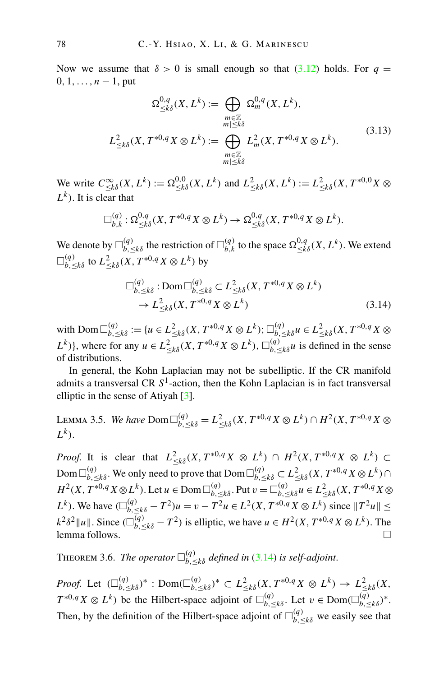<span id="page-23-0"></span>Now we assume that  $\delta > 0$  is small enough so that [\(3.12\)](#page-22-0) holds. For  $q =$ 0*,* 1*,...,n* − 1, put

$$
\Omega^{0,q}_{\leq k\delta}(X, L^k) := \bigoplus_{\substack{m \in \mathbb{Z} \\ |m| \leq k\delta}} \Omega^{0,q}_m(X, L^k),
$$
  

$$
L^2_{\leq k\delta}(X, T^{*0,q}X \otimes L^k) := \bigoplus_{\substack{m \in \mathbb{Z} \\ |m| \leq k\delta}} L^2_m(X, T^{*0,q}X \otimes L^k).
$$
 (3.13)

We write  $C_{\le k\delta}^{\infty}(X, L^k) := \Omega_{\le k\delta}^{0,0}(X, L^k)$  and  $L_{\le k\delta}^2(X, L^k) := L_{\le k\delta}^2(X, T^{*0,0}X \otimes$ *Lk)*. It is clear that

$$
\Box_{b,k}^{(q)}:\Omega_{\leq k\delta}^{0,q}(X,T^{*0,q}X\otimes L^k)\to \Omega_{\leq k\delta}^{0,q}(X,T^{*0,q}X\otimes L^k).
$$

We denote by  $\Box_{b,\leq k\delta}^{(q)}$  the restriction of  $\Box_{b,k}^{(q)}$  to the space  $\Omega_{\leq k\delta}^{0,q}(X,L^k)$ . We extend  $\Box_{b,\,\leq k\delta}^{(q)}$  to  $L^2_{\leq k\delta}(X,\,T^{\ast 0,q}\,X\otimes L^k)$  by

$$
\Box_{b,\leq k\delta}^{(q)} : \text{Dom } \Box_{b,\leq k\delta}^{(q)} \subset L^2_{\leq k\delta}(X, T^{*0,q}X \otimes L^k) \rightarrow L^2_{\leq k\delta}(X, T^{*0,q}X \otimes L^k)
$$
\n(3.14)

 $\bigcup_{b, \leq k\delta}^{(q)} := \{u \in L^2_{\leq k\delta}(X, T^{*0,q}X \otimes L^k) ; \Box_{b, \leq k\delta}^{(q)} u \in L^2_{\leq k\delta}(X, T^{*0,q}X \otimes L^k) \}$ *L*<sup>k</sup>)}, where for any  $u \in L^2_{\leq k\delta}(X, T^{*0,q}X \otimes L^k)$ ,  $\Box_{b,\leq k\delta}^{(q)}u$  is defined in the sense of distributions.

In general, the Kohn Laplacian may not be subelliptic. If the CR manifold admits a transversal CR  $S<sup>1</sup>$ -action, then the Kohn Laplacian is in fact transversal elliptic in the sense of Atiyah [\[3](#page-55-0)].

LEMMA 3.5. We have 
$$
\text{Dom } \Box_{b, \leq k\delta}^{(q)} = L^2_{\leq k\delta}(X, T^{*0,q} X \otimes L^k) \cap H^2(X, T^{*0,q} X \otimes L^k).
$$

*Proof.* It is clear that  $L^2_{\le k\delta}(X, T^{*0,q}X \otimes L^k) \cap H^2(X, T^{*0,q}X \otimes L^k) \subset$  ${\rm Dom\,}\Box^{(q)}_{b,\leq k\delta}.$  We only need to prove that  ${\rm Dom\,}\Box^{(q)}_{b,\leq k\delta}\subset L^2_{\leq k\delta}(X,T^{*0,q}X\otimes L^k)\cap$  $H^2(X, T^{*0,q}X \otimes L^k)$ . Let  $u \in \text{Dom }\Box_{b, \leq k\delta}^{(q)}$ . Put  $v = \Box_{b, \leq k\delta}^{(q)} u \in L^2_{\leq k\delta}(X, T^{*0,q}X \otimes L^k)$ *L*<sup>*k*</sup>). We have  $(\Box_{b, \le k\delta}^{(q)} - T^2)u = v - T^2u \in L^2(X, T^{*0,q}X \otimes L^k)$  since  $||T^2u|| \le$  $k^2 \delta^2 ||u||$ . Since  $(\Box_{b, \leq k\delta}^{(q)} - T^2)$  is elliptic, we have  $u \in H^2(X, T^{*0,q} X \otimes L^k)$ . The lemma follows.  $\Box$ 

**THEOREM 3.6.** *The operator*  $\square_{b, \leq k\delta}^{(q)}$  *defined in* (3.14) *is self-adjoint.* 

*Proof.* Let  $(\Box_{b,\leq k\delta}^{(q)})^* : \text{Dom}(\Box_{b,\leq k\delta}^{(q)})^* \subset L^2_{\leq k\delta}(X, T^{*0,q}X \otimes L^k) \to L^2_{\leq k\delta}(X,$  $T^{*0,q}X \otimes L^k$ ) be the Hilbert-space adjoint of  $\Box_{b,\leq k\delta}^{(q)}$ . Let  $v \in \text{Dom}(\Box_{b,\leq k\delta}^{(q)})^*$ . Then, by the definition of the Hilbert-space adjoint of  $\Box_{b,\leq k\delta}^{(q)}$  we easily see that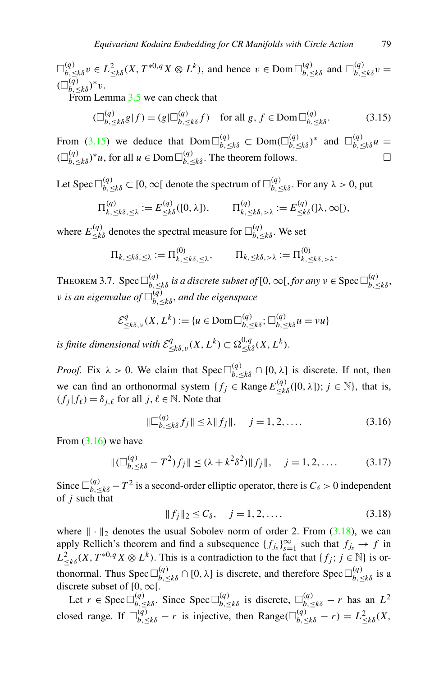<span id="page-24-0"></span> $\Box_{b,\leq k\delta}^{(q)} v \in L_{\leq k\delta}^2(X, T^{*0,q}X \otimes L^k)$ , and hence  $v \in \text{Dom } \Box_{b,\leq k\delta}^{(q)}$  and  $\Box_{b,\leq k\delta}^{(q)} v =$  $(\Box_{b,\leq k\delta}^{(q)})^*v.$ 

From Lemma [3.5](#page-23-0) we can check that

$$
(\Box_{b,\leq k\delta}^{(q)} g | f) = (g | \Box_{b,\leq k\delta}^{(q)} f) \quad \text{for all } g, f \in \text{Dom } \Box_{b,\leq k\delta}^{(q)}.
$$
 (3.15)

From (3.15) we deduce that  $Dom\Box_{b,\leq k\delta}^{(q)} \subset Dom(\Box_{b,\leq k\delta}^{(q)})^*$  and  $\Box_{b,\leq k\delta}^{(q)}u =$  $(\Box_{b,\leq k\delta}^{(q)})^*$ *u*, for all *u* ∈ Dom $\Box_{b,\leq k\delta}^{(q)}$ . The theorem follows.  $\Box$ 

Let Spec  $\Box_{b,\leq k\delta}^{(q)} \subset [0,\infty[$  denote the spectrum of  $\Box_{b,\leq k\delta}^{(q)}$ . For any  $\lambda > 0$ , put

$$
\Pi_{k,\leq k\delta,\leq \lambda}^{(q)} := E_{\leq k\delta}^{(q)}([0,\lambda]), \qquad \Pi_{k,\leq k\delta,\geq \lambda}^{(q)} := E_{\leq k\delta}^{(q)}([\lambda,\infty]),
$$

where  $E_{\leq k\delta}^{(q)}$  denotes the spectral measure for  $\Box_{b,\leq k\delta}^{(q)}$ . We set

$$
\Pi_{k,\leq k\delta,\leq\lambda} := \Pi_{k,\leq k\delta,\leq\lambda}^{(0)}, \qquad \Pi_{k,\leq k\delta,\lambda} := \Pi_{k,\leq k\delta,\lambda}^{(0)}.
$$

THEOREM 3.7. Spec  $\Box_{b,\leq k\delta}^{(q)}$  *is a discrete subset of* [0,  $\infty$ [, *for any*  $v \in \text{Spec } \Box_{b,\leq k\delta}^{(q)}$ , *ν is an eigenvalue of (q) b,*≤*kδ* , *and the eigenspace*

$$
\mathcal{E}_{\leq k\delta,\nu}^q(X,L^k) := \{u \in \text{Dom}\,\Box_{b,\leq k\delta}^{(q)}; \Box_{b,\leq k\delta}^{(q)} u = vu\}
$$

*is finite dimensional with*  $\mathcal{E}^q_{\leq k\delta,\nu}(X,L^k) \subset \Omega^{0,q}_{\leq k\delta}(X,L^k)$ .

*Proof.* Fix  $\lambda > 0$ . We claim that Spec  $\Box_{b, \leq k\delta}^{(q)} \cap [0, \lambda]$  is discrete. If not, then we can find an orthonormal system  $\{f_j \in \text{Range } E_{\leq k\delta}^{(q)}([0, \lambda]); j \in \mathbb{N}\}\)$ , that is,  $(f_i | f_\ell) = \delta_{i,\ell}$  for all *j*,  $\ell \in \mathbb{N}$ . Note that

$$
\|\Box_{b,\leq k\delta}^{(q)} f_j\| \leq \lambda \|f_j\|, \quad j = 1, 2, .... \tag{3.16}
$$

From  $(3.16)$  we have

$$
\|(\Box_{b,\leq k\delta}^{(q)} - T^2)f_j\| \leq (\lambda + k^2 \delta^2) \|f_j\|, \quad j = 1, 2, \dots
$$
 (3.17)

Since  $\Box_{b,\leq k\delta}^{(q)}$  –  $T^2$  is a second-order elliptic operator, there is  $C_\delta > 0$  independent of *j* such that

$$
||f_j||_2 \le C_\delta, \quad j = 1, 2, ..., \tag{3.18}
$$

where  $\|\cdot\|_2$  denotes the usual Sobolev norm of order 2. From (3.18), we can apply Rellich's theorem and find a subsequence  ${f_j}_s$ <sub>*s*=1</sub> such that  $f_j$ <sub>*s*</sub>  $\rightarrow$  *f* in  $L^2_{\leq k\delta}(X, T^{*0,q}X \otimes L^k)$ . This is a contradiction to the fact that  $\{f_j; j \in \mathbb{N}\}$  is orthonormal. Thus Spec  $\Box_{b,\leq k\delta}^{(q)} \cap [0,\lambda]$  is discrete, and therefore Spec  $\Box_{b,\leq k\delta}^{(q)}$  is a discrete subset of  $[0, \infty)$ .

Let  $r \in \text{Spec } \Box_{b, \leq k\delta}^{(q)}$ . Since  $\text{Spec } \Box_{b, \leq k\delta}^{(q)}$  is discrete,  $\Box_{b, \leq k\delta}^{(q)} - r$  has an  $L^2$ closed range. If  $\Box_{b,\leq k\delta}^{(q)} - r$  is injective, then Range $(\Box_{b,\leq k\delta}^{(q)} - r) = L_{\leq k\delta}^2(X, \xi)$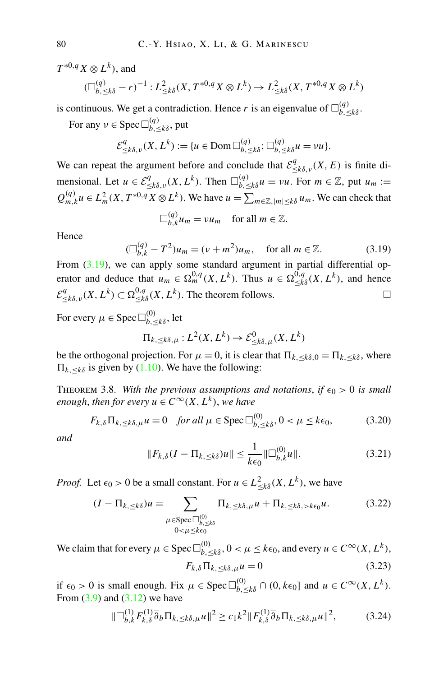<span id="page-25-0"></span> $T^{*0,q}X\otimes L^k$ ), and

$$
(\Box_{b,\leq k\delta}^{(q)} - r)^{-1} : L^2_{\leq k\delta}(X, T^{*0,q}X \otimes L^k) \to L^2_{\leq k\delta}(X, T^{*0,q}X \otimes L^k)
$$

is continuous. We get a contradiction. Hence *r* is an eigenvalue of  $\Box_{b,\leq k\delta}^{(q)}$ .

For any  $\nu \in \text{Spec } \square_{b, \leq k\delta}^{(q)}$ , put

$$
\mathcal{E}^q_{\leq k\delta,\nu}(X,L^k) := \{u \in \text{Dom}\,\Box_{b,\leq k\delta}^{(q)}; \Box_{b,\leq k\delta}^{(q)} u = vu\}.
$$

We can repeat the argument before and conclude that  $\mathcal{E}^q_{\leq k\delta,\nu}(X,E)$  is finite dimensional. Let  $u \in \mathcal{E}^q_{\leq k\delta,\nu}(X,L^k)$ . Then  $\square_{b,\leq k\delta}^{(q)} u = \nu u$ . For  $m \in \mathbb{Z}$ , put  $u_m :=$  $Q_{m,k}^{(q)} u \in L_m^2(X, T^{*0,q} X \otimes L^k)$ . We have  $u = \sum_{m \in \mathbb{Z}, |m| \leq k\delta} u_m$ . We can check that  $\Box^{(q)}$ 

$$
\Box_{b,k}^{(q)} u_m = v u_m \quad \text{for all } m \in \mathbb{Z}.
$$

Hence

$$
(\Box_{b,k}^{(q)} - T^2)u_m = (\nu + m^2)u_m, \text{ for all } m \in \mathbb{Z}.
$$
 (3.19)

From  $(3.19)$ , we can apply some standard argument in partial differential operator and deduce that  $u_m \in \Omega_m^{0,q}(X,L^k)$ . Thus  $u \in \Omega_{\leq k\delta}^{0,q}(X,L^k)$ , and hence  $\mathcal{E}^q_{\leq k\delta,\nu}(X,L^k) \subset \Omega^{0,q}_{\leq k\delta}(X,L^k)$ . The theorem follows.

For every  $\mu \in \text{Spec } \square_{b, \leq k\delta}^{(0)}$ , let

$$
\Pi_{k,\leq k\delta,\mu}: L^2(X,L^k)\to \mathcal{E}^0_{\leq k\delta,\mu}(X,L^k)
$$

be the orthogonal projection. For  $\mu = 0$ , it is clear that  $\Pi_{k, \leq k\delta, 0} = \Pi_{k, \leq k\delta}$ , where  $\Pi_{k, \leq k\delta}$  is given by ([1.10\)](#page-3-0). We have the following:

THEOREM 3.8. With the previous assumptions and notations, if  $\epsilon_0 > 0$  is small *enough, then for every*  $u \in C^{\infty}(X, L^k)$ *, we have* 

$$
F_{k,\delta} \Pi_{k,\leq k\delta,\mu} u = 0 \quad \text{for all } \mu \in \text{Spec } \Box_{b,\leq k\delta}^{(0)}, 0 < \mu \leq k\epsilon_0,\tag{3.20}
$$

*and*

$$
||F_{k,\delta}(I - \Pi_{k,\leq k\delta})u|| \leq \frac{1}{k\epsilon_0} ||\Box_{b,k}^{(0)}u||. \tag{3.21}
$$

*Proof.* Let  $\epsilon_0 > 0$  be a small constant. For  $u \in L^2_{\leq k\delta}(X, L^k)$ , we have

$$
(I - \Pi_{k, \leq k\delta})u = \sum_{\substack{\mu \in \text{Spec } \square_{b, \leq k\delta}^{(0)} \\ 0 < \mu \leq k \epsilon_0}} \Pi_{k, \leq k\delta, \mu} u + \Pi_{k, \leq k\delta, > k\epsilon_0} u. \tag{3.22}
$$

We claim that for every  $\mu \in \text{Spec } \Box_{b, \leq k\delta}^{(0)}, 0 < \mu \leq k\epsilon_0$ , and every  $u \in C^{\infty}(X, L^k)$ ,  $F_{k}$ ,  $\delta \Pi_{k}$ ,  $\epsilon_{k}$ ,  $\delta_{l}$ ,  $u = 0$  (3.23)

if  $\epsilon_0 > 0$  is small enough. Fix  $\mu \in \text{Spec } \Box_{b, \leq k\delta}^{(0)} \cap (0, k\epsilon_0]$  and  $u \in C^{\infty}(X, L^k)$ . From  $(3.9)$  $(3.9)$  $(3.9)$  and  $(3.12)$  we have

$$
\|\Box_{b,k}^{(1)} F_{k,\delta}^{(1)} \overline{\partial}_b \Pi_{k,\leq k\delta,\mu} u\|^2 \geq c_1 k^2 \|F_{k,\delta}^{(1)} \overline{\partial}_b \Pi_{k,\leq k\delta,\mu} u\|^2, \tag{3.24}
$$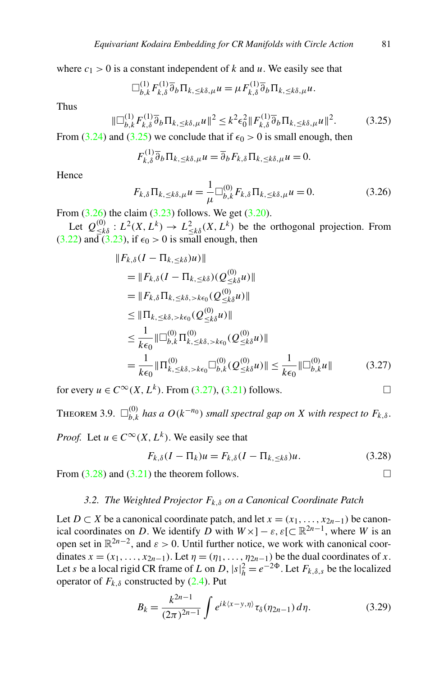<span id="page-26-0"></span>where  $c_1 > 0$  is a constant independent of *k* and *u*. We easily see that

$$
\Box_{b,k}^{(1)} F_{k,\delta}^{(1)} \overline{\partial}_b \Pi_{k,\leq k\delta,\mu} u = \mu F_{k,\delta}^{(1)} \overline{\partial}_b \Pi_{k,\leq k\delta,\mu} u.
$$

Thus

$$
\|\Box_{b,k}^{(1)} F_{k,\delta}^{(1)} \overline{\partial}_b \Pi_{k,\leq k\delta,\mu} u\|^2 \leq k^2 \epsilon_0^2 \|F_{k,\delta}^{(1)} \overline{\partial}_b \Pi_{k,\leq k\delta,\mu} u\|^2. \tag{3.25}
$$

From ([3.24](#page-25-0)) and (3.25) we conclude that if  $\epsilon_0 > 0$  is small enough, then

$$
F_{k,\delta}^{(1)}\overline{\partial}_b \Pi_{k,\leq k\delta,\mu} u = \overline{\partial}_b F_{k,\delta} \Pi_{k,\leq k\delta,\mu} u = 0.
$$

Hence

$$
F_{k,\delta} \Pi_{k,\leq k\delta,\mu} u = \frac{1}{\mu} \Box_{b,k}^{(0)} F_{k,\delta} \Pi_{k,\leq k\delta,\mu} u = 0. \tag{3.26}
$$

From  $(3.26)$  the claim  $(3.23)$  $(3.23)$  $(3.23)$  follows. We get  $(3.20)$ .

Let  $Q^{(0)}_{\leq k\delta}: L^2(X, L^k) \to L^2_{\leq k\delta}(X, L^k)$  be the orthogonal projection. From  $(3.22)$  $(3.22)$  $(3.22)$  and  $(3.23)$ , if  $\epsilon_0 > 0$  is small enough, then

$$
||F_{k,\delta}(I - \Pi_{k,\leq k\delta})u||
$$
  
\n
$$
= ||F_{k,\delta}(I - \Pi_{k,\leq k\delta})(Q_{\leq k\delta}^{(0)}u)||
$$
  
\n
$$
= ||F_{k,\delta}\Pi_{k,\leq k\delta,\geq k\epsilon_0}(Q_{\leq k\delta}^{(0)}u)||
$$
  
\n
$$
\leq ||\Pi_{k,\leq k\delta,\geq k\epsilon_0}(Q_{\leq k\delta}^{(0)}u)||
$$
  
\n
$$
\leq \frac{1}{k\epsilon_0} ||\Box_{b,k}^{(0)}\Pi_{k,\leq k\delta,\geq k\epsilon_0}^{(0)}(Q_{\leq k\delta}^{(0)}u)||
$$
  
\n
$$
= \frac{1}{k\epsilon_0} ||\Pi_{k,\leq k\delta,\geq k\epsilon_0}^{(0)}\Box_{b,k}^{(0)}(Q_{\leq k\delta}^{(0)}u)|| \leq \frac{1}{k\epsilon_0} ||\Box_{b,k}^{(0)}u||
$$
 (3.27)

for every  $u \in C^{\infty}(X, L^k)$ . From (3.27), [\(3.21](#page-25-0)) follows.

**THEOREM** 3.9.  $\Box_{b,k}^{(0)}$  *has a*  $O(k^{-n_0})$  *small spectral gap on X with respect to*  $F_{k,\delta}$ .

*Proof.* Let  $u \in C^{\infty}(X, L^k)$ . We easily see that

$$
F_{k,\delta}(I - \Pi_k)u = F_{k,\delta}(I - \Pi_{k,\leq k\delta})u.
$$
\n(3.28)

From  $(3.28)$  and  $(3.21)$  the theorem follows.

#### *3.2. The Weighted Projector Fk,δ on a Canonical Coordinate Patch*

Let *D* ⊂ *X* be a canonical coordinate patch, and let  $x = (x_1, \ldots, x_{2n-1})$  be canonical coordinates on *D*. We identify *D* with  $W \times ] - \varepsilon$ ,  $\varepsilon [ \subset \mathbb{R}^{2n-1} ]$ , where *W* is an open set in  $\mathbb{R}^{2n-2}$ , and  $\varepsilon > 0$ . Until further notice, we work with canonical coordinates  $x = (x_1, \ldots, x_{2n-1})$ . Let  $\eta = (\eta_1, \ldots, \eta_{2n-1})$  be the dual coordinates of *x*. Let *s* be a local rigid CR frame of *L* on *D*,  $|s|_h^2 = e^{-2\Phi}$ . Let  $F_{k,\delta,s}$  be the localized operator of  $F_{k,\delta}$  constructed by ([2.4](#page-10-0)). Put

$$
B_k = \frac{k^{2n-1}}{(2\pi)^{2n-1}} \int e^{ik\langle x-y,\eta\rangle} \tau_\delta(\eta_{2n-1}) \, d\eta. \tag{3.29}
$$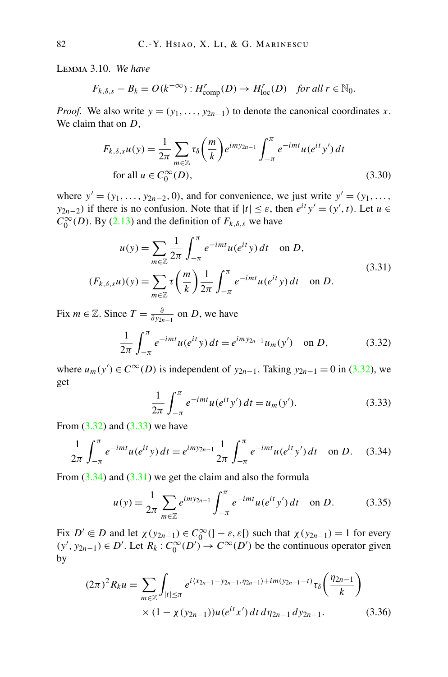<span id="page-27-0"></span>Lemma 3.10. *We have*

$$
F_{k,\delta,s} - B_k = O(k^{-\infty}) : H^r_{\text{comp}}(D) \to H^r_{\text{loc}}(D) \quad \text{for all } r \in \mathbb{N}_0.
$$

*Proof.* We also write  $y = (y_1, \ldots, y_{2n-1})$  to denote the canonical coordinates *x*. We claim that on *D*,

$$
F_{k,\delta,s}u(y) = \frac{1}{2\pi} \sum_{m \in \mathbb{Z}} \tau_{\delta}\left(\frac{m}{k}\right) e^{imy_{2n-1}} \int_{-\pi}^{\pi} e^{-imt} u(e^{it} y') dt
$$
  
for all  $u \in C_0^{\infty}(D)$ , (3.30)

where  $y' = (y_1, \ldots, y_{2n-2}, 0)$ , and for convenience, we just write  $y' = (y_1, \ldots, y_{2n-2}, 0)$ *y*<sub>2*n*−2</sub>*)* if there is no confusion. Note that if  $|t| \leq \varepsilon$ , then  $e^{it}y' = (y', t)$ . Let  $u \in$  $C_0^{\infty}(D)$ . By ([2.13](#page-13-0)) and the definition of  $F_{k,\delta,s}$  we have

$$
u(y) = \sum_{m \in \mathbb{Z}} \frac{1}{2\pi} \int_{-\pi}^{\pi} e^{-imt} u(e^{it} y) dt \text{ on } D,
$$
  
(*F<sub>k, \delta, s</sub>u)(y) =  $\sum_{m \in \mathbb{Z}} \tau \left(\frac{m}{k}\right) \frac{1}{2\pi} \int_{-\pi}^{\pi} e^{-imt} u(e^{it} y) dt \text{ on } D.$  (3.31)*

Fix *m* ∈  $\mathbb{Z}$ . Since  $T = \frac{\partial}{\partial y_{2n-1}}$  on *D*, we have

$$
\frac{1}{2\pi} \int_{-\pi}^{\pi} e^{-imt} u(e^{it} y) dt = e^{imy_{2n-1}} u_m(y') \text{ on } D,
$$
 (3.32)

where  $u_m(y')$  ∈  $C^\infty(D)$  is independent of  $y_{2n-1}$ . Taking  $y_{2n-1} = 0$  in (3.32), we get

$$
\frac{1}{2\pi} \int_{-\pi}^{\pi} e^{-imt} u(e^{it} y') dt = u_m(y').
$$
 (3.33)

From  $(3.32)$  and  $(3.33)$  we have

$$
\frac{1}{2\pi} \int_{-\pi}^{\pi} e^{-imt} u(e^{it} y) dt = e^{imy_{2n-1}} \frac{1}{2\pi} \int_{-\pi}^{\pi} e^{-imt} u(e^{it} y') dt \text{ on } D. \quad (3.34)
$$

From  $(3.34)$  and  $(3.31)$  we get the claim and also the formula

$$
u(y) = \frac{1}{2\pi} \sum_{m \in \mathbb{Z}} e^{imy_{2n-1}} \int_{-\pi}^{\pi} e^{-imt} u(e^{it} y') dt \quad \text{on } D.
$$
 (3.35)

Fix  $D' \in D$  and let  $\chi(y_{2n-1}) \in C_0^{\infty}(\ ]- \varepsilon, \varepsilon[)$  such that  $\chi(y_{2n-1}) = 1$  for every  $(y', y_{2n-1})$  ∈ *D'*. Let  $R_k$  :  $C_0^{\infty}(D')$  →  $C^{\infty}(D')$  be the continuous operator given by

$$
(2\pi)^{2} R_{k} u = \sum_{m \in \mathbb{Z}} \int_{|t| \le \pi} e^{i \langle x_{2n-1} - y_{2n-1}, \eta_{2n-1} \rangle + im(y_{2n-1} - t)} \tau_{\delta} \left( \frac{\eta_{2n-1}}{k} \right)
$$
  
 
$$
\times (1 - \chi(y_{2n-1})) u(e^{it} x') dt d\eta_{2n-1} dy_{2n-1}.
$$
 (3.36)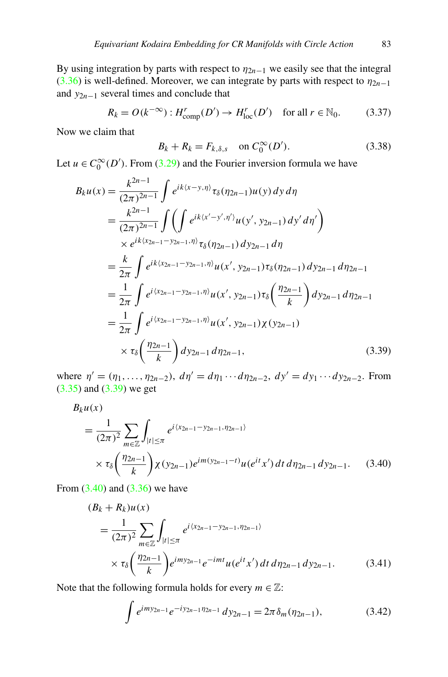<span id="page-28-0"></span>By using integration by parts with respect to  $\eta_{2n-1}$  we easily see that the integral ([3.36](#page-27-0)) is well-defined. Moreover, we can integrate by parts with respect to  $\eta_{2n-1}$ and *y*2*n*−<sup>1</sup> several times and conclude that

$$
R_k = O(k^{-\infty}) : H^r_{\text{comp}}(D') \to H^r_{\text{loc}}(D') \quad \text{for all } r \in \mathbb{N}_0. \tag{3.37}
$$

Now we claim that

$$
B_k + R_k = F_{k,\delta,s} \quad \text{on } C_0^{\infty}(D'). \tag{3.38}
$$

Let  $u \in C_0^{\infty}(D')$ . From ([3.29](#page-26-0)) and the Fourier inversion formula we have

$$
B_k u(x) = \frac{k^{2n-1}}{(2\pi)^{2n-1}} \int e^{ik(x-y,\eta)} \tau_{\delta}(\eta_{2n-1}) u(y) dy d\eta
$$
  
\n
$$
= \frac{k^{2n-1}}{(2\pi)^{2n-1}} \int \left( \int e^{ik(x'-y',\eta')} u(y',y_{2n-1}) dy' d\eta' \right)
$$
  
\n
$$
\times e^{ik(x_{2n-1}-y_{2n-1},\eta)} \tau_{\delta}(\eta_{2n-1}) dy_{2n-1} d\eta
$$
  
\n
$$
= \frac{k}{2\pi} \int e^{ik(x_{2n-1}-y_{2n-1},\eta)} u(x',y_{2n-1}) \tau_{\delta}(\eta_{2n-1}) dy_{2n-1} d\eta_{2n-1}
$$
  
\n
$$
= \frac{1}{2\pi} \int e^{i(x_{2n-1}-y_{2n-1},\eta)} u(x',y_{2n-1}) \tau_{\delta}(\frac{\eta_{2n-1}}{k}) dy_{2n-1} d\eta_{2n-1}
$$
  
\n
$$
= \frac{1}{2\pi} \int e^{i(x_{2n-1}-y_{2n-1},\eta)} u(x',y_{2n-1}) \chi(y_{2n-1})
$$
  
\n
$$
\times \tau_{\delta}(\frac{\eta_{2n-1}}{k}) dy_{2n-1} d\eta_{2n-1}, \qquad (3.39)
$$

where  $\eta' = (\eta_1, \ldots, \eta_{2n-2})$ ,  $d\eta' = d\eta_1 \cdots d\eta_{2n-2}$ ,  $dy' = dy_1 \cdots dy_{2n-2}$ . From ([3.35](#page-27-0)) and (3.39) we get

$$
B_k u(x)
$$
  
=  $\frac{1}{(2\pi)^2} \sum_{m \in \mathbb{Z}} \int_{|t| \le \pi} e^{i \langle x_{2n-1} - y_{2n-1}, \eta_{2n-1} \rangle}$   
  $\times \tau_\delta \left( \frac{\eta_{2n-1}}{k} \right) \chi(y_{2n-1}) e^{i m (y_{2n-1} - t)} u(e^{it} x') dt d\eta_{2n-1} dy_{2n-1}.$  (3.40)

From  $(3.40)$  and  $(3.36)$  we have

$$
(B_k + R_k)u(x)
$$
  
=  $\frac{1}{(2\pi)^2} \sum_{m \in \mathbb{Z}} \int_{|t| \le \pi} e^{i \langle x_{2n-1} - y_{2n-1}, \eta_{2n-1} \rangle}$   
 $\times \tau_\delta \left(\frac{\eta_{2n-1}}{k}\right) e^{imy_{2n-1}} e^{-imt} u(e^{it} x') dt d\eta_{2n-1} dy_{2n-1}.$  (3.41)

Note that the following formula holds for every  $m \in \mathbb{Z}$ :

$$
\int e^{imy_{2n-1}}e^{-iy_{2n-1}\eta_{2n-1}}\,dy_{2n-1} = 2\pi\delta_m(\eta_{2n-1}),\tag{3.42}
$$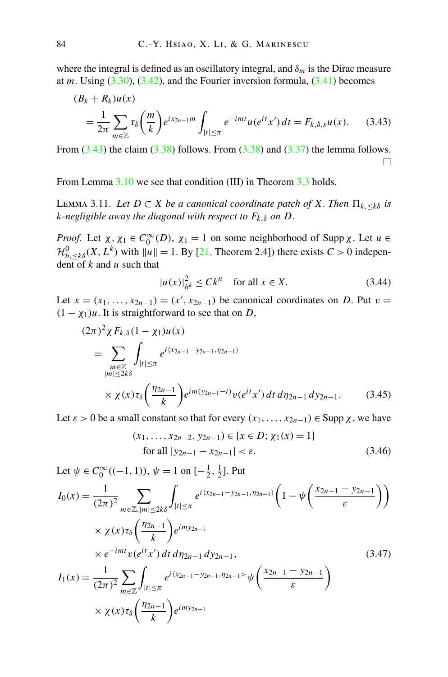<span id="page-29-0"></span>where the integral is defined as an oscillatory integral, and  $\delta_m$  is the Dirac measure at  $m$ . Using  $(3.30)$  $(3.30)$  $(3.30)$ ,  $(3.42)$  $(3.42)$  $(3.42)$ , and the Fourier inversion formula,  $(3.41)$  $(3.41)$  $(3.41)$  becomes

$$
(B_k + R_k)u(x)
$$
  
=  $\frac{1}{2\pi} \sum_{m \in \mathbb{Z}} \tau_\delta \left(\frac{m}{k}\right) e^{ix_{2n-1}m} \int_{|t| \le \pi} e^{-imt} u(e^{it}x') dt = F_{k,\delta,s}u(x).$  (3.43)

From  $(3.43)$  the claim  $(3.38)$  follows. From  $(3.38)$  $(3.38)$  $(3.38)$  and  $(3.37)$  the lemma follows.  $\Box$ 

From Lemma [3.10](#page-27-0) we see that condition (III) in Theorem [3.3](#page-20-0) holds.

LEMMA 3.11. Let *D* ⊂ *X be a canonical coordinate patch of X*. *Then*  $\Pi_{k, ≤k\delta}$  *is k*-negligible away the diagonal with respect to  $F_{k,\delta}$  on  $D$ .

*Proof.* Let  $\chi$ ,  $\chi_1 \in C_0^\infty(D)$ ,  $\chi_1 = 1$  on some neighborhood of Supp  $\chi$ . Let  $u \in$  $\mathcal{H}_{b,\leq k\delta}^{0}(X,L^{k})$  with  $||u|| = 1$ . By [\[21](#page-56-0), Theorem 2.4]) there exists  $C > 0$  independent of *k* and *u* such that

$$
|u(x)|_{h^k}^2 \le Ck^n \quad \text{for all } x \in X. \tag{3.44}
$$

Let  $x = (x_1, \ldots, x_{2n-1}) = (x', x_{2n-1})$  be canonical coordinates on *D*. Put  $v =$  $(1 - \chi_1)u$ . It is straightforward to see that on *D*,

$$
(2\pi)^2 \chi F_{k,\delta} (1 - \chi_1) u(x)
$$
  
= 
$$
\sum_{\substack{m \in \mathbb{Z} \\ |m| \le 2k\delta}} \int_{|t| \le \pi} e^{i \langle x_{2n-1} - y_{2n-1}, \eta_{2n-1} \rangle} \times \chi(x) \tau_{\delta} \left( \frac{\eta_{2n-1}}{k} \right) e^{im(y_{2n-1}-t)} v(e^{it} x') dt d\eta_{2n-1} dy_{2n-1}.
$$
 (3.45)

Let  $\varepsilon > 0$  be a small constant so that for every  $(x_1, \ldots, x_{2n-1}) \in \text{Supp } \chi$ , we have

$$
(x_1, \dots, x_{2n-2}, y_{2n-1}) \in \{x \in D; \chi_1(x) = 1\}
$$
  
for all  $|y_{2n-1} - x_{2n-1}| < \varepsilon$ . (3.46)

Let  $\psi \in C_0^{\infty}((-1, 1)), \psi = 1$  on  $[-\frac{1}{2}, \frac{1}{2}]$ . Put

$$
I_0(x) = \frac{1}{(2\pi)^2} \sum_{m \in \mathbb{Z}, |m| \le 2k\delta} \int_{|t| \le \pi} e^{i(x_{2n-1} - y_{2n-1}, \eta_{2n-1})} \left(1 - \psi\left(\frac{x_{2n-1} - y_{2n-1}}{\varepsilon}\right)\right)
$$
  
 
$$
\times \chi(x) \tau_{\delta}\left(\frac{\eta_{2n-1}}{k}\right) e^{imy_{2n-1}}
$$
  
 
$$
\times e^{-imt} v(e^{it} x') dt d\eta_{2n-1} dy_{2n-1},
$$
  
\n
$$
I_1(x) = \frac{1}{(2\pi)^2} \sum_{m \in \mathbb{Z}} \int_{|t| \le \pi} e^{i(x_{2n-1} - y_{2n-1}, \eta_{2n-1})} \psi\left(\frac{x_{2n-1} - y_{2n-1}}{\varepsilon}\right)
$$
  
\n
$$
\times \chi(x) \tau_{\delta}\left(\frac{\eta_{2n-1}}{k}\right) e^{imy_{2n-1}}
$$
  
\n(3.47)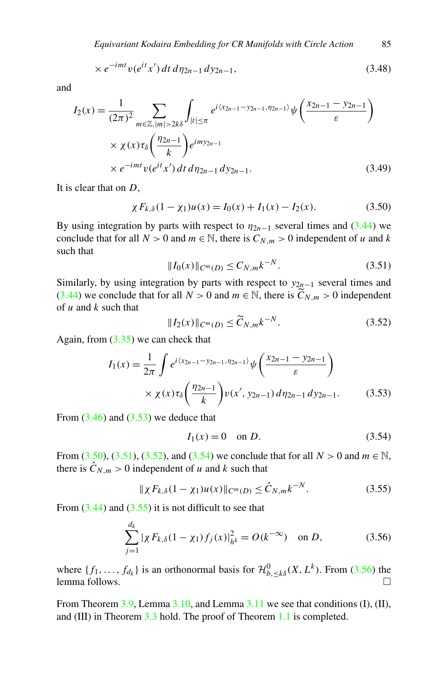$$
\times e^{-imt} v(e^{it} x') dt d\eta_{2n-1} dy_{2n-1}, \qquad (3.48)
$$

<span id="page-30-0"></span>and

$$
I_2(x) = \frac{1}{(2\pi)^2} \sum_{m \in \mathbb{Z}, |m| > 2k\delta} \int_{|t| \le \pi} e^{i \langle x_{2n-1} - y_{2n-1}, \eta_{2n-1} \rangle} \psi\left(\frac{x_{2n-1} - y_{2n-1}}{\varepsilon}\right)
$$
  
 
$$
\times \chi(x) \tau_\delta \left(\frac{\eta_{2n-1}}{k}\right) e^{imy_{2n-1}}
$$
  
 
$$
\times e^{-imt} v(e^{it} x') dt d\eta_{2n-1} dy_{2n-1}.
$$
 (3.49)

It is clear that on *D*,

$$
\chi F_{k,\delta}(1 - \chi_1)u(x) = I_0(x) + I_1(x) - I_2(x). \tag{3.50}
$$

By using integration by parts with respect to  $\eta_{2n-1}$  several times and ([3.44](#page-29-0)) we conclude that for all  $N > 0$  and  $m \in \mathbb{N}$ , there is  $C_{N,m} > 0$  independent of *u* and *k* such that

$$
||I_0(x)||_{C^m(D)} \le C_{N,m} k^{-N}.
$$
\n(3.51)

Similarly, by using integration by parts with respect to  $y_{2n-1}$  several times and ([3.44](#page-29-0)) we conclude that for all  $N > 0$  and  $m \in \mathbb{N}$ , there is  $\widetilde{C}_{N,m} > 0$  independent of *u* and *k* such that

$$
||I_2(x)||_{C^m(D)} \le \widetilde{C}_{N,m} k^{-N}.
$$
\n(3.52)

Again, from  $(3.35)$  we can check that

$$
I_1(x) = \frac{1}{2\pi} \int e^{i(x_{2n-1} - y_{2n-1}, \eta_{2n-1})} \psi\left(\frac{x_{2n-1} - y_{2n-1}}{\varepsilon}\right)
$$
  
 
$$
\times \chi(x) \tau_\delta\left(\frac{\eta_{2n-1}}{k}\right) v(x', y_{2n-1}) d\eta_{2n-1} dy_{2n-1}.
$$
 (3.53)

From  $(3.46)$  $(3.46)$  $(3.46)$  and  $(3.53)$  we deduce that

$$
I_1(x) = 0 \quad \text{on } D. \tag{3.54}
$$

From (3.50), (3.51), (3.52), and (3.54) we conclude that for all *N* > 0 and *m* ∈ N, there is  $\hat{C}_{N,m} > 0$  independent of *u* and *k* such that

$$
\|\chi F_{k,\delta}(1-\chi_1)u(x)\|_{C^m(D)} \leq \hat{C}_{N,m}k^{-N}.
$$
 (3.55)

From  $(3.44)$  $(3.44)$  $(3.44)$  and  $(3.55)$  it is not difficult to see that

$$
\sum_{j=1}^{d_k} |\chi F_{k,\delta}(1 - \chi_1) f_j(x)|_{h^k}^2 = O(k^{-\infty}) \quad \text{on } D,\tag{3.56}
$$

where  $\{f_1, \ldots, f_{d_k}\}$  is an orthonormal basis for  $\mathcal{H}_{b, \leq k\delta}^0(X, L^k)$ . From (3.56) the  $l$ emma follows.  $\Box$ 

From Theorem  $3.9$ , Lemma  $3.10$ , and Lemma  $3.11$  we see that conditions (I), (II), and (III) in Theorem [3.3](#page-20-0) hold. The proof of Theorem [1.1](#page-4-0) is completed.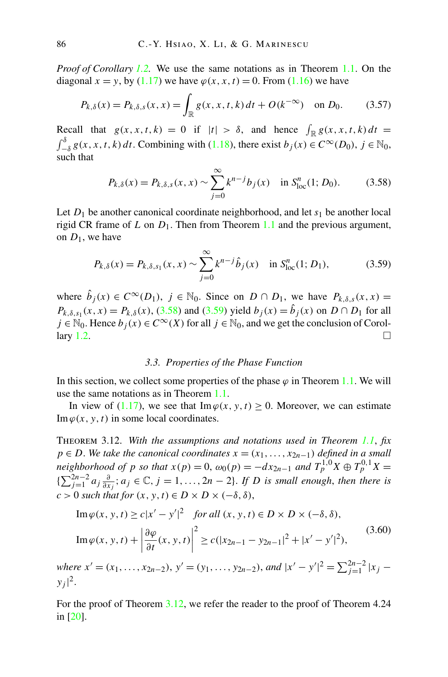*Proof of Corollary [1.2](#page-5-0).* We use the same notations as in Theorem [1.1.](#page-4-0) On the diagonal  $x = y$ , by [\(1.17\)](#page-5-0) we have  $\varphi(x, x, t) = 0$ . From ([1.16](#page-4-0)) we have

$$
P_{k,\delta}(x) = P_{k,\delta,s}(x,x) = \int_{\mathbb{R}} g(x,x,t,k) \, dt + O(k^{-\infty}) \quad \text{on } D_0. \tag{3.57}
$$

Recall that  $g(x, x, t, k) = 0$  if  $|t| > \delta$ , and hence  $\int_{\mathbb{R}} g(x, x, t, k) dt =$  $\int_{-\delta}^{\delta} g(x, x, t, k) dt$ . Combining with [\(1.18\)](#page-5-0), there exist *b*<sub>*j*</sub>(*x*) ∈ *C*<sup>∞</sup>(*D*<sub>0</sub>), *j* ∈ N<sub>0</sub>, such that

$$
P_{k,\delta}(x) = P_{k,\delta,s}(x,x) \sim \sum_{j=0}^{\infty} k^{n-j} b_j(x) \quad \text{in } S^n_{\text{loc}}(1; D_0). \tag{3.58}
$$

Let  $D_1$  be another canonical coordinate neighborhood, and let  $s_1$  be another local rigid CR frame of *L* on  $D_1$ . Then from Theorem [1.1](#page-4-0) and the previous argument, on  $D_1$ , we have

$$
P_{k,\delta}(x) = P_{k,\delta,s_1}(x,x) \sim \sum_{j=0}^{\infty} k^{n-j} \hat{b}_j(x) \quad \text{in } S^n_{\text{loc}}(1; D_1), \tag{3.59}
$$

where  $\hat{b}_j(x) \in C^{\infty}(D_1)$ ,  $j \in \mathbb{N}_0$ . Since on  $D \cap D_1$ , we have  $P_{k,\delta,s}(x,x) =$ *P<sub>k,δ,s<sub>1</sub></sub>*( $x, x$ ) = *P<sub>k,δ</sub>*( $x$ ), (3.58) and (3.59) yield  $b_j(x) = \hat{b}_j(x)$  on  $D \cap D_1$  for all  $j \in \mathbb{N}_0$ . Hence  $b_j(x) \in C^\infty(X)$  for all  $j \in \mathbb{N}_0$ , and we get the conclusion of Corol-lary [1.2](#page-5-0).

#### *3.3. Properties of the Phase Function*

In this section, we collect some properties of the phase  $\varphi$  in Theorem [1.1.](#page-4-0) We will use the same notations as in Theorem [1.1.](#page-4-0)

In view of [\(1.17\)](#page-5-0), we see that  $\text{Im } \varphi(x, y, t) \geq 0$ . Moreover, we can estimate Im  $\varphi(x, y, t)$  in some local coordinates.

Theorem 3.12. *With the assumptions and notations used in Theorem [1.1](#page-4-0)*, *fix*  $p \in D$ . We take the canonical coordinates  $x = (x_1, \ldots, x_{2n-1})$  defined in a small *neighborhood of p so that*  $x(p) = 0$ ,  $\omega_0(p) = -dx_{2n-1}$  and  $T_p^{1,0}X \oplus T_p^{0,1}X =$ { $\sum_{j=1}^{2n-2} a_j \frac{\partial}{\partial x_j}$ ; *a<sub>j</sub>* ∈ ℂ, *j* = 1,..., 2*n* − 2}. *If D is small enough, then there is*  $c > 0$  *such that for*  $(x, y, t) \in D \times D \times (-\delta, \delta)$ ,

$$
\operatorname{Im}\varphi(x, y, t) \ge c|x'-y'|^2 \quad \text{for all } (x, y, t) \in D \times D \times (-\delta, \delta),
$$
\n
$$
\operatorname{Im}\varphi(x, y, t) + \left|\frac{\partial\varphi}{\partial t}(x, y, t)\right|^2 \ge c(|x_{2n-1} - y_{2n-1}|^2 + |x'-y'|^2),
$$
\n(3.60)

*where*  $x' = (x_1, \ldots, x_{2n-2}), y' = (y_1, \ldots, y_{2n-2}),$  *and*  $|x' - y'|^2 = \sum_{j=1}^{2n-2} |x_j - y_j|$  $y_j|^2$ .

For the proof of Theorem 3.12, we refer the reader to the proof of Theorem 4.24 in [\[20](#page-56-0)].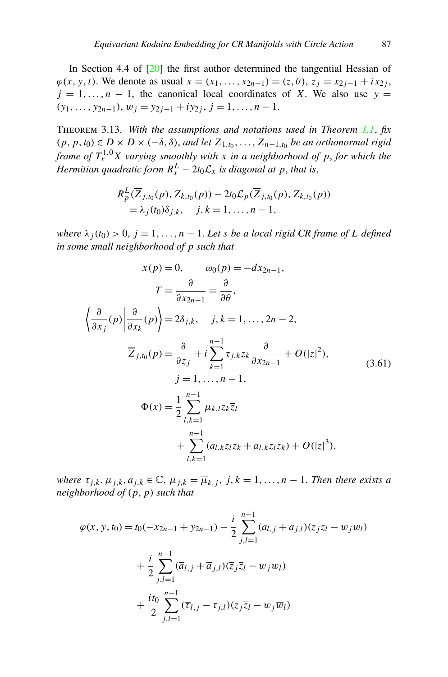<span id="page-32-0"></span>In Section 4.4 of [\[20](#page-56-0)] the first author determined the tangential Hessian of  $\varphi(x, y, t)$ . We denote as usual  $x = (x_1, \ldots, x_{2n-1}) = (z, \theta), z_j = x_{2j-1} + ix_{2j}$ ,  $j = 1, \ldots, n - 1$ , the canonical local coordinates of *X*. We also use  $y =$  $(y_1, \ldots, y_{2n-1}), w_j = y_{2j-1} + iy_{2j}, j = 1, \ldots, n-1.$ 

Theorem 3.13. *With the assumptions and notations used in Theorem [1.1](#page-4-0)*, *fix*  $(p, p, t_0)$  ∈ *D* × *D* × (− $\delta$ , $\delta$ ), *and let*  $\overline{Z}_{1,t_0}, \ldots, \overline{Z}_{n-1,t_0}$  *be an orthonormal rigid frame of*  $T_x^{1,0}X$  *varying smoothly with x in a neighborhood of p*, *for which the Hermitian quadratic form*  $R_x^L - 2t_0 \mathcal{L}_x$  *is diagonal at*  $p$ , *that is*,

$$
R_p^L(\overline{Z}_{j,t_0}(p), Z_{k,t_0}(p)) - 2t_0 \mathcal{L}_p(\overline{Z}_{j,t_0}(p), Z_{k,t_0}(p))
$$
  
=  $\lambda_j(t_0)\delta_{j,k}, \quad j,k = 1, ..., n-1,$ 

*where*  $\lambda_j(t_0) > 0$ ,  $j = 1, \ldots, n - 1$ . Let *s* be a local rigid CR frame of L defined *in some small neighborhood of p such that*

$$
x(p) = 0, \qquad \omega_0(p) = -dx_{2n-1},
$$
  
\n
$$
T = \frac{\partial}{\partial x_{2n-1}} = \frac{\partial}{\partial \theta},
$$
  
\n
$$
\left\langle \frac{\partial}{\partial x_j}(p) \middle| \frac{\partial}{\partial x_k}(p) \right\rangle = 2\delta_{j,k}, \quad j, k = 1, ..., 2n - 2,
$$
  
\n
$$
\overline{Z}_{j,t_0}(p) = \frac{\partial}{\partial z_j} + i \sum_{k=1}^{n-1} \tau_{j,k} \overline{z_k} \frac{\partial}{\partial x_{2n-1}} + O(|z|^2),
$$
  
\n
$$
j = 1, ..., n - 1,
$$
  
\n
$$
\Phi(x) = \frac{1}{2} \sum_{l,k=1}^{n-1} \mu_{k,l} z_k \overline{z_l}
$$
  
\n
$$
+ \sum_{l,k=1}^{n-1} (a_{l,k} z_l z_k + \overline{a}_{l,k} \overline{z_l} \overline{z_k}) + O(|z|^3),
$$
  
\n(3.61)

*where*  $\tau_{j,k}, \mu_{j,k}, a_{j,k} \in \mathbb{C}, \mu_{j,k} = \overline{\mu}_{k,j}, j, k = 1, \ldots, n-1$ . *Then there exists a neighborhood of (p,p) such that*

$$
\varphi(x, y, t_0) = t_0(-x_{2n-1} + y_{2n-1}) - \frac{i}{2} \sum_{j,l=1}^{n-1} (a_{l,j} + a_{j,l})(z_j z_l - w_j w_l) + \frac{i}{2} \sum_{j,l=1}^{n-1} (\overline{a}_{l,j} + \overline{a}_{j,l})(\overline{z}_j \overline{z}_l - \overline{w}_j \overline{w}_l) + \frac{it_0}{2} \sum_{j,l=1}^{n-1} (\overline{\tau}_{l,j} - \tau_{j,l})(z_j \overline{z}_l - w_j \overline{w}_l)
$$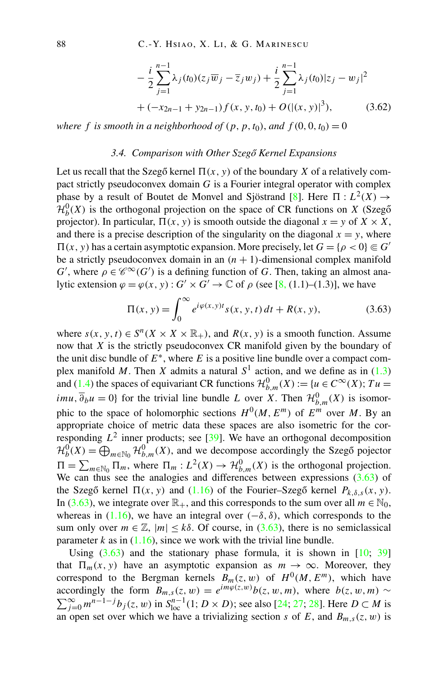$$
-\frac{i}{2}\sum_{j=1}^{n-1}\lambda_j(t_0)(z_j\overline{w}_j-\overline{z}_jw_j)+\frac{i}{2}\sum_{j=1}^{n-1}\lambda_j(t_0)|z_j-w_j|^2
$$
  
+ 
$$
(-x_{2n-1}+y_{2n-1})f(x, y, t_0)+O(|(x, y)|^3),
$$
 (3.62)

<span id="page-33-0"></span>*where f is smooth in a neighborhood of*  $(p, p, t_0)$ *, and*  $f(0, 0, t_0) = 0$ 

#### *3.4. Comparison with Other Szeg ˝o Kernel Expansions*

Let us recall that the Szegő kernel  $\Pi(x, y)$  of the boundary X of a relatively compact strictly pseudoconvex domain *G* is a Fourier integral operator with complex phase by a result of Boutet de Monvel and Sjöstrand [\[8](#page-55-0)]. Here  $\Pi : L^2(X) \to$  $\mathcal{H}_{b}^{0}(X)$  is the orthogonal projection on the space of CR functions on *X* (Szegõ projector). In particular,  $\Pi(x, y)$  is smooth outside the diagonal  $x = y$  of  $X \times X$ , and there is a precise description of the singularity on the diagonal  $x = y$ , where  $\Pi(x, y)$  has a certain asymptotic expansion. More precisely, let  $G = \{ \rho < 0 \} \subseteq G'$ be a strictly pseudoconvex domain in an  $(n + 1)$ -dimensional complex manifold  $G'$ , where  $\rho \in \mathscr{C}^{\infty}(G')$  is a defining function of *G*. Then, taking an almost analytic extension  $\varphi = \varphi(x, y) : G' \times G' \to \mathbb{C}$  of  $\rho$  (see [[8,](#page-55-0) (1.1)–(1.3)], we have

$$
\Pi(x, y) = \int_0^\infty e^{i\varphi(x, y)t} s(x, y, t) dt + R(x, y), \tag{3.63}
$$

where  $s(x, y, t) \in S^n(X \times X \times \mathbb{R}_+)$ , and  $R(x, y)$  is a smooth function. Assume now that *X* is the strictly pseudoconvex CR manifold given by the boundary of the unit disc bundle of  $E^*$ , where  $E$  is a positive line bundle over a compact complex manifold *M*. Then *X* admits a natural  $S<sup>1</sup>$  action, and we define as in ([1.3](#page-2-0)) and ([1.4](#page-2-0)) the spaces of equivariant CR functions  $\mathcal{H}_{b,m}^0(X) := \{u \in C^\infty(X) ; Tu =$ *imu*,  $\overline{\partial}_b u = 0$ } for the trivial line bundle *L* over *X*. Then  $\mathcal{H}_{b,m}^0(X)$  is isomorphic to the space of holomorphic sections  $H^0(M, E^m)$  of  $E^m$  over M. By an appropriate choice of metric data these spaces are also isometric for the corresponding  $L^2$  inner products; see [\[39](#page-57-0)]. We have an orthogonal decomposition  $\mathcal{H}_b^0(X) = \bigoplus_{m \in \mathbb{N}_0} \mathcal{H}_{b,m}^0(X)$ , and we decompose accordingly the Szegő pojector  $\Pi = \sum_{m \in \mathbb{N}_0} \Pi_m$ , where  $\Pi_m : L^2(X) \to \mathcal{H}_{b,m}^0(X)$  is the orthogonal projection. We can thus see the analogies and differences between expressions  $(3.63)$  of the Szegő kernel  $\Pi(x, y)$  and [\(1.16](#page-4-0)) of the Fourier–Szegő kernel  $P_{k, \delta, s}(x, y)$ . In (3.63), we integrate over  $\mathbb{R}_+$ , and this corresponds to the sum over all  $m \in \mathbb{N}_0$ , whereas in  $(1.16)$  $(1.16)$  $(1.16)$ , we have an integral over  $(-\delta, \delta)$ , which corresponds to the sum only over  $m \in \mathbb{Z}$ ,  $|m| \le k\delta$ . Of course, in (3.63), there is no semiclassical parameter  $k$  as in  $(1.16)$  $(1.16)$  $(1.16)$ , since we work with the trivial line bundle.

Using  $(3.63)$  and the stationary phase formula, it is shown in  $[10; 39]$  $[10; 39]$  $[10; 39]$  $[10; 39]$  $[10; 39]$ that  $\Pi_m(x, y)$  have an asymptotic expansion as  $m \to \infty$ . Moreover, they correspond to the Bergman kernels  $B_m(z, w)$  of  $H^0(M, E^m)$ , which have accordingly the form  $B_{m,s}(z, w) = e^{im\varphi(z, w)}b(z, w, m)$ , where  $b(z, w, m) \sim \sum_{j=0}^{\infty} m^{n-1-j}b_j(z, w)$  in  $S_{loc}^{n-1}(1; D \times D)$ ; see also [[24;](#page-56-0) [27;](#page-56-0) [28\]](#page-56-0). Here  $D \subset M$  is an open set over which we have a trivializing section *s* of *E*, and  $B_{m,s}(z,w)$  is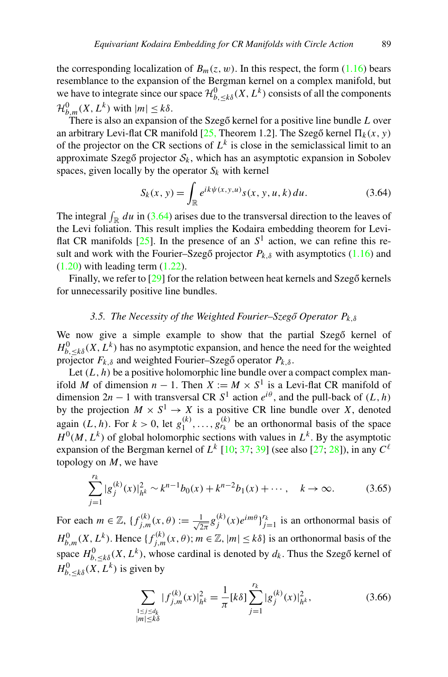<span id="page-34-0"></span>the corresponding localization of  $B_m(z, w)$ . In this respect, the form [\(1.16](#page-4-0)) bears resemblance to the expansion of the Bergman kernel on a complex manifold, but we have to integrate since our space  $\mathcal{H}_{b,\leq k\delta}^0(X,L^k)$  consists of all the components  $\mathcal{H}_{b,m}^0(X,L^k)$  with  $|m| \leq k\delta$ .

There is also an expansion of the Szegő kernel for a positive line bundle  $L$  over an arbitrary Levi-flat CR manifold  $[25,$  $[25,$  Theorem 1.2]. The Szegő kernel  $\Pi_k(x, y)$ of the projector on the CR sections of  $L<sup>k</sup>$  is close in the semiclassical limit to an approximate Szegő projector  $S_k$ , which has an asymptotic expansion in Sobolev spaces, given locally by the operator  $S_k$  with kernel

$$
S_k(x, y) = \int_{\mathbb{R}} e^{ik\psi(x, y, u)} s(x, y, u, k) du.
$$
 (3.64)

The integral  $\int_{\mathbb{R}} du$  in (3.64) arises due to the transversal direction to the leaves of the Levi foliation. This result implies the Kodaira embedding theorem for Leviflat CR manifolds  $[25]$  $[25]$ . In the presence of an  $S<sup>1</sup>$  action, we can refine this result and work with the Fourier–Szegő projector  $P_{k,\delta}$  with asymptotics ([1.16](#page-4-0)) and  $(1.20)$  $(1.20)$  $(1.20)$  with leading term  $(1.22)$ .

Finally, we refer to  $[29]$  $[29]$  for the relation between heat kernels and Szegő kernels for unnecessarily positive line bundles.

## *3.5. The Necessity of the Weighted Fourier–Szeg ˝o Operator Pk,δ*

We now give a simple example to show that the partial Szegő kernel of  $H_{b, \leq k\delta}^{0}(X, L^{k})$  has no asymptotic expansion, and hence the need for the weighted projector  $F_{k,\delta}$  and weighted Fourier–Szegő operator  $P_{k,\delta}$ .

Let  $(L, h)$  be a positive holomorphic line bundle over a compact complex manifold *M* of dimension  $n - 1$ . Then  $X := M \times S^1$  is a Levi-flat CR manifold of dimension  $2n - 1$  with transversal CR  $S^1$  action  $e^{i\theta}$ , and the pull-back of  $(L, h)$ by the projection  $M \times S^1 \to X$  is a positive CR line bundle over X, denoted again  $(L, h)$ . For  $k > 0$ , let  $g_1^{(k)}, \ldots, g_{r_k}^{(k)}$  be an orthonormal basis of the space  $H^0(M, L^k)$  of global holomorphic sections with values in  $L^k$ . By the asymptotic expansion of the Bergman kernel of  $L^k$  [\[10](#page-56-0); [37](#page-57-0); [39](#page-57-0)] (see also [\[27](#page-56-0); [28](#page-56-0)]), in any  $C^{\ell}$ topology on *M*, we have

$$
\sum_{j=1}^{r_k} |g_j^{(k)}(x)|_{h^k}^2 \sim k^{n-1} b_0(x) + k^{n-2} b_1(x) + \cdots, \quad k \to \infty.
$$
 (3.65)

For each  $m \in \mathbb{Z}$ ,  $\{f_{j,m}^{(k)}(x,\theta) := \frac{1}{\sqrt{2\pi}} g_j^{(k)}(x) e^{im\theta} \}_{j=1}^{r_k}$  is an orthonormal basis of  $H_{b,m}^0(X, L^k)$ . Hence  $\{f_{j,m}^{(k)}(x, \theta)$ ;  $m \in \mathbb{Z}, |m| \le k\delta\}$  is an orthonormal basis of the space  $H_{b,\leq k\delta}^0(X,L^k)$ , whose cardinal is denoted by  $d_k$ . Thus the Szegő kernel of  $H_{b, \leq k\delta}^{0}(X, L^{k})$  is given by

$$
\sum_{\substack{1 \le j \le d_k \\ |m| \le k\delta}} |f_{j,m}^{(k)}(x)|_{h^k}^2 = \frac{1}{\pi} [k\delta] \sum_{j=1}^{r_k} |g_j^{(k)}(x)|_{h^k}^2, \tag{3.66}
$$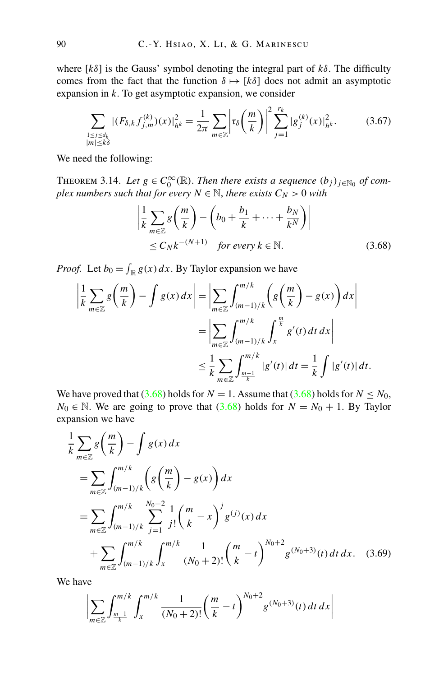<span id="page-35-0"></span>where  $[k\delta]$  is the Gauss' symbol denoting the integral part of  $k\delta$ . The difficulty comes from the fact that the function  $\delta \mapsto [k\delta]$  does not admit an asymptotic expansion in *k*. To get asymptotic expansion, we consider

$$
\sum_{\substack{1 \le j \le d_k \\ |m| \le k\delta}} |(F_{\delta,k} f_{j,m}^{(k)})(x)|_{h^k}^2 = \frac{1}{2\pi} \sum_{m \in \mathbb{Z}} \left| \tau_{\delta} \left( \frac{m}{k} \right) \right|^2 \sum_{j=1}^{r_k} |g_j^{(k)}(x)|_{h^k}^2. \tag{3.67}
$$

We need the following:

THEOREM 3.14. Let  $g \in C_0^{\infty}(\mathbb{R})$ . Then there exists a sequence  $(b_j)_{j \in \mathbb{N}_0}$  of com*plex numbers such that for every*  $N \in \mathbb{N}$ , *there exists*  $C_N > 0$  *with* 

$$
\left| \frac{1}{k} \sum_{m \in \mathbb{Z}} g\left(\frac{m}{k}\right) - \left(b_0 + \frac{b_1}{k} + \dots + \frac{b_N}{k^N}\right) \right|
$$
  
\n
$$
\leq C_N k^{-(N+1)} \quad \text{for every } k \in \mathbb{N}.
$$
 (3.68)

*Proof.* Let  $b_0 = \int_{\mathbb{R}} g(x) dx$ . By Taylor expansion we have

$$
\left| \frac{1}{k} \sum_{m \in \mathbb{Z}} g\left(\frac{m}{k}\right) - \int g(x) dx \right| = \left| \sum_{m \in \mathbb{Z}} \int_{(m-1)/k}^{m/k} \left( g\left(\frac{m}{k}\right) - g(x) \right) dx \right|
$$

$$
= \left| \sum_{m \in \mathbb{Z}} \int_{(m-1)/k}^{m/k} \int_{x}^{\frac{m}{k}} g'(t) dt dx \right|
$$

$$
\leq \frac{1}{k} \sum_{m \in \mathbb{Z}} \int_{\frac{m-1}{k}}^{m/k} |g'(t)| dt = \frac{1}{k} \int |g'(t)| dt.
$$

We have proved that (3.68) holds for *N* = 1. Assume that (3.68) holds for *N*  $\leq$  *N*<sub>0</sub>, *N*<sub>0</sub> ∈ N. We are going to prove that  $(3.68)$  holds for *N* = *N*<sub>0</sub> + 1. By Taylor expansion we have

$$
\frac{1}{k} \sum_{m \in \mathbb{Z}} g\left(\frac{m}{k}\right) - \int g(x) dx
$$
\n
$$
= \sum_{m \in \mathbb{Z}} \int_{(m-1)/k}^{m/k} \left( g\left(\frac{m}{k}\right) - g(x) \right) dx
$$
\n
$$
= \sum_{m \in \mathbb{Z}} \int_{(m-1)/k}^{m/k} \sum_{j=1}^{N_0+2} \frac{1}{j!} \left( \frac{m}{k} - x \right)^j g^{(j)}(x) dx
$$
\n
$$
+ \sum_{m \in \mathbb{Z}} \int_{(m-1)/k}^{m/k} \int_{x}^{m/k} \frac{1}{(N_0+2)!} \left( \frac{m}{k} - t \right)^{N_0+2} g^{(N_0+3)}(t) dt dx. \quad (3.69)
$$

We have

$$
\left|\sum_{m\in\mathbb{Z}}\int_{\frac{m-1}{k}}^{\frac{m}{k}}\int_{x}^{m/k}\frac{1}{(N_0+2)!}\left(\frac{m}{k}-t\right)^{N_0+2}g^{(N_0+3)}(t)\,dt\,dx\right|
$$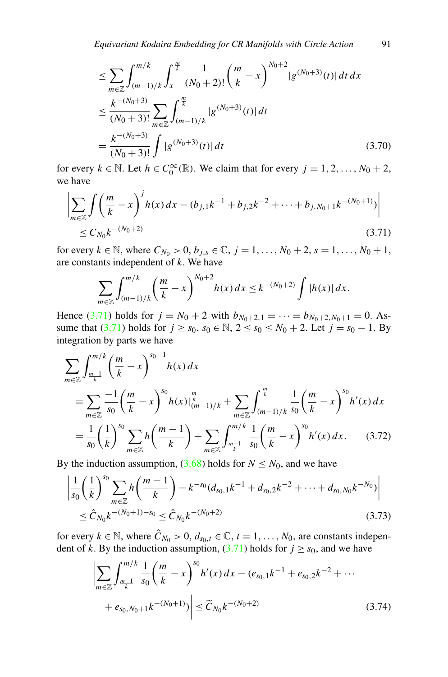<span id="page-36-0"></span>
$$
\leq \sum_{m\in\mathbb{Z}} \int_{(m-1)/k}^{m/k} \int_{x}^{\frac{m}{k}} \frac{1}{(N_0+2)!} \left(\frac{m}{k} - x\right)^{N_0+2} |g^{(N_0+3)}(t)| dt dx
$$
  

$$
\leq \frac{k^{-(N_0+3)}}{(N_0+3)!} \sum_{m\in\mathbb{Z}} \int_{(m-1)/k}^{\frac{m}{k}} |g^{(N_0+3)}(t)| dt
$$
  

$$
= \frac{k^{-(N_0+3)}}{(N_0+3)!} \int |g^{(N_0+3)}(t)| dt
$$
(3.70)

for every  $k \in \mathbb{N}$ . Let  $h \in C_0^{\infty}(\mathbb{R})$ . We claim that for every  $j = 1, 2, ..., N_0 + 2$ , we have

$$
\left| \sum_{m \in \mathbb{Z}} \int \left( \frac{m}{k} - x \right)^j h(x) dx - (b_{j,1}k^{-1} + b_{j,2}k^{-2} + \dots + b_{j,N_0+1}k^{-(N_0+1)}) \right|
$$
  
 
$$
\leq C_{N_0}k^{-(N_0+2)} \tag{3.71}
$$

for every  $k \in \mathbb{N}$ , where  $C_{N_0} > 0$ ,  $b_{j,s} \in \mathbb{C}$ ,  $j = 1, ..., N_0 + 2$ ,  $s = 1, ..., N_0 + 1$ , are constants independent of *k*. We have

$$
\sum_{m\in\mathbb{Z}}\int_{(m-1)/k}^{m/k}\left(\frac{m}{k}-x\right)^{N_0+2}h(x)\,dx\leq k^{-(N_0+2)}\int |h(x)|\,dx.
$$

Hence (3.71) holds for  $j = N_0 + 2$  with  $b_{N_0+2,1} = \cdots = b_{N_0+2,N_0+1} = 0$ . Assume that (3.71) holds for  $j \ge s_0$ ,  $s_0 \in \mathbb{N}$ ,  $2 \le s_0 \le N_0 + 2$ . Let  $j = s_0 - 1$ . By integration by parts we have

$$
\sum_{m\in\mathbb{Z}} \int_{\frac{m-1}{k}}^{m/k} \left(\frac{m}{k} - x\right)^{s_0-1} h(x) dx
$$
  
= 
$$
\sum_{m\in\mathbb{Z}} \frac{-1}{s_0} \left(\frac{m}{k} - x\right)^{s_0} h(x) \Big|_{(m-1)/k}^{\frac{m}{k}} + \sum_{m\in\mathbb{Z}} \int_{(m-1)/k}^{\frac{m}{k}} \frac{1}{s_0} \left(\frac{m}{k} - x\right)^{s_0} h'(x) dx
$$
  
= 
$$
\frac{1}{s_0} \left(\frac{1}{k}\right)^{s_0} \sum_{m\in\mathbb{Z}} h\left(\frac{m-1}{k}\right) + \sum_{m\in\mathbb{Z}} \int_{\frac{m-1}{k}}^{m/k} \frac{1}{s_0} \left(\frac{m}{k} - x\right)^{s_0} h'(x) dx.
$$
 (3.72)

By the induction assumption,  $(3.68)$  holds for  $N \leq N_0$ , and we have

$$
\left| \frac{1}{s_0} \left( \frac{1}{k} \right)^{s_0} \sum_{m \in \mathbb{Z}} h \left( \frac{m-1}{k} \right) - k^{-s_0} (d_{s_0,1} k^{-1} + d_{s_0,2} k^{-2} + \dots + d_{s_0, N_0} k^{-N_0}) \right|
$$
  
 
$$
\leq \hat{C}_{N_0} k^{-(N_0+1)-s_0} \leq \hat{C}_{N_0} k^{-(N_0+2)} \tag{3.73}
$$

for every  $k \in \mathbb{N}$ , where  $\hat{C}_{N_0} > 0$ ,  $d_{s_0,t} \in \mathbb{C}$ ,  $t = 1, \ldots, N_0$ , are constants independent of *k*. By the induction assumption,  $(3.71)$  holds for  $j \geq s_0$ , and we have

$$
\left| \sum_{m \in \mathbb{Z}} \int_{\frac{m-1}{k}}^{\frac{m}{k}} \frac{1}{s_0} \left( \frac{m}{k} - x \right)^{s_0} h'(x) dx - (e_{s_0,1}k^{-1} + e_{s_0,2}k^{-2} + \dots + e_{s_0,N_0+1}k^{-(N_0+1)}) \right| \le \widetilde{C}_{N_0}k^{-(N_0+2)} \tag{3.74}
$$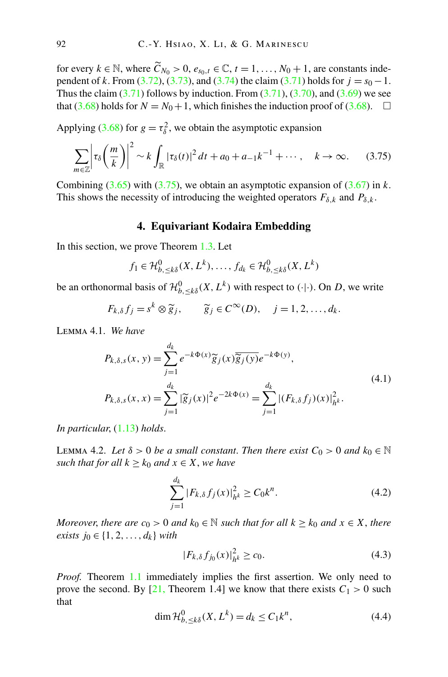<span id="page-37-0"></span>for every  $k \in \mathbb{N}$ , where  $\widetilde{C}_{N_0} > 0$ ,  $e_{s_0,t} \in \mathbb{C}$ ,  $t = 1, ..., N_0 + 1$ , are constants independent of *k*. From [\(3.72\)](#page-36-0), [\(3.73\)](#page-36-0), and [\(3.74\)](#page-36-0) the claim ([3.71](#page-36-0)) holds for  $j = s_0 - 1$ . Thus the claim  $(3.71)$  follows by induction. From  $(3.71)$ ,  $(3.70)$  $(3.70)$  $(3.70)$ , and  $(3.69)$  we see that ([3.68](#page-35-0)) holds for  $N = N_0 + 1$ , which finishes the induction proof of [\(3.68\)](#page-35-0).  $\Box$ 

Applying [\(3.68](#page-35-0)) for  $g = \tau_{\delta}^2$ , we obtain the asymptotic expansion

$$
\sum_{m\in\mathbb{Z}}\left|\tau_{\delta}\left(\frac{m}{k}\right)\right|^{2}\sim k\int_{\mathbb{R}}|\tau_{\delta}(t)|^{2}dt+a_{0}+a_{-1}k^{-1}+\cdots, \quad k\to\infty.
$$
 (3.75)

Combining  $(3.65)$  with  $(3.75)$ , we obtain an asymptotic expansion of  $(3.67)$  $(3.67)$  $(3.67)$  in *k*. This shows the necessity of introducing the weighted operators  $F_{\delta,k}$  and  $P_{\delta,k}$ .

## **4. Equivariant Kodaira Embedding**

In this section, we prove Theorem [1.3](#page-7-0). Let

$$
f_1 \in \mathcal{H}_{b, \leq k\delta}^0(X, L^k), \dots, f_{d_k} \in \mathcal{H}_{b, \leq k\delta}^0(X, L^k)
$$

be an orthonormal basis of  $\mathcal{H}_{b,\leq k\delta}^0(X,L^k)$  with respect to  $(\cdot | \cdot)$ . On *D*, we write

$$
F_{k,\delta} f_j = s^k \otimes \widetilde{g}_j, \qquad \widetilde{g}_j \in C^{\infty}(D), \quad j = 1, 2, \dots, d_k.
$$

Lemma 4.1. *We have*

$$
P_{k,\delta,s}(x, y) = \sum_{j=1}^{d_k} e^{-k\Phi(x)} \widetilde{g}_j(x) \overline{\widetilde{g}_j(y)} e^{-k\Phi(y)},
$$
  
\n
$$
P_{k,\delta,s}(x, x) = \sum_{j=1}^{d_k} |\widetilde{g}_j(x)|^2 e^{-2k\Phi(x)} = \sum_{j=1}^{d_k} |(F_{k,\delta}f_j)(x)|_{h^k}^2.
$$
\n(4.1)

*In particular*, ([1.13](#page-4-0)) *holds*.

**LEMMA** 4.2. Let  $\delta > 0$  be a small constant. Then there exist  $C_0 > 0$  and  $k_0 \in \mathbb{N}$ *such that for all*  $k \geq k_0$  *and*  $x \in X$ *, we have* 

$$
\sum_{j=1}^{d_k} |F_{k,\delta} f_j(x)|_{h^k}^2 \ge C_0 k^n.
$$
\n(4.2)

*Moreover, there are*  $c_0 > 0$  *and*  $k_0 \in \mathbb{N}$  *such that for all*  $k \geq k_0$  *and*  $x \in X$ *, there exists j*<sup>0</sup> ∈ {1, 2, ..., *d*<sub>*k*</sub>} *with* 

$$
|F_{k,\delta} f_{j_0}(x)|_{h^k}^2 \ge c_0.
$$
\n(4.3)

*Proof.* Theorem [1.1](#page-4-0) immediately implies the first assertion. We only need to prove the second. By [[21,](#page-56-0) Theorem 1.4] we know that there exists  $C_1 > 0$  such that

$$
\dim \mathcal{H}_{b,\leq k\delta}^{0}(X,L^{k})=d_{k}\leq C_{1}k^{n},\tag{4.4}
$$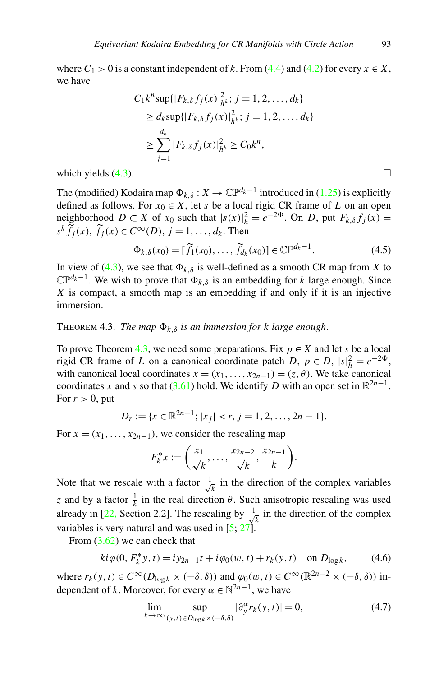<span id="page-38-0"></span>where  $C_1 > 0$  is a constant independent of *k*. From ([4.4](#page-37-0)) and ([4.2](#page-37-0)) for every  $x \in X$ , we have

$$
C_1 k^n \sup\{|F_{k,\delta} f_j(x)|_{h^k}^2; j = 1, 2, ..., d_k\}
$$
  
\n
$$
\geq d_k \sup\{|F_{k,\delta} f_j(x)|_{h^k}^2; j = 1, 2, ..., d_k\}
$$
  
\n
$$
\geq \sum_{j=1}^{d_k} |F_{k,\delta} f_j(x)|_{h^k}^2 \geq C_0 k^n,
$$

which yields  $(4.3)$  $(4.3)$ .

The (modified) Kodaira map  $\Phi_{k,\delta}: X \to \mathbb{CP}^{d_k-1}$  introduced in [\(1.25\)](#page-6-0) is explicitly defined as follows. For  $x_0 \in X$ , let *s* be a local rigid CR frame of *L* on an open neighborhood  $D \subset X$  of  $x_0$  such that  $|s(x)|_h^2 = e^{-2\Phi}$ . On *D*, put  $F_{k,\delta} f_j(x) =$  $s^k \widetilde{f}_j(x)$ ,  $\widetilde{f}_j(x) \in C^\infty(D)$ ,  $j = 1, \ldots, d_k$ . Then

$$
\Phi_{k,\delta}(x_0) = [\widetilde{f}_1(x_0), \dots, \widetilde{f}_{d_k}(x_0)] \in \mathbb{C} \mathbb{P}^{d_k - 1}.
$$
\n(4.5)

In view of [\(4.3\)](#page-37-0), we see that  $\Phi_{k,\delta}$  is well-defined as a smooth CR map from *X* to  $\mathbb{CP}^{d_k-1}$ . We wish to prove that  $\Phi_{k,\delta}$  is an embedding for *k* large enough. Since *X* is compact, a smooth map is an embedding if and only if it is an injective immersion.

#### **THEOREM 4.3.** *The map*  $\Phi_{k,\delta}$  *is an immersion for k large enough.*

To prove Theorem 4.3, we need some preparations. Fix  $p \in X$  and let *s* be a local rigid CR frame of *L* on a canonical coordinate patch *D*,  $p \in D$ ,  $|s|_h^2 = e^{-2\Phi}$ , with canonical local coordinates  $x = (x_1, \ldots, x_{2n-1}) = (z, \theta)$ . We take canonical coordinates *x* and *s* so that  $(3.61)$  $(3.61)$  $(3.61)$  hold. We identify *D* with an open set in  $\mathbb{R}^{2n-1}$ . For  $r > 0$ , put

$$
D_r := \{x \in \mathbb{R}^{2n-1}; \, |x_j| < r, \, j = 1, 2, \dots, 2n - 1\}.
$$

For  $x = (x_1, \ldots, x_{2n-1})$ , we consider the rescaling map

$$
F_k^*x := \left(\frac{x_1}{\sqrt{k}}, \ldots, \frac{x_{2n-2}}{\sqrt{k}}, \frac{x_{2n-1}}{k}\right).
$$

Note that we rescale with a factor  $\frac{1}{\sqrt{k}}$  in the direction of the complex variables *z* and by a factor  $\frac{1}{k}$  in the real direction *θ*. Such anisotropic rescaling was used already in [\[22](#page-56-0), Section 2.2]. The rescaling by  $\frac{1}{\sqrt{k}}$  in the direction of the complex variables is very natural and was used in  $[5, 27]$  $[5, 27]$  $[5, 27]$  $[5, 27]$ .

From  $(3.62)$  $(3.62)$  $(3.62)$  we can check that

$$
ki\varphi(0, F_k^*y, t) = iy_{2n-1}t + i\varphi_0(w, t) + r_k(y, t) \quad \text{on } D_{\log k},\tag{4.6}
$$

where  $r_k(y, t) \in C^\infty(D_{\log k} \times (-\delta, \delta))$  and  $\varphi_0(w, t) \in C^\infty(\mathbb{R}^{2n-2} \times (-\delta, \delta))$  independent of *k*. Moreover, for every  $\alpha \in \mathbb{N}^{2n-1}$ , we have

$$
\lim_{k \to \infty} \sup_{(y,t) \in D_{\log k} \times (-\delta,\delta)} |\partial_y^{\alpha} r_k(y,t)| = 0,
$$
\n(4.7)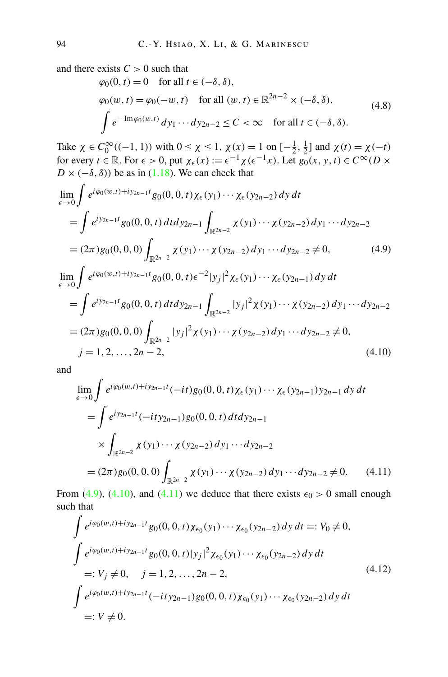<span id="page-39-0"></span>and there exists  $C > 0$  such that

$$
\varphi_0(0, t) = 0 \quad \text{for all } t \in (-\delta, \delta),
$$
  
\n
$$
\varphi_0(w, t) = \varphi_0(-w, t) \quad \text{for all } (w, t) \in \mathbb{R}^{2n-2} \times (-\delta, \delta),
$$
  
\n
$$
\int e^{-\text{Im}\varphi_0(w, t)} dy_1 \cdots dy_{2n-2} \le C < \infty \quad \text{for all } t \in (-\delta, \delta).
$$
\n(4.8)

Take  $\chi \in C_0^{\infty}((-1, 1))$  with  $0 \le \chi \le 1$ ,  $\chi(x) = 1$  on  $[-\frac{1}{2}, \frac{1}{2}]$  and  $\chi(t) = \chi(-t)$ for every  $t \in \mathbb{R}$ . For  $\epsilon > 0$ , put  $\chi_{\epsilon}(x) := \epsilon^{-1} \chi(\epsilon^{-1}x)$ . Let  $g_0(x, y, t) \in C^{\infty}(D \times$  $D \times (-\delta, \delta)$ ) be as in [\(1.18\)](#page-5-0). We can check that

$$
\lim_{\epsilon \to 0} \int e^{i\varphi_0(w,t) + iy_{2n-1}t} g_0(0, 0, t) \chi_{\epsilon}(y_1) \cdots \chi_{\epsilon}(y_{2n-2}) dy dt \n= \int e^{iy_{2n-1}t} g_0(0, 0, t) dt dy_{2n-1} \int_{\mathbb{R}^{2n-2}} \chi(y_1) \cdots \chi(y_{2n-2}) dy_1 \cdots dy_{2n-2} \n= (2\pi) g_0(0, 0, 0) \int_{\mathbb{R}^{2n-2}} \chi(y_1) \cdots \chi(y_{2n-2}) dy_1 \cdots dy_{2n-2} \neq 0, \qquad (4.9)
$$
\n
$$
\lim_{\epsilon \to 0} \int e^{i\varphi_0(w,t) + iy_{2n-1}t} g_0(0, 0, t) \epsilon^{-2} |y_j|^2 \chi_{\epsilon}(y_1) \cdots \chi_{\epsilon}(y_{2n-1}) dy dt \n= \int e^{iy_{2n-1}t} g_0(0, 0, t) dt dy_{2n-1} \int_{\mathbb{R}^{2n-2}} |y_j|^2 \chi(y_1) \cdots \chi(y_{2n-2}) dy_1 \cdots dy_{2n-2} \n= (2\pi) g_0(0, 0, 0) \int_{\mathbb{R}^{2n-2}} |y_j|^2 \chi(y_1) \cdots \chi(y_{2n-2}) dy_1 \cdots dy_{2n-2} \neq 0, \qquad j = 1, 2, ..., 2n - 2, \qquad (4.10)
$$

and

$$
\lim_{\epsilon \to 0} \int e^{i\varphi_0(w,t) + iy_{2n-1}t} (-it) g_0(0, 0, t) \chi_{\epsilon}(y_1) \cdots \chi_{\epsilon}(y_{2n-1}) y_{2n-1} dy dt \n= \int e^{i y_{2n-1}t} (-it y_{2n-1}) g_0(0, 0, t) dt dy_{2n-1} \n\times \int_{\mathbb{R}^{2n-2}} \chi(y_1) \cdots \chi(y_{2n-2}) dy_1 \cdots dy_{2n-2} \n= (2\pi) g_0(0, 0, 0) \int_{\mathbb{R}^{2n-2}} \chi(y_1) \cdots \chi(y_{2n-2}) dy_1 \cdots dy_{2n-2} \neq 0.
$$
\n(4.11)

From (4.9), (4.10), and (4.11) we deduce that there exists  $\epsilon_0 > 0$  small enough such that

$$
\int e^{i\varphi_0(w,t)+iy_{2n-1}t} g_0(0,0,t) \chi_{\epsilon_0}(y_1) \cdots \chi_{\epsilon_0}(y_{2n-2}) dy dt =: V_0 \neq 0,
$$
\n
$$
\int e^{i\varphi_0(w,t)+iy_{2n-1}t} g_0(0,0,t)|y_j|^2 \chi_{\epsilon_0}(y_1) \cdots \chi_{\epsilon_0}(y_{2n-2}) dy dt
$$
\n
$$
=: V_j \neq 0, \quad j = 1, 2, ..., 2n-2,
$$
\n
$$
\int e^{i\varphi_0(w,t)+iy_{2n-1}t} (-ity_{2n-1}) g_0(0,0,t) \chi_{\epsilon_0}(y_1) \cdots \chi_{\epsilon_0}(y_{2n-2}) dy dt
$$
\n
$$
=: V \neq 0.
$$
\n(4.12)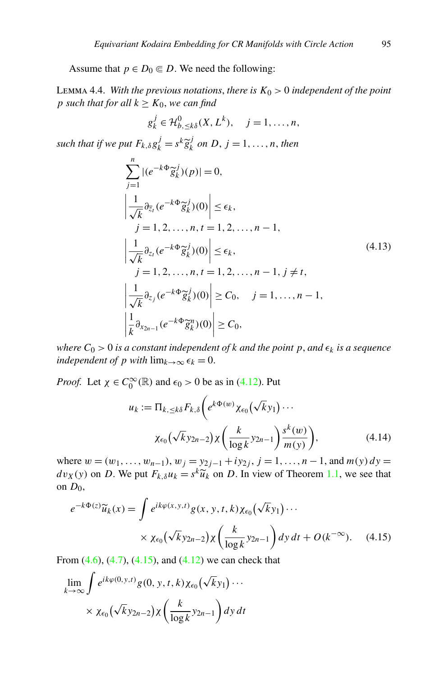<span id="page-40-0"></span>Assume that  $p \in D_0 \subseteq D$ . We need the following:

LEMMA 4.4. *With the previous notations, there is*  $K_0 > 0$  *independent of the point p* such that for all  $k \geq K_0$ , we can find

$$
g_k^j \in \mathcal{H}_{b, \leq k\delta}^0(X, L^k), \quad j = 1, \dots, n,
$$

*such that if we put*  $F_{k, \delta} g_k^j = s^k \widetilde{g}_k^j$  *on*  $D, j = 1, \ldots, n$ , *then* 

$$
\sum_{j=1}^{n} |(e^{-k\Phi}\tilde{g}_{k}^{j})(p)| = 0,
$$
\n
$$
\left|\frac{1}{\sqrt{k}}\partial_{\overline{z}_{l}}(e^{-k\Phi}\tilde{g}_{k}^{j})(0)\right| \leq \epsilon_{k},
$$
\n
$$
j = 1, 2, ..., n, t = 1, 2, ..., n - 1,
$$
\n
$$
\left|\frac{1}{\sqrt{k}}\partial_{z_{l}}(e^{-k\Phi}\tilde{g}_{k}^{j})(0)\right| \leq \epsilon_{k},
$$
\n
$$
j = 1, 2, ..., n, t = 1, 2, ..., n - 1, j \neq t,
$$
\n
$$
\left|\frac{1}{\sqrt{k}}\partial_{z_{j}}(e^{-k\Phi}\tilde{g}_{k}^{j})(0)\right| \geq C_{0}, \quad j = 1, ..., n - 1,
$$
\n
$$
\left|\frac{1}{k}\partial_{x_{2n-1}}(e^{-k\Phi}\tilde{g}_{k}^{n})(0)\right| \geq C_{0},
$$
\n(4.13)

*where*  $C_0 > 0$  *is a constant independent of k and the point p*, *and*  $\epsilon_k$  *is a sequence independent of p with*  $\lim_{k\to\infty} \epsilon_k = 0$ .

*Proof.* Let  $\chi \in C_0^{\infty}(\mathbb{R})$  and  $\epsilon_0 > 0$  be as in ([4.12](#page-39-0)). Put

$$
u_k := \Pi_{k, \leq k\delta} F_{k,\delta} \bigg( e^{k\Phi(w)} \chi_{\epsilon_0}(\sqrt{k}y_1) \cdots
$$

$$
\chi_{\epsilon_0}(\sqrt{k}y_{2n-2}) \chi \bigg( \frac{k}{\log k} y_{2n-1} \bigg) \frac{s^k(w)}{m(y)} \bigg), \tag{4.14}
$$

where  $w = (w_1, \ldots, w_{n-1}), w_j = y_{2j-1} + iy_{2j}, j = 1, \ldots, n-1$ , and  $m(y) dy =$  $dv_X(y)$  on *D*. We put  $F_{k,\delta}u_k = s^k \widetilde{u}_k$  on *D*. In view of Theorem [1.1](#page-4-0), we see that on *D*0,

$$
e^{-k\Phi(z)}\widetilde{u}_k(x) = \int e^{ik\varphi(x,y,t)}g(x,y,t,k)\chi_{\epsilon_0}\big(\sqrt{k}y_1\big)\cdots
$$
  
 
$$
\times \chi_{\epsilon_0}\big(\sqrt{k}y_{2n-2}\big)\chi\bigg(\frac{k}{\log k}y_{2n-1}\bigg)dy\,dt + O(k^{-\infty}). \quad (4.15)
$$

From  $(4.6)$  $(4.6)$  $(4.6)$ ,  $(4.7)$ ,  $(4.15)$ , and  $(4.12)$  we can check that

$$
\lim_{k \to \infty} \int e^{ik\varphi(0, y, t)} g(0, y, t, k) \chi_{\epsilon_0}(\sqrt{k}y_1) \cdots
$$

$$
\times \chi_{\epsilon_0}(\sqrt{k}y_{2n-2}) \chi \left( \frac{k}{\log k} y_{2n-1} \right) dy dt
$$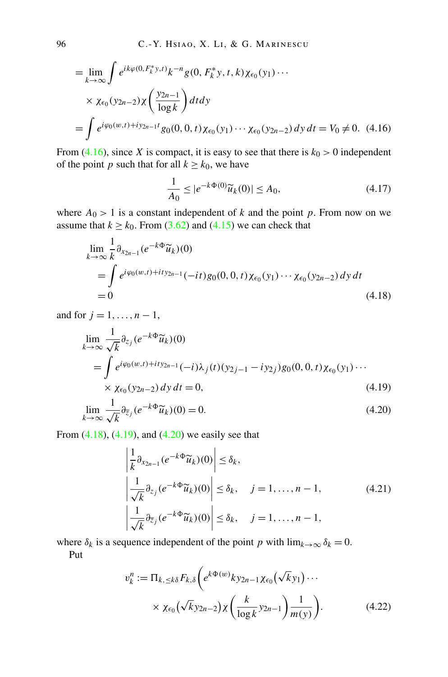<span id="page-41-0"></span>
$$
= \lim_{k \to \infty} \int e^{ik\varphi(0, F_k^* y, t)} k^{-n} g(0, F_k^* y, t, k) \chi_{\epsilon_0}(y_1) \cdots
$$
  
×  $\chi_{\epsilon_0}(y_{2n-2}) \chi \left( \frac{y_{2n-1}}{\log k} \right) dt dy$   
=  $\int e^{i\varphi_0(w, t) + iy_{2n-1}t} g_0(0, 0, t) \chi_{\epsilon_0}(y_1) \cdots \chi_{\epsilon_0}(y_{2n-2}) dy dt = V_0 \neq 0.$  (4.16)

From (4.16), since *X* is compact, it is easy to see that there is  $k_0 > 0$  independent of the point *p* such that for all  $k \ge k_0$ , we have

$$
\frac{1}{A_0} \le |e^{-k\Phi(0)}\widetilde{u}_k(0)| \le A_0,\tag{4.17}
$$

where  $A_0 > 1$  is a constant independent of *k* and the point *p*. From now on we assume that  $k \ge k_0$ . From [\(3.62](#page-33-0)) and [\(4.15\)](#page-40-0) we can check that

$$
\lim_{k \to \infty} \frac{1}{k} \partial_{x_{2n-1}} (e^{-k\Phi} \widetilde{u}_k)(0)
$$
\n
$$
= \int e^{i\varphi_0(w,t) + ity_{2n-1}} (-it) g_0(0, 0, t) \chi_{\epsilon_0}(y_1) \cdots \chi_{\epsilon_0}(y_{2n-2}) dy dt
$$
\n
$$
= 0
$$
\n(4.18)

and for  $j = 1, ..., n - 1$ ,

$$
\lim_{k \to \infty} \frac{1}{\sqrt{k}} \partial_{z_j} (e^{-k\Phi} \widetilde{u}_k)(0)
$$
\n
$$
= \int e^{i\varphi_0(w,t) + ity_{2n-1}} (-i\lambda_j(t)(y_{2j-1} - iy_{2j})g_0(0, 0, t)\chi_{\epsilon_0}(y_1) \cdots
$$
\n
$$
\times \chi_{\epsilon_0}(y_{2n-2}) dy dt = 0,
$$
\n(4.19)

$$
\lim_{k \to \infty} \frac{1}{\sqrt{k}} \partial_{\overline{z}_j} (e^{-k\Phi} \widetilde{u}_k)(0) = 0.
$$
\n(4.20)

From  $(4.18)$ ,  $(4.19)$ , and  $(4.20)$  we easily see that

$$
\left| \frac{1}{k} \partial_{x_{2n-1}} (e^{-k\Phi} \widetilde{u}_k)(0) \right| \le \delta_k,
$$
\n
$$
\left| \frac{1}{\sqrt{k}} \partial_{z_j} (e^{-k\Phi} \widetilde{u}_k)(0) \right| \le \delta_k, \quad j = 1, \dots, n-1,
$$
\n
$$
\left| \frac{1}{\sqrt{k}} \partial_{\overline{z}_j} (e^{-k\Phi} \widetilde{u}_k)(0) \right| \le \delta_k, \quad j = 1, \dots, n-1,
$$
\n(4.21)

where  $\delta_k$  is a sequence independent of the point *p* with  $\lim_{k\to\infty} \delta_k = 0$ . Put

$$
v_k^n := \Pi_{k, \leq k\delta} F_{k,\delta} \bigg( e^{k\Phi(w)} k y_{2n-1} \chi_{\epsilon_0}(\sqrt{k} y_1) \cdots
$$
  
 
$$
\times \chi_{\epsilon_0}(\sqrt{k} y_{2n-2}) \chi \bigg( \frac{k}{\log k} y_{2n-1} \bigg) \frac{1}{m(y)} \bigg). \tag{4.22}
$$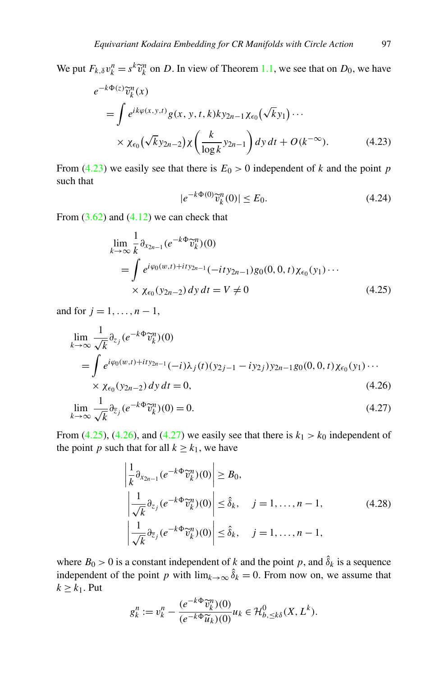<span id="page-42-0"></span>We put  $F_{k,\delta}v_k^n = s^k \tilde{v}_k^n$  on *D*. In view of Theorem [1.1](#page-4-0), we see that on *D*<sub>0</sub>, we have

$$
e^{-k\Phi(z)}\widetilde{v}_k^n(x)
$$
  
= 
$$
\int e^{ik\varphi(x,y,t)}g(x,y,t,k)ky_{2n-1}\chi_{\epsilon_0}(\sqrt{k}y_1)\cdots
$$
  

$$
\times \chi_{\epsilon_0}(\sqrt{k}y_{2n-2})\chi\left(\frac{k}{\log k}y_{2n-1}\right)dy\,dt + O(k^{-\infty}).
$$
 (4.23)

From (4.23) we easily see that there is  $E_0 > 0$  independent of *k* and the point *p* such that

$$
|e^{-k\Phi(0)}\widetilde{v}_k^n(0)| \le E_0. \tag{4.24}
$$

From  $(3.62)$  $(3.62)$  $(3.62)$  and  $(4.12)$  we can check that

$$
\lim_{k \to \infty} \frac{1}{k} \partial_{x_{2n-1}} (e^{-k\Phi} \widetilde{v}_k^n)(0)
$$
\n
$$
= \int e^{i\varphi_0(w,t) + ity_{2n-1}} (-ity_{2n-1}) g_0(0, 0, t) \chi_{\epsilon_0}(y_1) \cdots
$$
\n
$$
\times \chi_{\epsilon_0}(y_{2n-2}) dy dt = V \neq 0
$$
\n(4.25)

and for  $j = 1, ..., n - 1$ ,

$$
\lim_{k \to \infty} \frac{1}{\sqrt{k}} \partial_{z_j} (e^{-k\Phi} \widetilde{v}_k^n)(0)
$$
\n
$$
= \int e^{i\varphi_0(w,t) + ity_{2n-1}} (-i\lambda_j(t)(y_{2j-1} - iy_{2j})y_{2n-1}g_0(0, 0, t)\chi_{\epsilon_0}(y_1) \cdots
$$
\n
$$
\times \chi_{\epsilon_0}(y_{2n-2}) dy dt = 0,
$$
\n(4.26)

$$
\lim_{k \to \infty} \frac{1}{\sqrt{k}} \partial_{\overline{z}_j} (e^{-k\Phi} \widetilde{v}_k^n)(0) = 0.
$$
\n(4.27)

From (4.25), (4.26), and (4.27) we easily see that there is  $k_1 > k_0$  independent of the point *p* such that for all  $k \geq k_1$ , we have

$$
\left| \frac{1}{k} \partial_{x_{2n-1}} (e^{-k\Phi} \widetilde{v}_k^n)(0) \right| \ge B_0,
$$
\n
$$
\left| \frac{1}{\sqrt{k}} \partial_{z_j} (e^{-k\Phi} \widetilde{v}_k^n)(0) \right| \le \hat{\delta}_k, \quad j = 1, \dots, n-1,
$$
\n
$$
\left| \frac{1}{\sqrt{k}} \partial_{\overline{z}_j} (e^{-k\Phi} \widetilde{v}_k^n)(0) \right| \le \hat{\delta}_k, \quad j = 1, \dots, n-1,
$$
\n(4.28)

where  $B_0 > 0$  is a constant independent of *k* and the point *p*, and  $\hat{\delta}_k$  is a sequence independent of the point *p* with  $\lim_{k\to\infty} \hat{\delta}_k = 0$ . From now on, we assume that  $k \geq k_1$ . Put

$$
g_k^n := v_k^n - \frac{(e^{-k\Phi} \widetilde{v}_k^n)(0)}{(e^{-k\Phi} \widetilde{u}_k)(0)} u_k \in \mathcal{H}_{b, \leq k\delta}^0(X, L^k).
$$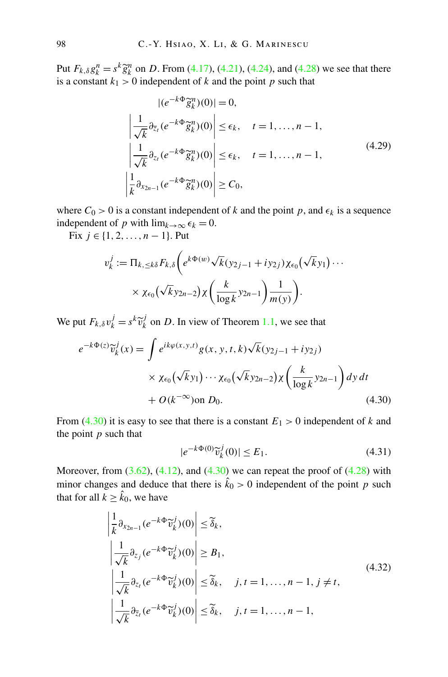<span id="page-43-0"></span>Put  $F_{k,\delta}g_k^n = s^k \tilde{g}_k^n$  on *D*. From ([4.17](#page-41-0)), ([4.21](#page-41-0)), ([4.24](#page-42-0)), and ([4.28](#page-42-0)) we see that there is a constant  $k_1 > 0$  independent of *k* and the point *p* such that

$$
|(e^{-k\Phi}\tilde{g}_k^n)(0)| = 0,
$$
  
\n
$$
\left|\frac{1}{\sqrt{k}}\partial_{\overline{z}_t}(e^{-k\Phi}\tilde{g}_k^n)(0)\right| \le \epsilon_k, \quad t = 1, ..., n-1,
$$
  
\n
$$
\left|\frac{1}{\sqrt{k}}\partial_{z_t}(e^{-k\Phi}\tilde{g}_k^n)(0)\right| \le \epsilon_k, \quad t = 1, ..., n-1,
$$
  
\n
$$
\left|\frac{1}{k}\partial_{x_{2n-1}}(e^{-k\Phi}\tilde{g}_k^n)(0)\right| \ge C_0,
$$
\n(4.29)

where  $C_0 > 0$  is a constant independent of *k* and the point *p*, and  $\epsilon_k$  is a sequence independent of *p* with  $\lim_{k\to\infty} \epsilon_k = 0$ .

Fix *j* ∈ {1, 2, ..., *n* − 1}. Put

$$
v_k^j := \Pi_{k, \leq k\delta} F_{k,\delta} \bigg( e^{k\Phi(w)} \sqrt{k} (y_{2j-1} + iy_{2j}) \chi_{\epsilon_0} (\sqrt{k} y_1) \cdots \times \chi_{\epsilon_0} (\sqrt{k} y_{2n-2}) \chi \bigg( \frac{k}{\log k} y_{2n-1} \bigg) \frac{1}{m(y)} \bigg).
$$

We put  $F_{k,\delta} v_k^j = s^k \tilde{v}_k^j$  on *D*. In view of Theorem [1.1](#page-4-0), we see that

$$
e^{-k\Phi(z)}\widetilde{v}_k^j(x) = \int e^{ik\varphi(x,y,t)}g(x,y,t,k)\sqrt{k}(y_{2j-1} + iy_{2j})
$$
  
 
$$
\times \chi_{\epsilon_0}(\sqrt{k}y_1)\cdots\chi_{\epsilon_0}(\sqrt{k}y_{2n-2})\chi\left(\frac{k}{\log k}y_{2n-1}\right)dy\,dt
$$
  
+  $O(k^{-\infty})$ on  $D_0$ . (4.30)

From (4.30) it is easy to see that there is a constant  $E_1 > 0$  independent of *k* and the point *p* such that

$$
|e^{-k\Phi(0)}\widetilde{v}_k^j(0)| \le E_1. \tag{4.31}
$$

Moreover, from  $(3.62)$ ,  $(4.12)$ , and  $(4.30)$  we can repeat the proof of  $(4.28)$  with minor changes and deduce that there is  $\hat{k}_0 > 0$  independent of the point *p* such that for all  $k \geq \hat{k}_0$ , we have

$$
\left| \frac{1}{k} \partial_{x_{2n-1}} (e^{-k\Phi} \widetilde{v}_k^j)(0) \right| \leq \widetilde{\delta}_k,\n\left| \frac{1}{\sqrt{k}} \partial_{z_j} (e^{-k\Phi} \widetilde{v}_k^j)(0) \right| \geq B_1,\n\left| \frac{1}{\sqrt{k}} \partial_{z_i} (e^{-k\Phi} \widetilde{v}_k^j)(0) \right| \leq \widetilde{\delta}_k, \quad j, t = 1, ..., n-1, j \neq t,\n\left| \frac{1}{\sqrt{k}} \partial_{\overline{z}_i} (e^{-k\Phi} \widetilde{v}_k^j)(0) \right| \leq \widetilde{\delta}_k, \quad j, t = 1, ..., n-1,
$$
\n(4.32)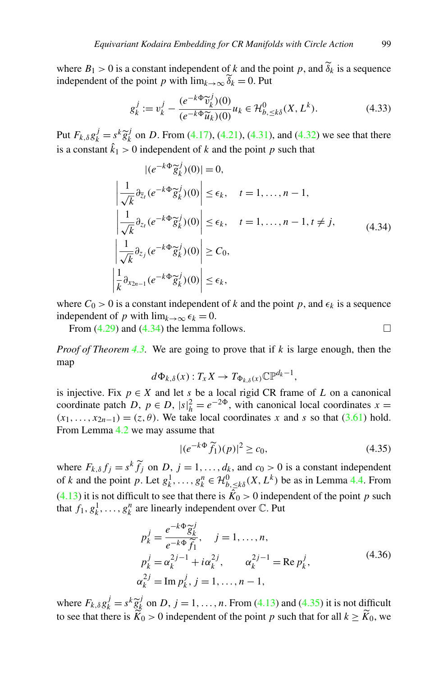where  $B_1 > 0$  is a constant independent of k and the point p, and  $\delta_k$  is a sequence independent of the point *p* with  $\lim_{k\to\infty} \widetilde{\delta}_k = 0$ . Put

$$
g_k^j := v_k^j - \frac{(e^{-k\Phi} \widetilde{v}_k^j)(0)}{(e^{-k\Phi} \widetilde{u}_k)(0)} u_k \in \mathcal{H}_{b, \le k\delta}^0(X, L^k). \tag{4.33}
$$

Put  $F_{k,\delta}g_k^j = s^k \tilde{g}_k^j$  on *D*. From ([4.17](#page-41-0)), ([4.21](#page-41-0)), ([4.31](#page-43-0)), and ([4.32](#page-43-0)) we see that there is a constant  $\hat{k}_1 > 0$  independent of *k* and the point *p* such that

$$
|(e^{-k\Phi}\tilde{g}_k^j)(0)| = 0,
$$
  
\n
$$
\left|\frac{1}{\sqrt{k}}\partial_{\overline{z}_l}(e^{-k\Phi}\tilde{g}_k^j)(0)\right| \le \epsilon_k, \quad t = 1, ..., n - 1,
$$
  
\n
$$
\left|\frac{1}{\sqrt{k}}\partial_{z_l}(e^{-k\Phi}\tilde{g}_k^j)(0)\right| \le \epsilon_k, \quad t = 1, ..., n - 1, t \ne j,
$$
  
\n
$$
\left|\frac{1}{\sqrt{k}}\partial_{z_j}(e^{-k\Phi}\tilde{g}_k^j)(0)\right| \ge C_0,
$$
  
\n
$$
\left|\frac{1}{k}\partial_{x_{2n-1}}(e^{-k\Phi}\tilde{g}_k^j)(0)\right| \le \epsilon_k,
$$
  
\n(4.34)

where  $C_0 > 0$  is a constant independent of k and the point p, and  $\epsilon_k$  is a sequence independent of *p* with  $\lim_{k\to\infty} \epsilon_k = 0$ .

From  $(4.29)$  $(4.29)$  $(4.29)$  and  $(4.34)$  the lemma follows.

*Proof of Theorem [4.3.](#page-38-0)* We are going to prove that if *k* is large enough, then the map

$$
d\Phi_{k,\delta}(x): T_xX \to T_{\Phi_{k,\delta}(x)}\mathbb{CP}^{d_k-1},
$$

is injective. Fix  $p \in X$  and let *s* be a local rigid CR frame of *L* on a canonical coordinate patch *D*,  $p \in D$ ,  $|s|_h^2 = e^{-2\Phi}$ , with canonical local coordinates  $x =$  $(x_1, \ldots, x_{2n-1}) = (z, \theta)$ . We take local coordinates *x* and *s* so that [\(3.61\)](#page-32-0) hold. From Lemma [4.2](#page-37-0) we may assume that

$$
|(e^{-k\Phi}\widetilde{f}_1)(p)|^2 \ge c_0,\tag{4.35}
$$

where  $F_{k,\delta} f_j = s^k \widetilde{f}_j$  on  $D, j = 1, ..., d_k$ , and  $c_0 > 0$  is a constant independent of *k* and the point *p*. Let  $g_k^1, \ldots, g_k^n \in \mathcal{H}_{b, \le k\delta}^0(X, L^k)$  be as in Lemma [4.4.](#page-40-0) From ([4.13](#page-40-0)) it is not difficult to see that there is  $\hat{K}_0 > 0$  independent of the point *p* such that  $f_1, g_k^1, \ldots, g_k^n$  are linearly independent over  $\mathbb{C}$ . Put

$$
p_k^j = \frac{e^{-k\Phi} \tilde{g}_k^j}{e^{-k\Phi} \tilde{f}_1}, \quad j = 1, ..., n,
$$
  
\n
$$
p_k^j = \alpha_k^{2j-1} + i\alpha_k^{2j}, \qquad \alpha_k^{2j-1} = \text{Re } p_k^j,
$$
  
\n
$$
\alpha_k^{2j} = \text{Im } p_k^j, j = 1, ..., n - 1,
$$
\n(4.36)

where  $F_{k,\delta}g_k^j = s^k \tilde{g}_k^j$  on *D*,  $j = 1, ..., n$ . From [\(4.13\)](#page-40-0) and (4.35) it is not difficult to see that there is  $K_0 > 0$  independent of the point *p* such that for all  $k \ge K_0$ , we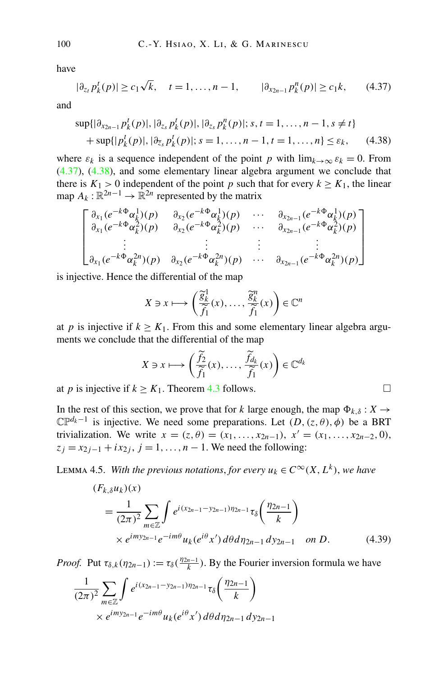<span id="page-45-0"></span>have

$$
|\partial_{z_t} p_k^t(p)| \ge c_1 \sqrt{k}, \quad t = 1, \dots, n-1, \qquad |\partial_{x_{2n-1}} p_k^n(p)| \ge c_1 k, \qquad (4.37)
$$

and

$$
\sup\{|\partial_{x_{2n-1}} p_k^t(p)|, |\partial_{z_s} p_k^t(p)|, |\partial_{z_s} p_k^n(p)|; s, t = 1, ..., n-1, s \neq t\}
$$
  
+ 
$$
\sup\{|p_k^t(p)|, |\partial_{\overline{z}_s} p_k^t(p)|; s = 1, ..., n-1, t = 1, ..., n\} \leq \varepsilon_k,
$$
 (4.38)

where  $\varepsilon_k$  is a sequence independent of the point *p* with  $\lim_{k\to\infty} \varepsilon_k = 0$ . From (4.37), (4.38), and some elementary linear algebra argument we conclude that there is  $K_1 > 0$  independent of the point *p* such that for every  $k \ge K_1$ , the linear map  $A_k : \mathbb{R}^{2n-1} \to \mathbb{R}^{2n}$  represented by the matrix

$$
\begin{bmatrix}\n\frac{\partial_{x_1}(e^{-k\Phi}\alpha_k^1)(p)}{\partial_{x_1}(e^{-k\Phi}\alpha_k^2)(p)} & \frac{\partial_{x_2}(e^{-k\Phi}\alpha_k^1)(p)}{\partial_{x_2}(e^{-k\Phi}\alpha_k^2)(p)} & \cdots & \frac{\partial_{x_{2n-1}}(e^{-k\Phi}\alpha_k^1)(p)}{\partial_{x_{2n-1}}(e^{-k\Phi}\alpha_k^2)(p)} \\
\vdots & \vdots & \vdots & \vdots \\
\frac{\partial_{x_1}(e^{-k\Phi}\alpha_k^{2n})(p)}{\partial_{x_2}(e^{-k\Phi}\alpha_k^{2n})(p)} & \frac{\partial_{x_2}(e^{-k\Phi}\alpha_k^{2n})(p)}{\partial_{x_{2n-1}}(e^{-k\Phi}\alpha_k^{2n})(p)}\n\end{bmatrix}
$$

is injective. Hence the differential of the map

$$
X \ni x \longmapsto \left(\frac{\widetilde{g}_k^1}{\widetilde{f}_1}(x), \dots, \frac{\widetilde{g}_k^n}{\widetilde{f}_1}(x)\right) \in \mathbb{C}^n
$$

at *p* is injective if  $k \geq K_1$ . From this and some elementary linear algebra arguments we conclude that the differential of the map

$$
X \ni x \longmapsto \left(\frac{\widetilde{f}_2}{\widetilde{f}_1}(x), \dots, \frac{\widetilde{f}_{d_k}}{\widetilde{f}_1}(x)\right) \in \mathbb{C}^{d_k}
$$

at *p* is injective if  $k \geq K_1$ . Theorem [4.3](#page-38-0) follows.

In the rest of this section, we prove that for *k* large enough, the map  $\Phi_{k,\delta}: X \to$  $\mathbb{CP}^{d_k-1}$  is injective. We need some preparations. Let  $(D, (z, \theta), \phi)$  be a BRT trivialization. We write  $x = (z, \theta) = (x_1, \ldots, x_{2n-1}), x' = (x_1, \ldots, x_{2n-2}, 0),$  $z_j = x_{2j-1} + ix_{2j}, j = 1, ..., n - 1$ . We need the following:

LEMMA 4.5. *With the previous notations, for every*  $u_k \in C^\infty(X, L^k)$ , we have

$$
(F_{k,\delta}u_k)(x)
$$
  
=  $\frac{1}{(2\pi)^2} \sum_{m \in \mathbb{Z}} \int e^{i(x_{2n-1}-y_{2n-1})\eta_{2n-1}} \tau_{\delta}\left(\frac{\eta_{2n-1}}{k}\right)$   
  $\times e^{imy_{2n-1}} e^{-im\theta} u_k(e^{i\theta}x') d\theta d\eta_{2n-1} dy_{2n-1}$  on *D*. (4.39)

*Proof.* Put  $\tau_{\delta,k}(\eta_{2n-1}) := \tau_{\delta}(\frac{\eta_{2n-1}}{k})$ . By the Fourier inversion formula we have

$$
\frac{1}{(2\pi)^2} \sum_{m \in \mathbb{Z}} \int e^{i(x_{2n-1} - y_{2n-1}) \eta_{2n-1}} \tau_{\delta} \left( \frac{\eta_{2n-1}}{k} \right)
$$
  
 
$$
\times e^{imy_{2n-1}} e^{-im\theta} u_k(e^{i\theta} x') d\theta d\eta_{2n-1} dy_{2n-1}
$$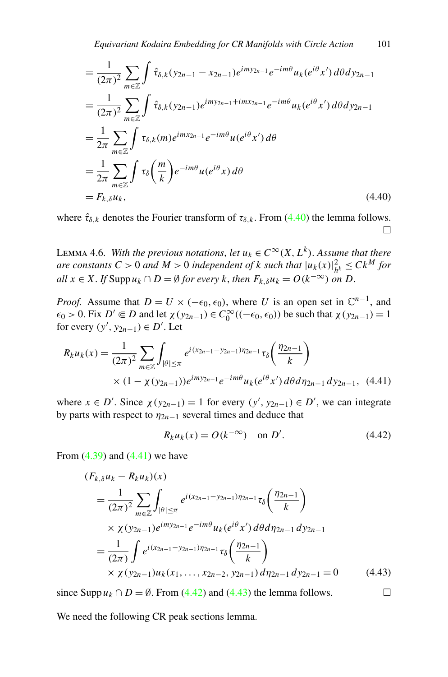<span id="page-46-0"></span>
$$
= \frac{1}{(2\pi)^2} \sum_{m \in \mathbb{Z}} \int \hat{\tau}_{\delta,k}(y_{2n-1} - x_{2n-1}) e^{imy_{2n-1}} e^{-im\theta} u_k(e^{i\theta} x') d\theta dy_{2n-1}
$$
  
\n
$$
= \frac{1}{(2\pi)^2} \sum_{m \in \mathbb{Z}} \int \hat{\tau}_{\delta,k}(y_{2n-1}) e^{imy_{2n-1} + imx_{2n-1}} e^{-im\theta} u_k(e^{i\theta} x') d\theta dy_{2n-1}
$$
  
\n
$$
= \frac{1}{2\pi} \sum_{m \in \mathbb{Z}} \int \tau_{\delta,k}(m) e^{imx_{2n-1}} e^{-im\theta} u(e^{i\theta} x') d\theta
$$
  
\n
$$
= \frac{1}{2\pi} \sum_{m \in \mathbb{Z}} \int \tau_{\delta}\left(\frac{m}{k}\right) e^{-im\theta} u(e^{i\theta} x) d\theta
$$
  
\n
$$
= F_{k,\delta} u_k, \qquad (4.40)
$$

where  $\hat{\tau}_{\delta,k}$  denotes the Fourier transform of  $\tau_{\delta,k}$ . From (4.40) the lemma follows.  $\Box$ 

LEMMA 4.6. *With the previous notations, let*  $u_k \in C^\infty(X, L^k)$ . Assume that there *are constants*  $C > 0$  *and*  $M > 0$  *independent of k such that*  $|u_k(x)|_{h^k}^2 \leq Ck^M$  *for*  $all \ x \in X$ . If Supp  $u_k \cap D = \emptyset$  for every k, then  $F_{k,\delta}u_k = O(k^{-\infty})$  on D.

*Proof.* Assume that  $D = U \times (-\epsilon_0, \epsilon_0)$ , where *U* is an open set in  $\mathbb{C}^{n-1}$ , and  $\epsilon_0 > 0$ . Fix  $D' \in D$  and let  $\chi(y_{2n-1}) \in C_0^{\infty}((-\epsilon_0, \epsilon_0))$  be such that  $\chi(y_{2n-1}) = 1$ for every  $(y', y_{2n-1}) \in D'$ . Let

$$
R_k u_k(x) = \frac{1}{(2\pi)^2} \sum_{m \in \mathbb{Z}} \int_{|\theta| \le \pi} e^{i(x_{2n-1} - y_{2n-1}) \eta_{2n-1}} \tau_{\delta} \left( \frac{\eta_{2n-1}}{k} \right)
$$
  
 
$$
\times (1 - \chi(y_{2n-1})) e^{imy_{2n-1}} e^{-im\theta} u_k(e^{i\theta} x') d\theta d\eta_{2n-1} dy_{2n-1}, \quad (4.41)
$$

where  $x \in D'$ . Since  $\chi(y_{2n-1}) = 1$  for every  $(y', y_{2n-1}) \in D'$ , we can integrate by parts with respect to  $\eta_{2n-1}$  several times and deduce that

$$
R_k u_k(x) = O(k^{-\infty}) \quad \text{on } D'. \tag{4.42}
$$

From  $(4.39)$  $(4.39)$  $(4.39)$  and  $(4.41)$  we have

$$
(F_{k,\delta}u_k - R_k u_k)(x)
$$
  
=  $\frac{1}{(2\pi)^2} \sum_{m \in \mathbb{Z}} \int_{|\theta| \le \pi} e^{i(x_{2n-1} - y_{2n-1})\eta_{2n-1}} \tau_{\delta}\left(\frac{\eta_{2n-1}}{k}\right)$   
 $\times \chi(y_{2n-1})e^{imy_{2n-1}}e^{-im\theta}u_k(e^{i\theta}x') d\theta d\eta_{2n-1} dy_{2n-1}$   
=  $\frac{1}{(2\pi)} \int e^{i(x_{2n-1} - y_{2n-1})\eta_{2n-1}} \tau_{\delta}\left(\frac{\eta_{2n-1}}{k}\right)$   
 $\times \chi(y_{2n-1})u_k(x_1, ..., x_{2n-2}, y_{2n-1}) d\eta_{2n-1} dy_{2n-1} = 0$  (4.43)

since Supp  $u_k$  ∩ *D* =  $\emptyset$ . From (4.42) and (4.43) the lemma follows.  $\Box$ 

We need the following CR peak sections lemma.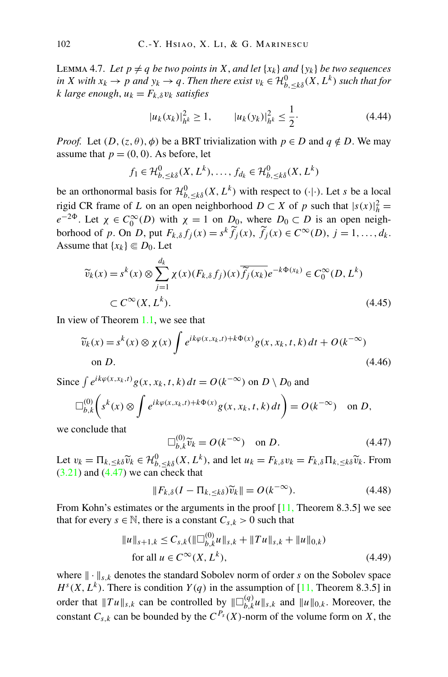<span id="page-47-0"></span>LEMMA 4.7. Let  $p \neq q$  *be two points in*  $X$ , *and let*  $\{x_k\}$  *and*  $\{y_k\}$  *be two sequences in X with*  $x_k \to p$  *and*  $y_k \to q$ . *Then there exist*  $v_k \in \mathcal{H}_{b, \leq k\delta}^0(X, L^k)$  *such that for k large enough*,  $u_k = F_{k, \delta} v_k$  *satisfies* 

$$
|u_k(x_k)|_{h^k}^2 \ge 1, \qquad |u_k(y_k)|_{h^k}^2 \le \frac{1}{2}.\tag{4.44}
$$

*Proof.* Let  $(D, (z, \theta), \phi)$  be a BRT trivialization with  $p \in D$  and  $q \notin D$ . We may assume that  $p = (0, 0)$ . As before, let

$$
f_1 \in \mathcal{H}_{b, \leq k\delta}^0(X, L^k), \dots, f_{d_k} \in \mathcal{H}_{b, \leq k\delta}^0(X, L^k)
$$

be an orthonormal basis for  $\mathcal{H}_{b,\leq k\delta}^{0}(X,L^{k})$  with respect to  $(\cdot|\cdot)$ . Let *s* be a local rigid CR frame of *L* on an open neighborhood  $D \subset X$  of *p* such that  $|s(x)|_h^2 =$  $e^{-2\Phi}$ . Let  $\chi \in C_0^{\infty}(D)$  with  $\chi = 1$  on  $D_0$ , where  $D_0 \subset D$  is an open neighborhood of *p*. On *D*, put  $F_{k,\delta} f_j(x) = s^k \widetilde{f}_j(x)$ ,  $\widetilde{f}_j(x) \in C^\infty(D)$ ,  $j = 1, ..., d_k$ . Assume that  $\{x_k\} \subseteq D_0$ . Let

$$
\widetilde{v}_k(x) = s^k(x) \otimes \sum_{j=1}^{d_k} \chi(x) (F_{k,\delta} f_j)(x) \overline{\widetilde{f}_j(x_k)} e^{-k\Phi(x_k)} \in C_0^{\infty}(D, L^k)
$$
\n
$$
\subset C^{\infty}(X, L^k). \tag{4.45}
$$

In view of Theorem [1.1,](#page-4-0) we see that

$$
\widetilde{v}_k(x) = s^k(x) \otimes \chi(x) \int e^{ik\varphi(x, x_k, t) + k\Phi(x)} g(x, x_k, t, k) dt + O(k^{-\infty})
$$
\non D. (4.46)

Since  $\int e^{ik\varphi(x,x_k,t)}g(x,x_k,t,k) dt = O(k^{-\infty})$  on  $D \setminus D_0$  and

$$
\Box_{b,k}^{(0)}\bigg(s^k(x)\otimes \int e^{ik\varphi(x,x_k,t)+k\Phi(x)}g(x,x_k,t,k) dt\bigg)=O(k^{-\infty}) \text{ on } D,
$$

we conclude that

$$
\Box_{b,k}^{(0)} \widetilde{v}_k = O(k^{-\infty}) \quad \text{on } D. \tag{4.47}
$$

Let  $v_k = \prod_{k, \le k\delta} \widetilde{v}_k \in \mathcal{H}_{b, \le k\delta}^0(X, L^k)$ , and let  $u_k = F_{k,\delta} v_k = F_{k,\delta} \prod_{k, \le k\delta} \widetilde{v}_k$ . From  $(3.21)$  $(3.21)$  $(3.21)$  and  $(4.47)$  we can check that

$$
||F_{k,\delta}(I - \Pi_{k,\leq k\delta})\widetilde{v}_k|| = O(k^{-\infty}).
$$
\n(4.48)

From Kohn's estimates or the arguments in the proof  $[11,$  $[11,$  Theorem 8.3.5] we see that for every *s*  $\in \mathbb{N}$ , there is a constant  $C_{s,k} > 0$  such that

$$
||u||_{s+1,k} \leq C_{s,k} (||\Box_{b,k}^{(0)} u||_{s,k} + ||Tu||_{s,k} + ||u||_{0,k})
$$
  
for all  $u \in C^{\infty}(X, L^k)$ , (4.49)

where  $\|\cdot\|_{s,k}$  denotes the standard Sobolev norm of order *s* on the Sobolev space  $H<sup>s</sup>(X, L<sup>k</sup>)$ . There is condition *Y(q)* in the assumption of [[11,](#page-56-0) Theorem 8.3.5] in order that  $||Tu||_{s,k}$  can be controlled by  $||\Box_{b,k}^{(q)}u||_{s,k}$  and  $||u||_{0,k}$ . Moreover, the constant  $C_{s,k}$  can be bounded by the  $C^{P_s}(X)$ -norm of the volume form on *X*, the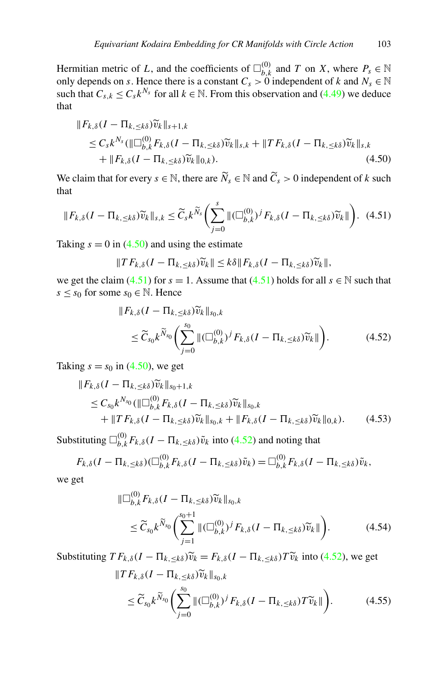<span id="page-48-0"></span>Hermitian metric of *L*, and the coefficients of  $\square_{b,k}^{(0)}$  and *T* on *X*, where  $P_s \in \mathbb{N}$ only depends on *s*. Hence there is a constant  $C_s > 0$  independent of *k* and  $N_s \in \mathbb{N}$ such that  $C_{s,k} \leq C_s k^{N_s}$  for all  $k \in \mathbb{N}$ . From this observation and [\(4.49\)](#page-47-0) we deduce that

$$
\|F_{k,\delta}(I - \Pi_{k,\leq k\delta})\widetilde{v}_k\|_{s+1,k} \n\leq C_s k^{N_s} (\|\Box_{b,k}^{(0)} F_{k,\delta}(I - \Pi_{k,\leq k\delta})\widetilde{v}_k\|_{s,k} + \|TF_{k,\delta}(I - \Pi_{k,\leq k\delta})\widetilde{v}_k\|_{s,k} \n+ \|F_{k,\delta}(I - \Pi_{k,\leq k\delta})\widetilde{v}_k\|_{0,k}).
$$
\n(4.50)

We claim that for every  $s \in \mathbb{N}$ , there are  $\widetilde{N}_s \in \mathbb{N}$  and  $\widetilde{C}_s > 0$  independent of *k* such that

$$
||F_{k,\delta}(I - \Pi_{k,\leq k\delta})\widetilde{v}_k||_{s,k} \leq \widetilde{C}_s k^{\widetilde{N}_s} \left(\sum_{j=0}^s \|(\Box_{b,k}^{(0)})^j F_{k,\delta}(I - \Pi_{k,\leq k\delta})\widetilde{v}_k\|\right).
$$
 (4.51)

Taking  $s = 0$  in (4.50) and using the estimate

 $||TF_{k,\delta}(I-\Pi_{k,\leq k\delta})\widetilde{v}_k|| \leq k\delta ||F_{k,\delta}(I-\Pi_{k,\leq k\delta})\widetilde{v}_k||,$ 

we get the claim (4.51) for  $s = 1$ . Assume that (4.51) holds for all  $s \in \mathbb{N}$  such that *s* ≤ *s*<sub>0</sub> for some *s*<sub>0</sub> ∈  $\mathbb N$ . Hence

$$
\|F_{k,\delta}(I - \Pi_{k,\leq k\delta})\widetilde{v}_k\|_{s_0,k}
$$
  
\n
$$
\leq \widetilde{C}_{s_0}k^{\widetilde{N}_{s_0}}\bigg(\sum_{j=0}^{s_0} \|(\Box_{b,k}^{(0)})^j F_{k,\delta}(I - \Pi_{k,\leq k\delta})\widetilde{v}_k\|\bigg). \qquad (4.52)
$$

Taking  $s = s_0$  in (4.50), we get

$$
\|F_{k,\delta}(I - \Pi_{k,\leq k\delta})\widetilde{v}_k\|_{s_0+1,k} \n\leq C_{s_0}k^{N_{s_0}}(\|\Box_{b,k}^{(0)} F_{k,\delta}(I - \Pi_{k,\leq k\delta})\widetilde{v}_k\|_{s_0,k} \n+ \|T F_{k,\delta}(I - \Pi_{k,\leq k\delta})\widetilde{v}_k\|_{s_0,k} + \|F_{k,\delta}(I - \Pi_{k,\leq k\delta})\widetilde{v}_k\|_{0,k}).
$$
\n(4.53)

Substituting  $\Box_{b,k}^{(0)} F_{k,\delta}(I - \Pi_{k,\leq k\delta})\tilde{v}_k$  into (4.52) and noting that

$$
F_{k,\delta}(I-\Pi_{k,\leq k\delta})(\Box_{b,k}^{(0)}F_{k,\delta}(I-\Pi_{k,\leq k\delta})\tilde{v}_k)=\Box_{b,k}^{(0)}F_{k,\delta}(I-\Pi_{k,\leq k\delta})\tilde{v}_k,
$$

we get

$$
\|\Box_{b,k}^{(0)} F_{k,\delta}(I - \Pi_{k,\leq k\delta}) \widetilde{v}_k\|_{s_0,k}
$$
  

$$
\leq \widetilde{C}_{s_0} k^{\widetilde{N}_{s_0}} \bigg( \sum_{j=1}^{s_0+1} \| (\Box_{b,k}^{(0)})^j F_{k,\delta}(I - \Pi_{k,\leq k\delta}) \widetilde{v}_k \| \bigg). \qquad (4.54)
$$

Substituting  $TF_{k,\delta}(I - \Pi_{k,<\kappa\delta})\tilde{v}_k = F_{k,\delta}(I - \Pi_{k,<\kappa\delta})T\tilde{v}_k$  into (4.52), we get

$$
\|T F_{k,\delta}(I - \Pi_{k,\leq k\delta}) \widetilde{v}_k\|_{s_0,k}
$$
  
\n
$$
\leq \widetilde{C}_{s_0} k^{\widetilde{N}_{s_0}} \bigg(\sum_{j=0}^{s_0} \|(\Box_{b,k}^{(0)})^j F_{k,\delta}(I - \Pi_{k,\leq k\delta}) T \widetilde{v}_k\| \bigg). \qquad (4.55)
$$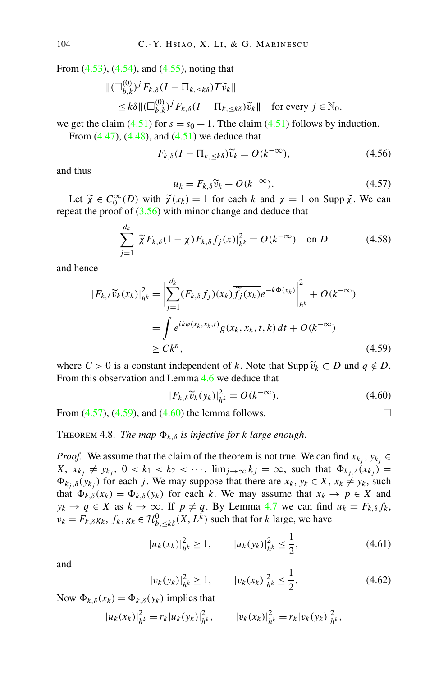<span id="page-49-0"></span>From ([4.53](#page-48-0)), [\(4.54](#page-48-0)), and ([4.55](#page-48-0)), noting that

$$
\begin{aligned} \|\left(\Box_{b,k}^{(0)}\right)^j F_{k,\delta}(I - \Pi_{k,\leq k\delta}) T \widetilde{v}_k\| \\ &\leq k\delta \| \left(\Box_{b,k}^{(0)}\right)^j F_{k,\delta}(I - \Pi_{k,\leq k\delta}) \widetilde{v}_k\| \quad \text{for every } j \in \mathbb{N}_0. \end{aligned}
$$

we get the claim  $(4.51)$  $(4.51)$  $(4.51)$  for  $s = s_0 + 1$ . The claim  $(4.51)$  follows by induction.

From  $(4.47)$  $(4.47)$  $(4.47)$ ,  $(4.48)$  $(4.48)$  $(4.48)$ , and  $(4.51)$  $(4.51)$  $(4.51)$  we deduce that

$$
F_{k,\delta}(I - \Pi_{k,\leq k\delta})\widetilde{v}_k = O(k^{-\infty}),\tag{4.56}
$$

and thus

$$
u_k = F_{k,\delta} \widetilde{v}_k + O(k^{-\infty}).
$$
\n(4.57)

Let  $\widetilde{\chi} \in C_0^{\infty}(D)$  with  $\widetilde{\chi}(x_k) = 1$  for each *k* and  $\chi = 1$  on Supp  $\widetilde{\chi}$ . We can repeat the proof of  $(3.56)$  with minor change and deduce that

$$
\sum_{j=1}^{d_k} |\widetilde{\chi} F_{k,\delta}(1-\chi) F_{k,\delta} f_j(x)|_{h^k}^2 = O(k^{-\infty}) \text{ on } D \tag{4.58}
$$

and hence

$$
|F_{k,\delta}\widetilde{v}_k(x_k)|_{h^k}^2 = \left|\sum_{j=1}^{d_k} (F_{k,\delta}f_j)(x_k)\widetilde{f}_j(x_k)e^{-k\Phi(x_k)}\right|_{h^k}^2 + O(k^{-\infty})
$$
  
= 
$$
\int e^{ik\varphi(x_k,x_k,t)}g(x_k,x_k,t,k) dt + O(k^{-\infty})
$$
  

$$
\geq C k^n,
$$
 (4.59)

where  $C > 0$  is a constant independent of k. Note that Supp  $\widetilde{v}_k \subset D$  and  $q \notin D$ . From this observation and Lemma [4.6](#page-46-0) we deduce that

$$
|F_{k,\delta}\widetilde{v}_k(y_k)|_{h^k}^2 = O(k^{-\infty}).
$$
\n(4.60)

From  $(4.57)$ ,  $(4.59)$ , and  $(4.60)$  the lemma follows.

**THEOREM** 4.8. *The map*  $\Phi_{k,\delta}$  *is injective for k large enough.* 

*Proof.* We assume that the claim of the theorem is not true. We can find  $x_k$ ,  $y_k$  $X, x_{k_j} \neq y_{k_j}, 0 < k_1 < k_2 < \cdots$ ,  $\lim_{j \to \infty} k_j = \infty$ , such that  $\Phi_{k_j, \delta}(x_{k_j}) =$  $\Phi_{k_j, \delta}(y_{k_j})$  for each *j*. We may suppose that there are  $x_k, y_k \in X$ ,  $x_k \neq y_k$ , such that  $\Phi_{k,\delta}(x_k) = \Phi_{k,\delta}(y_k)$  for each k. We may assume that  $x_k \to p \in X$  and  $y_k$  →  $q \in X$  as  $k \to \infty$ . If  $p \neq q$ . By Lemma [4.7](#page-47-0) we can find  $u_k = F_{k,\delta} f_k$ ,  $v_k = F_{k,\delta} g_k$ ,  $f_k, g_k \in \mathcal{H}_{b, \leq k\delta}^0(X, L^k)$  such that for *k* large, we have

$$
|u_k(x_k)|_{h^k}^2 \ge 1, \qquad |u_k(y_k)|_{h^k}^2 \le \frac{1}{2}, \tag{4.61}
$$

and

$$
|v_k(y_k)|_{h^k}^2 \ge 1, \qquad |v_k(x_k)|_{h^k}^2 \le \frac{1}{2}.\tag{4.62}
$$

Now  $\Phi_{k,\delta}(x_k) = \Phi_{k,\delta}(y_k)$  implies that

$$
|u_k(x_k)|_{h^k}^2 = r_k |u_k(y_k)|_{h^k}^2, \qquad |v_k(x_k)|_{h^k}^2 = r_k |v_k(y_k)|_{h^k}^2,
$$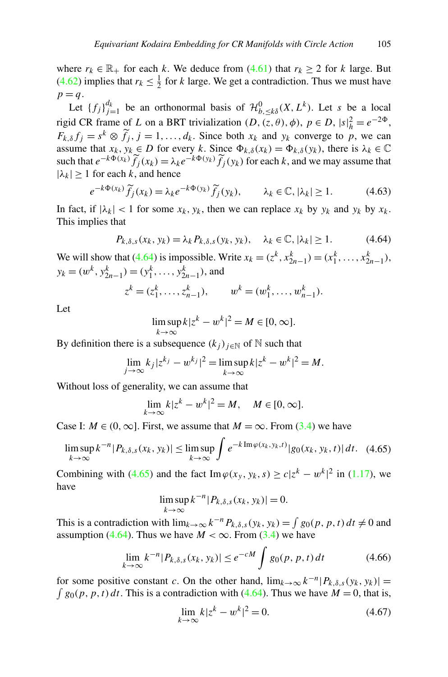<span id="page-50-0"></span>where  $r_k \in \mathbb{R}_+$  for each *k*. We deduce from [\(4.61\)](#page-49-0) that  $r_k \geq 2$  for *k* large. But ([4.62](#page-49-0)) implies that  $r_k \leq \frac{1}{2}$  for *k* large. We get a contradiction. Thus we must have  $p = q$ .

Let  ${f_j }_{j=1}^{d_k}$  be an orthonormal basis of  $\mathcal{H}_{b,\leq k\delta}^0(X,L^k)$ . Let *s* be a local rigid CR frame of *L* on a BRT trivialization  $(D, (z, \theta), \phi), p \in D, |s|_h^2 = e^{-2\Phi}$ ,  $F_{k,\delta} f_j = s^k \otimes \tilde{f}_j, j = 1, \ldots, d_k$ . Since both  $x_k$  and  $y_k$  converge to *p*, we can assume that  $x_k, y_k \in D$  for every k. Since  $\Phi_{k,\delta}(x_k) = \Phi_{k,\delta}(y_k)$ , there is  $\lambda_k \in \mathbb{C}$ such that  $e^{-k\Phi(x_k)} \tilde{f}_j(x_k) = \lambda_k e^{-k\Phi(y_k)} \tilde{f}_j(y_k)$  for each *k*, and we may assume that  $|\lambda_k| \geq 1$  for each *k*, and hence

$$
e^{-k\Phi(x_k)}\widetilde{f}_j(x_k) = \lambda_k e^{-k\Phi(y_k)}\widetilde{f}_j(y_k), \qquad \lambda_k \in \mathbb{C}, |\lambda_k| \ge 1.
$$
 (4.63)

In fact, if  $|\lambda_k| < 1$  for some  $x_k$ ,  $y_k$ , then we can replace  $x_k$  by  $y_k$  and  $y_k$  by  $x_k$ . This implies that

$$
P_{k,\delta,s}(x_k, y_k) = \lambda_k P_{k,\delta,s}(y_k, y_k), \quad \lambda_k \in \mathbb{C}, |\lambda_k| \ge 1.
$$
 (4.64)

We will show that (4.64) is impossible. Write  $x_k = (z^k, x^k_{2n-1}) = (x^k_1, \dots, x^k_{2n-1})$ ,  $y_k = (w^k, y^k_{2n-1}) = (y^k_1, \ldots, y^k_{2n-1})$ , and

$$
z^k = (z_1^k, \ldots, z_{n-1}^k), \qquad w^k = (w_1^k, \ldots, w_{n-1}^k).
$$

Let

$$
\limsup_{k \to \infty} k |z^k - w^k|^2 = M \in [0, \infty].
$$

By definition there is a subsequence  $(k_i)_{i \in \mathbb{N}}$  of  $\mathbb N$  such that

$$
\lim_{j \to \infty} k_j |z^{k_j} - w^{k_j}|^2 = \limsup_{k \to \infty} k |z^k - w^k|^2 = M.
$$

Without loss of generality, we can assume that

$$
\lim_{k \to \infty} k |z^k - w^k|^2 = M, \quad M \in [0, \infty].
$$

Case I:  $M \in (0, \infty]$ . First, we assume that  $M = \infty$ . From [\(3.4\)](#page-20-0) we have

$$
\limsup_{k \to \infty} k^{-n} |P_{k,\delta,s}(x_k, y_k)| \le \limsup_{k \to \infty} \int e^{-k \operatorname{Im} \varphi(x_k, y_k, t)} |g_0(x_k, y_k, t)| dt. \tag{4.65}
$$

Combining with (4.65) and the fact Im $\varphi(x_y, y_k, s) \ge c|z^k - w^k|^2$  in [\(1.17\)](#page-5-0), we have

$$
\limsup_{k \to \infty} k^{-n} |P_{k,\delta,s}(x_k, y_k)| = 0.
$$

This is a contradiction with  $\lim_{k\to\infty} k^{-n} P_{k,\delta,s}(y_k,y_k) = \int g_0(p,p,t) dt \neq 0$  and assumption (4.64). Thus we have  $M < \infty$ . From [\(3.4\)](#page-20-0) we have

$$
\lim_{k \to \infty} k^{-n} |P_{k,\delta,s}(x_k, y_k)| \le e^{-cM} \int g_0(p, p, t) dt \tag{4.66}
$$

for some positive constant *c*. On the other hand,  $\lim_{k\to\infty} k^{-n} |P_{k,\delta,s}(y_k, y_k)| =$  $\int g_0(p, p, t) dt$ . This is a contradiction with (4.64). Thus we have  $M = 0$ , that is,

$$
\lim_{k \to \infty} k|z^k - w^k|^2 = 0.
$$
\n(4.67)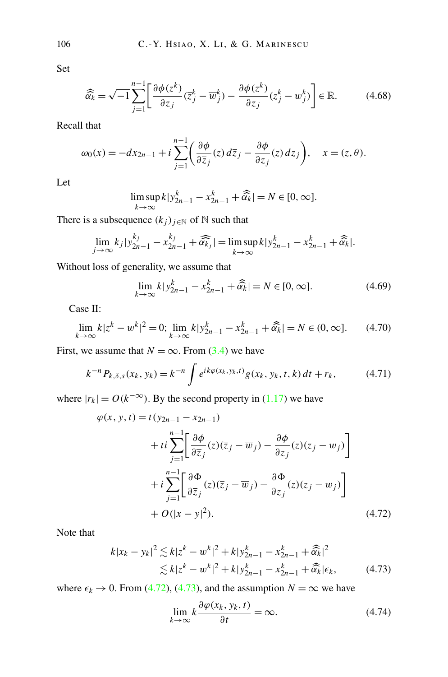Set

$$
\widehat{\widehat{\alpha}_k} = \sqrt{-1} \sum_{j=1}^{n-1} \left[ \frac{\partial \phi(z^k)}{\partial \overline{z}_j} (\overline{z}_j^k - \overline{w}_j^k) - \frac{\partial \phi(z^k)}{\partial z_j} (z_j^k - w_j^k) \right] \in \mathbb{R}.
$$
 (4.68)

Recall that

$$
\omega_0(x) = -dx_{2n-1} + i \sum_{j=1}^{n-1} \left( \frac{\partial \phi}{\partial \overline{z}_j} (z) d\overline{z}_j - \frac{\partial \phi}{\partial z_j} (z) dz_j \right), \quad x = (z, \theta).
$$

Let

$$
\limsup_{k \to \infty} k|y_{2n-1}^k - x_{2n-1}^k + \widehat{\alpha}_k| = N \in [0, \infty].
$$

There is a subsequence  $(k_j)_{j \in \mathbb{N}}$  of  $\mathbb N$  such that

$$
\lim_{j \to \infty} k_j |y_{2n-1}^{k_j} - x_{2n-1}^{k_j} + \widehat{\alpha_k_j}| = \limsup_{k \to \infty} k |y_{2n-1}^k - x_{2n-1}^k + \widehat{\alpha_k}|.
$$

Without loss of generality, we assume that

$$
\lim_{k \to \infty} k |y_{2n-1}^k - x_{2n-1}^k + \widehat{\alpha}_k^k| = N \in [0, \infty].
$$
\n(4.69)

Case II:

$$
\lim_{k \to \infty} k|z^k - w^k|^2 = 0; \lim_{k \to \infty} k|y^k_{2n-1} - x^k_{2n-1} + \widehat{\alpha}_k| = N \in (0, \infty].
$$
 (4.70)

First, we assume that  $N = \infty$ . From [\(3.4\)](#page-20-0) we have

$$
k^{-n} P_{k,\delta,s}(x_k, y_k) = k^{-n} \int e^{ik\varphi(x_k, y_k, t)} g(x_k, y_k, t, k) dt + r_k,
$$
 (4.71)

where  $|r_k| = O(k^{-\infty})$ . By the second property in [\(1.17\)](#page-5-0) we have

$$
\varphi(x, y, t) = t(y_{2n-1} - x_{2n-1})
$$
  
+ 
$$
t i \sum_{j=1}^{n-1} \left[ \frac{\partial \phi}{\partial \overline{z}_j} (z) (\overline{z}_j - \overline{w}_j) - \frac{\partial \phi}{\partial z_j} (z) (z_j - w_j) \right]
$$
  
+ 
$$
i \sum_{j=1}^{n-1} \left[ \frac{\partial \Phi}{\partial \overline{z}_j} (z) (\overline{z}_j - \overline{w}_j) - \frac{\partial \Phi}{\partial z_j} (z) (z_j - w_j) \right]
$$
  
+ 
$$
O(|x - y|^2).
$$
 (4.72)

Note that

$$
k|x_k - y_k|^2 \lesssim k|z^k - w^k|^2 + k|y_{2n-1}^k - x_{2n-1}^k + \widehat{\alpha}_k|^2
$$
  
 
$$
\lesssim k|z^k - w^k|^2 + k|y_{2n-1}^k - x_{2n-1}^k + \widehat{\alpha}_k^k|\epsilon_k,
$$
 (4.73)

where  $\epsilon_k \to 0$ . From (4.72), (4.73), and the assumption  $N = \infty$  we have

$$
\lim_{k \to \infty} k \frac{\partial \varphi(x_k, y_k, t)}{\partial t} = \infty.
$$
\n(4.74)

<span id="page-51-0"></span>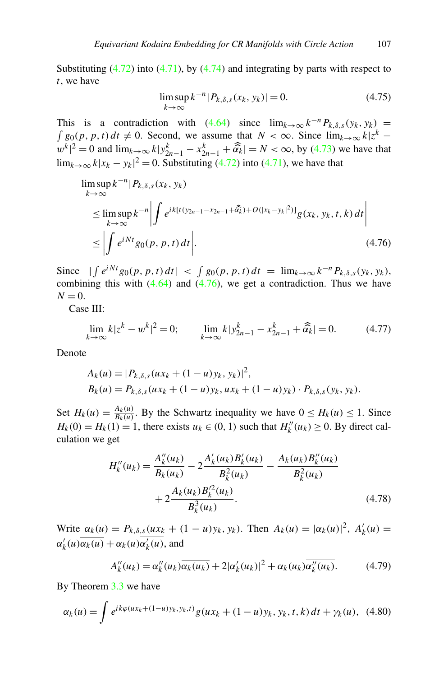<span id="page-52-0"></span>Substituting  $(4.72)$  $(4.72)$  $(4.72)$  into  $(4.71)$ , by  $(4.74)$  and integrating by parts with respect to *t*, we have

$$
\limsup_{k \to \infty} k^{-n} |P_{k,\delta,s}(x_k, y_k)| = 0.
$$
\n(4.75)

This is a contradiction with  $(4.64)$  since  $\lim_{k\to\infty} k^{-n}P_{k,\delta,s}(y_k, y_k)$  =  $\int g_0(p, p, t) dt \neq 0$ . Second, we assume that  $N < \infty$ . Since  $\lim_{k \to \infty} k |z^k |w^k|^2 = 0$  and  $\lim_{k \to \infty} k|y^k_{2n-1} - x^k_{2n-1} + \widehat{\alpha}_k| = N < \infty$ , by ([4.73](#page-51-0)) we have that  $\lim_{k\to\infty} k|x_k - y_k|^2 = 0$ . Substituting ([4.72](#page-51-0)) into [\(4.71\)](#page-51-0), we have that

$$
\limsup_{k \to \infty} k^{-n} |P_{k,\delta,s}(x_k, y_k)|
$$
\n
$$
\leq \limsup_{k \to \infty} k^{-n} \left| \int e^{ik[t(y_{2n-1} - x_{2n-1} + \widehat{\alpha}_k) + O(|x_k - y_k|^2)]} g(x_k, y_k, t, k) dt \right|
$$
\n
$$
\leq \left| \int e^{iNt} g_0(p, p, t) dt \right|. \tag{4.76}
$$

Since  $|\int e^{iNt} g_0(p, p, t) dt| < \int g_0(p, p, t) dt = \lim_{k \to \infty} k^{-n} P_{k, \delta, s}(y_k, y_k)$ , combining this with  $(4.64)$  and  $(4.76)$ , we get a contradiction. Thus we have  $N = 0$ .

Case III:

$$
\lim_{k \to \infty} k |z^k - w^k|^2 = 0; \qquad \lim_{k \to \infty} k |y^k_{2n-1} - x^k_{2n-1} + \widehat{\alpha}_k| = 0. \tag{4.77}
$$

Denote

$$
A_k(u) = |P_{k,\delta,s}(ux_k + (1-u)y_k, y_k)|^2,
$$
  
\n
$$
B_k(u) = P_{k,\delta,s}(ux_k + (1-u)y_k, ux_k + (1-u)y_k) \cdot P_{k,\delta,s}(y_k, y_k).
$$

Set  $H_k(u) = \frac{A_k(u)}{B_k(u)}$ . By the Schwartz inequality we have  $0 \le H_k(u) \le 1$ . Since  $H_k(0) = H_k(1) = 1$ , there exists  $u_k \in (0, 1)$  such that  $H_k''(u_k) \ge 0$ . By direct calculation we get

$$
H_k''(u_k) = \frac{A_k''(u_k)}{B_k(u_k)} - 2\frac{A_k'(u_k)B_k'(u_k)}{B_k^2(u_k)} - \frac{A_k(u_k)B_k''(u_k)}{B_k^2(u_k)} + 2\frac{A_k(u_k)B_k'^2(u_k)}{B_k^3(u_k)}.
$$
\n(4.78)

Write  $\alpha_k(u) = P_{k,\delta,s}(ux_k + (1 - u)y_k, y_k)$ . Then  $A_k(u) = |\alpha_k(u)|^2$ ,  $A'_k(u) =$  $\alpha'_k(u)\overline{\alpha_k(u)} + \alpha_k(u)\overline{\alpha'_k(u)}$ , and

$$
A_k''(u_k) = \alpha_k''(u_k)\overline{\alpha_k(u_k)} + 2|\alpha_k'(u_k)|^2 + \alpha_k(u_k)\overline{\alpha_k''(u_k)}.
$$
 (4.79)

By Theorem [3.3](#page-20-0) we have

$$
\alpha_k(u) = \int e^{ik\varphi(ux_k + (1-u)y_k, y_k, t)} g(ux_k + (1-u)y_k, y_k, t, k) dt + \gamma_k(u), \quad (4.80)
$$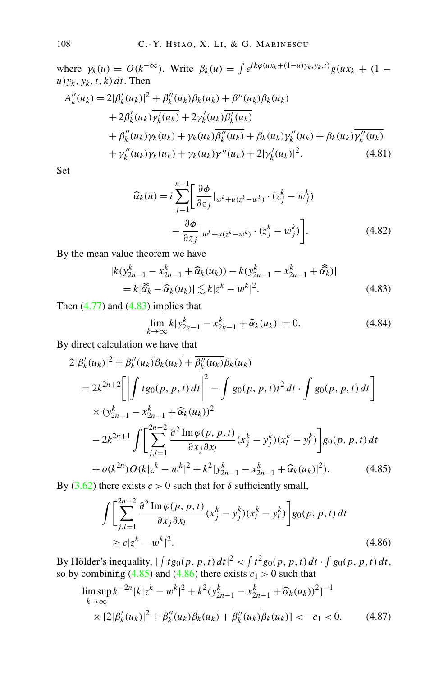<span id="page-53-0"></span>where  $\gamma_k(u) = O(k^{-\infty})$ . Write  $\beta_k(u) = \int e^{ik\varphi(ux_k + (1-u)y_k, y_k, t)} g(ux_k + (1-u))$  $u$ ) $y_k$ ,  $y_k$ ,  $t$ ,  $k$ )  $dt$ . Then  $A''_k(u_k) = 2|\beta'_k(u_k)|^2 + \beta''_k(u_k)\overline{\beta_k(u_k)} + \overline{\beta''(u_k)}\beta_k(u_k)$  $+ 2\beta'_k(u_k)\overline{\gamma'_k(u_k)} + 2\gamma'_k(u_k)\overline{\beta'_k(u_k)}$  $+ \beta_k''(u_k)\overline{\gamma_k(u_k)} + \gamma_k(u_k)\overline{\beta_k''(u_k)} + \overline{\beta_k(u_k)}\gamma_k''(u_k) + \beta_k(u_k)\overline{\gamma_k''(u_k)}$ 

+ 
$$
p_k(a_k)p_k(a_k) + p_k(a_k)p_k(a_k) + p_k(a_k)p_k(a_k) + p_k(a_k)p_k(a_k)
$$
  
+  $\gamma_k''(u_k)\overline{\gamma_k(u_k)} + \gamma_k(u_k)\overline{\gamma''(u_k)} + 2|\gamma_k'(u_k)|^2$ . (4.81)

Set

$$
\widehat{\alpha}_{k}(u) = i \sum_{j=1}^{n-1} \left[ \frac{\partial \phi}{\partial \overline{z}_{j}} \Big|_{w^{k}+u(z^{k}-w^{k})} \cdot (\overline{z}_{j}^{k} - \overline{w}_{j}^{k}) - \frac{\partial \phi}{\partial z_{j}} \Big|_{w^{k}+u(z^{k}-w^{k})} \cdot (z_{j}^{k} - w_{j}^{k}) \right].
$$
\n(4.82)

By the mean value theorem we have

|*k(y<sup>k</sup>*

$$
k(y_{2n-1}^k - x_{2n-1}^k + \widehat{\alpha}_k(u_k)) - k(y_{2n-1}^k - x_{2n-1}^k + \widehat{\alpha}_k)|
$$
  
=  $k|\widehat{\alpha}_k - \widehat{\alpha}_k(u_k)| \lesssim k|z^k - w^k|^2$ . (4.83)

Then  $(4.77)$  $(4.77)$  $(4.77)$  and  $(4.83)$  implies that

$$
\lim_{k \to \infty} k|y_{2n-1}^k - x_{2n-1}^k + \widehat{\alpha}_k(u_k)| = 0.
$$
\n(4.84)

By direct calculation we have that

$$
2|\beta'_{k}(u_{k})|^{2} + \beta''_{k}(u_{k})\overline{\beta_{k}(u_{k})} + \overline{\beta''_{k}(u_{k})}\beta_{k}(u_{k})
$$
  
\n
$$
= 2k^{2n+2}\left[\left|\int t g_{0}(p, p, t) dt\right|^{2} - \int g_{0}(p, p, t)t^{2} dt \cdot \int g_{0}(p, p, t) dt\right]
$$
  
\n
$$
\times (y_{2n-1}^{k} - x_{2n-1}^{k} + \widehat{\alpha}_{k}(u_{k}))^{2}
$$
  
\n
$$
- 2k^{2n+1}\int \left[\sum_{j,l=1}^{2n-2} \frac{\partial^{2} \text{Im} \varphi(p, p, t)}{\partial x_{j} \partial x_{l}} (x_{j}^{k} - y_{j}^{k}) (x_{l}^{k} - y_{l}^{k})\right] g_{0}(p, p, t) dt
$$
  
\n
$$
+ o(k^{2n}) O(k|z^{k} - w^{k}|^{2} + k^{2}|y_{2n-1}^{k} - x_{2n-1}^{k} + \widehat{\alpha}_{k}(u_{k})|^{2}). \tag{4.85}
$$

By [\(3.62](#page-33-0)) there exists  $c > 0$  such that for  $\delta$  sufficiently small,

$$
\int \left[ \sum_{j,l=1}^{2n-2} \frac{\partial^2 \text{Im} \varphi(p, p, t)}{\partial x_j \partial x_l} (x_j^k - y_j^k) (x_l^k - y_l^k) \right] g_0(p, p, t) dt
$$
  
 
$$
\ge c |z^k - w^k|^2.
$$
 (4.86)

By Hölder's inequality,  $\int f g_0(p, p, t) dt|^2 < \int t^2 g_0(p, p, t) dt \cdot \int g_0(p, p, t) dt$ , so by combining  $(4.85)$  and  $(4.86)$  there exists  $c_1 > 0$  such that

$$
\limsup_{k \to \infty} k^{-2n} [k|z^k - w^k|^2 + k^2 (y_{2n-1}^k - x_{2n-1}^k + \widehat{\alpha}_k(u_k))^2]^{-1}
$$
  
 
$$
\times [2|\beta'_k(u_k)|^2 + \beta''_k(u_k)\overline{\beta_k(u_k)} + \overline{\beta''_k(u_k)}\beta_k(u_k)] < -c_1 < 0.
$$
 (4.87)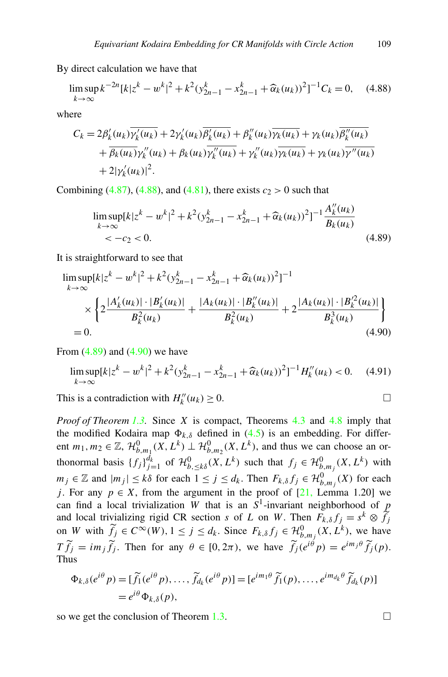By direct calculation we have that

$$
\limsup_{k \to \infty} k^{-2n} [k] z^k - w^k|^2 + k^2 (y_{2n-1}^k - x_{2n-1}^k + \widehat{\alpha}_k(u_k))^2]^{-1} C_k = 0, \quad (4.88)
$$

where

$$
C_k = 2\beta'_k(u_k)\overline{\gamma'_k(u_k)} + 2\gamma'_k(u_k)\overline{\beta'_k(u_k)} + \beta''_k(u_k)\overline{\gamma_k(u_k)} + \gamma_k(u_k)\overline{\beta''_k(u_k)} + \overline{\beta_k(u_k)}\gamma''_k(u_k) + \beta_k(u_k)\overline{\gamma''_k(u_k)} + \gamma''_k(u_k)\overline{\gamma''_k(u_k)} + 2|\gamma'_k(u_k)|^2.
$$

Combining  $(4.87)$ ,  $(4.88)$ , and  $(4.81)$ , there exists  $c_2 > 0$  such that

$$
\limsup_{k \to \infty} [k|z^k - w^k|^2 + k^2 (y_{2n-1}^k - x_{2n-1}^k + \widehat{\alpha}_k(u_k))^2]^{-1} \frac{A_k''(u_k)}{B_k(u_k)}
$$
  
<  $-c_2 < 0.$  (4.89)

It is straightforward to see that

$$
\limsup_{k \to \infty} [k|z^k - w^k|^2 + k^2 (y_{2n-1}^k - x_{2n-1}^k + \widehat{\alpha}_k(u_k))^2]^{-1}
$$
\n
$$
\times \left\{ 2 \frac{|A'_k(u_k)| \cdot |B'_k(u_k)|}{B_k^2(u_k)} + \frac{|A_k(u_k)| \cdot |B''_k(u_k)|}{B_k^2(u_k)} + 2 \frac{|A_k(u_k)| \cdot |B_k'^2(u_k)|}{B_k^3(u_k)} \right\}
$$
\n= 0. (4.90)

From  $(4.89)$  and  $(4.90)$  we have

$$
\limsup_{k \to \infty} [k|z^k - w^k|^2 + k^2 (y_{2n-1}^k - x_{2n-1}^k + \widehat{\alpha}_k(u_k))^2]^{-1} H_k''(u_k) < 0. \tag{4.91}
$$

This is a contradiction with  $H_k''(u_k) \ge 0$ .

*Proof of Theorem [1.3.](#page-7-0)* Since *X* is compact, Theorems [4.3](#page-38-0) and [4.8](#page-49-0) imply that the modified Kodaira map  $\Phi_{k,\delta}$  defined in [\(4.5\)](#page-38-0) is an embedding. For different  $m_1, m_2 \in \mathbb{Z}$ ,  $\mathcal{H}_{b,m_1}^0(X, L^k) \perp \mathcal{H}_{b,m_2}^0(X, L^k)$ , and thus we can choose an orthonormal basis  ${f_j}_{j=1}^{d_k}$  of  $\mathcal{H}_{b,\leq k\delta}^0(X,L^k)$  such that  $f_j \in \mathcal{H}_{b,m_j}^0(X,L^k)$  with *m<sub>j</sub>* ∈ ℤ and  $|m_j|$  ≤ *kδ* for each 1 ≤ *j* ≤ *d<sub>k</sub>*. Then  $F_{k,δ}f_j$  ∈  $\mathcal{H}_{b,m_j}^0(X)$  for each *j*. For any  $p \in X$ , from the argument in the proof of [\[21](#page-56-0), Lemma 1.20] we can find a local trivialization *W* that is an  $S^1$ -invariant neighborhood of *p* and local trivializing rigid CR section *s* of *L* on *W*. Then  $F_{k,\delta} f_j = s^k \otimes \widetilde{f}_j$ on *W* with  $\widetilde{f}_j \in C^\infty(W)$ ,  $1 \le j \le d_k$ . Since  $F_{k,\delta} f_j \in \mathcal{H}_{b,m_j}^0(X,L^k)$ , we have  $T \widetilde{f}_j = im_j \widetilde{f}_j$ . Then for any  $\theta \in [0, 2\pi)$ , we have  $\widetilde{f}_j(e^{i\theta} p) = e^{im_j \theta} \widetilde{f}_j(p)$ . Thus

$$
\Phi_{k,\delta}(e^{i\theta} p) = [\widetilde{f}_1(e^{i\theta} p), \dots, \widetilde{f}_{d_k}(e^{i\theta} p)] = [e^{im_1\theta} \widetilde{f}_1(p), \dots, e^{im_{d_k}\theta} \widetilde{f}_{d_k}(p)]
$$
  
=  $e^{i\theta} \Phi_{k,\delta}(p)$ ,

so we get the conclusion of Theorem [1.3.](#page-7-0)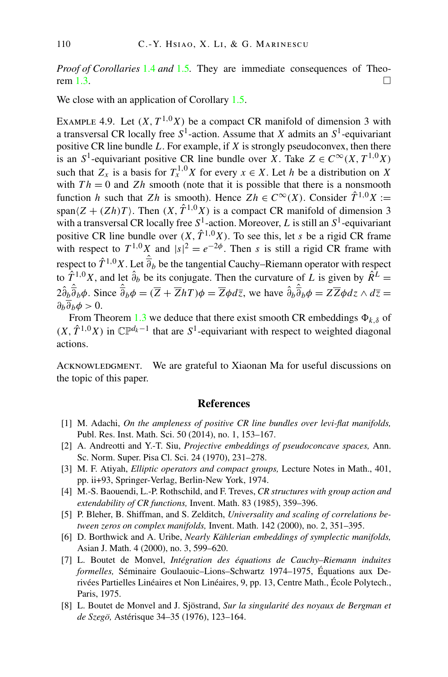<span id="page-55-0"></span>*Proof of Corollaries* [1.4](#page-7-0) *and* [1.5](#page-8-0)*.* They are immediate consequences of Theo-rem [1.3](#page-7-0).

We close with an application of Corollary [1.5.](#page-8-0)

EXAMPLE 4.9. Let  $(X, T^{1,0}X)$  be a compact CR manifold of dimension 3 with a transversal CR locally free  $S^1$ -action. Assume that *X* admits an  $S^1$ -equivariant positive CR line bundle *L*. For example, if *X* is strongly pseudoconvex, then there is an *S*<sup>1</sup>-equivariant positive CR line bundle over *X*. Take  $Z \in C^\infty(X, T^{1,0}X)$ such that  $Z_x$  is a basis for  $T_x^{1,0}X$  for every  $x \in X$ . Let *h* be a distribution on X with  $Th = 0$  and  $Zh$  smooth (note that it is possible that there is a nonsmooth function *h* such that *Zh* is smooth). Hence  $Zh \in C^{\infty}(X)$ . Consider  $\hat{T}^{1,0}X :=$ span $(Z + (Zh)T)$ . Then  $(X, \hat{T}^{1,0}X)$  is a compact CR manifold of dimension 3 with a transversal CR locally free  $S^1$ -action. Moreover, *L* is still an  $S^1$ -equivariant positive CR line bundle over  $(X, \hat{T}^{1,0}X)$ . To see this, let *s* be a rigid CR frame with respect to  $T^{1,0}X$  and  $|s|^2 = e^{-2\phi}$ . Then *s* is still a rigid CR frame with respect to  $\hat{T}^{1,0}X$ . Let  $\hat{\overline{\partial}}_b$  be the tangential Cauchy–Riemann operator with respect to  $\hat{T}^{1,0}X$ , and let  $\hat{\partial}_{b}$  be its conjugate. Then the curvature of *L* is given by  $\hat{R}^{L}$  =  $2\hat{\partial}_{b}\hat{\overline{\partial}}_{b}\phi$ . Since  $\hat{\overline{\partial}}_{b}\phi = (\overline{Z} + \overline{Z}hT)\phi = \overline{Z}\phi d\overline{z}$ , we have  $\hat{\partial}_{b}\hat{\overline{\partial}}_{b}\phi = Z\overline{Z}\phi dz \wedge d\overline{z} =$  $\partial_h \overline{\partial}_h \phi > 0.$ 

From Theorem [1.3](#page-7-0) we deduce that there exist smooth CR embeddings  $\Phi_{k,\delta}$  of  $(X, \hat{T}^{1,0}X)$  in  $\mathbb{CP}^{d_k-1}$  that are  $S^1$ -equivariant with respect to weighted diagonal actions.

ACKNOWLEDGMENT. We are grateful to Xiaonan Ma for useful discussions on the topic of this paper.

## **References**

- [1] M. Adachi, *On the ampleness of positive CR line bundles over levi-flat manifolds,* Publ. Res. Inst. Math. Sci. 50 (2014), no. 1, 153–167.
- [2] A. Andreotti and Y.-T. Siu, *Projective embeddings of pseudoconcave spaces,* Ann. Sc. Norm. Super. Pisa Cl. Sci. 24 (1970), 231–278.
- [3] M. F. Atiyah, *Elliptic operators and compact groups,* Lecture Notes in Math., 401, pp. ii+93, Springer-Verlag, Berlin-New York, 1974.
- [4] M.-S. Baouendi, L.-P. Rothschild, and F. Treves, *CR structures with group action and extendability of CR functions,* Invent. Math. 83 (1985), 359–396.
- [5] P. Bleher, B. Shiffman, and S. Zelditch, *Universality and scaling of correlations between zeros on complex manifolds,* Invent. Math. 142 (2000), no. 2, 351–395.
- [6] D. Borthwick and A. Uribe, *Nearly Kählerian embeddings of symplectic manifolds,* Asian J. Math. 4 (2000), no. 3, 599–620.
- [7] L. Boutet de Monvel, *Intégration des équations de Cauchy–Riemann induites formelles,* Séminaire Goulaouic–Lions–Schwartz 1974–1975, Équations aux Derivées Partielles Linéaires et Non Linéaires, 9, pp. 13, Centre Math., École Polytech., Paris, 1975.
- [8] L. Boutet de Monvel and J. Sjöstrand, *Sur la singularité des noyaux de Bergman et de Szegö,* Astérisque 34–35 (1976), 123–164.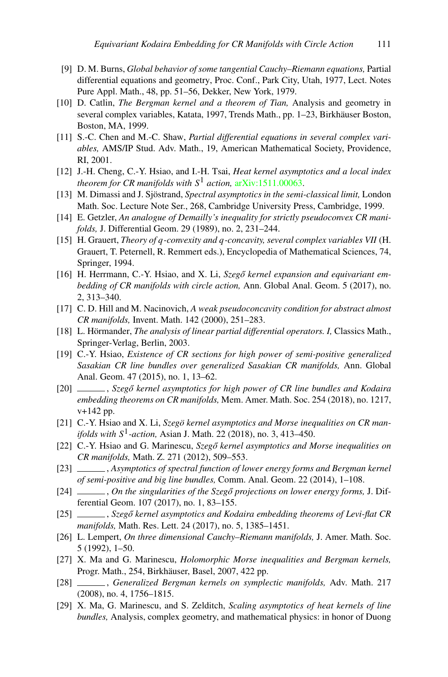- <span id="page-56-0"></span>[9] D. M. Burns, *Global behavior of some tangential Cauchy–Riemann equations,* Partial differential equations and geometry, Proc. Conf., Park City, Utah, 1977, Lect. Notes Pure Appl. Math., 48, pp. 51–56, Dekker, New York, 1979.
- [10] D. Catlin, *The Bergman kernel and a theorem of Tian,* Analysis and geometry in several complex variables, Katata, 1997, Trends Math., pp. 1–23, Birkhäuser Boston, Boston, MA, 1999.
- [11] S.-C. Chen and M.-C. Shaw, *Partial differential equations in several complex variables,* AMS/IP Stud. Adv. Math., 19, American Mathematical Society, Providence, RI, 2001.
- [12] J.-H. Cheng, C.-Y. Hsiao, and I.-H. Tsai, *Heat kernel asymptotics and a local index theorem for CR manifolds with S*<sup>1</sup> *action,* [arXiv:1511.00063.](http://arxiv.org/abs/arXiv:1511.00063)
- [13] M. Dimassi and J. Sjöstrand, *Spectral asymptotics in the semi-classical limit,* London Math. Soc. Lecture Note Ser., 268, Cambridge University Press, Cambridge, 1999.
- [14] E. Getzler, *An analogue of Demailly's inequality for strictly pseudoconvex CR manifolds,* J. Differential Geom. 29 (1989), no. 2, 231–244.
- [15] H. Grauert, *Theory of q-convexity and q-concavity, several complex variables VII* (H. Grauert, T. Peternell, R. Remmert eds.), Encyclopedia of Mathematical Sciences, 74, Springer, 1994.
- [16] H. Herrmann, C.-Y. Hsiao, and X. Li, *Szegő kernel expansion and equivariant embedding of CR manifolds with circle action,* Ann. Global Anal. Geom. 5 (2017), no. 2, 313–340.
- [17] C. D. Hill and M. Nacinovich, *A weak pseudoconcavity condition for abstract almost CR manifolds,* Invent. Math. 142 (2000), 251–283.
- [18] L. Hörmander, *The analysis of linear partial differential operators. I,* Classics Math., Springer-Verlag, Berlin, 2003.
- [19] C.-Y. Hsiao, *Existence of CR sections for high power of semi-positive generalized Sasakian CR line bundles over generalized Sasakian CR manifolds,* Ann. Global Anal. Geom. 47 (2015), no. 1, 13–62.
- [20] \_\_\_\_\_\_\_, *Szegő kernel asymptotics for high power of CR line bundles and Kodaira embedding theorems on CR manifolds,* Mem. Amer. Math. Soc. 254 (2018), no. 1217, v+142 pp.
- [21] C.-Y. Hsiao and X. Li, *Szegö kernel asymptotics and Morse inequalities on CR manifolds with S*1*-action,* Asian J. Math. 22 (2018), no. 3, 413–450.
- [22] C.-Y. Hsiao and G. Marinescu, *Szegő kernel asymptotics and Morse inequalities on CR manifolds,* Math. Z. 271 (2012), 509–553.
- [23] , *Asymptotics of spectral function of lower energy forms and Bergman kernel of semi-positive and big line bundles,* Comm. Anal. Geom. 22 (2014), 1–108.
- [24] , *On the singularities of the Szegő projections on lower energy forms*, J. Differential Geom. 107 (2017), no. 1, 83–155.
- [25] \_\_\_\_\_\_, Szegő kernel asymptotics and Kodaira embedding theorems of Levi-flat CR *manifolds,* Math. Res. Lett. 24 (2017), no. 5, 1385–1451.
- [26] L. Lempert, *On three dimensional Cauchy–Riemann manifolds,* J. Amer. Math. Soc. 5 (1992), 1–50.
- [27] X. Ma and G. Marinescu, *Holomorphic Morse inequalities and Bergman kernels,* Progr. Math., 254, Birkhäuser, Basel, 2007, 422 pp.
- [28] , *Generalized Bergman kernels on symplectic manifolds,* Adv. Math. 217 (2008), no. 4, 1756–1815.
- [29] X. Ma, G. Marinescu, and S. Zelditch, *Scaling asymptotics of heat kernels of line bundles,* Analysis, complex geometry, and mathematical physics: in honor of Duong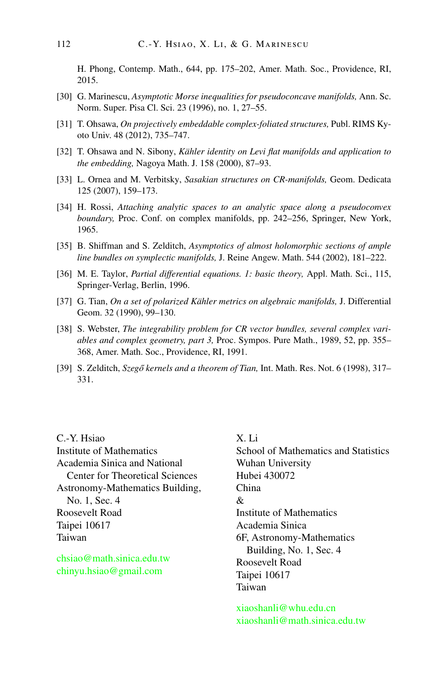<span id="page-57-0"></span>H. Phong, Contemp. Math., 644, pp. 175–202, Amer. Math. Soc., Providence, RI, 2015.

- [30] G. Marinescu, *Asymptotic Morse inequalities for pseudoconcave manifolds,* Ann. Sc. Norm. Super. Pisa Cl. Sci. 23 (1996), no. 1, 27–55.
- [31] T. Ohsawa, *On projectively embeddable complex-foliated structures,* Publ. RIMS Kyoto Univ. 48 (2012), 735–747.
- [32] T. Ohsawa and N. Sibony, *Kähler identity on Levi flat manifolds and application to the embedding,* Nagoya Math. J. 158 (2000), 87–93.
- [33] L. Ornea and M. Verbitsky, *Sasakian structures on CR-manifolds,* Geom. Dedicata 125 (2007), 159–173.
- [34] H. Rossi, *Attaching analytic spaces to an analytic space along a pseudoconvex boundary,* Proc. Conf. on complex manifolds, pp. 242–256, Springer, New York, 1965.
- [35] B. Shiffman and S. Zelditch, *Asymptotics of almost holomorphic sections of ample line bundles on symplectic manifolds,* J. Reine Angew. Math. 544 (2002), 181–222.
- [36] M. E. Taylor, *Partial differential equations. 1: basic theory,* Appl. Math. Sci., 115, Springer-Verlag, Berlin, 1996.
- [37] G. Tian, *On a set of polarized Kähler metrics on algebraic manifolds,* J. Differential Geom. 32 (1990), 99–130.
- [38] S. Webster, *The integrability problem for CR vector bundles, several complex variables and complex geometry, part 3,* Proc. Sympos. Pure Math., 1989, 52, pp. 355– 368, Amer. Math. Soc., Providence, RI, 1991.
- [39] S. Zelditch, *Szegő kernels and a theorem of Tian*, Int. Math. Res. Not. 6 (1998), 317– 331.

C.-Y. Hsiao Institute of Mathematics Academia Sinica and National Center for Theoretical Sciences Astronomy-Mathematics Building, No. 1, Sec. 4 Roosevelt Road Taipei 10617 Taiwan

[chsiao@math.sinica.edu.tw](mailto:chsiao@math.sinica.edu.tw) [chinyu.hsiao@gmail.com](mailto:chinyu.hsiao@gmail.com)

X. Li School of Mathematics and Statistics Wuhan University Hubei 430072 China & Institute of Mathematics Academia Sinica 6F, Astronomy-Mathematics Building, No. 1, Sec. 4 Roosevelt Road Taipei 10617 Taiwan

[xiaoshanli@whu.edu.cn](mailto:xiaoshanli@whu.edu.cn) [xiaoshanli@math.sinica.edu.tw](mailto:xiaoshanli@math.sinica.edu.tw)